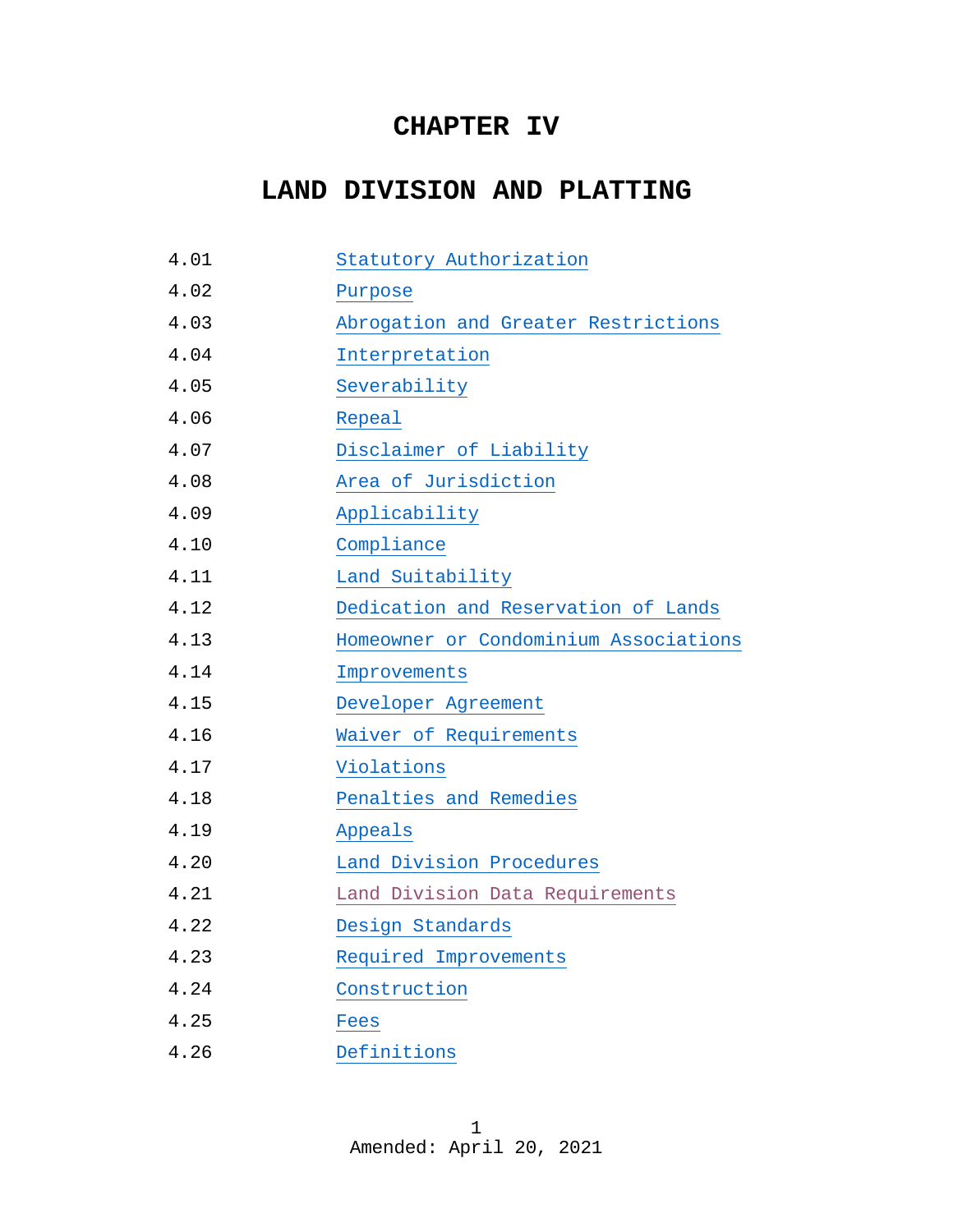# **CHAPTER IV**

# **LAND DIVISION AND PLATTING**

| 4.01 | Statutory Authorization               |
|------|---------------------------------------|
| 4.02 | Purpose                               |
| 4.03 | Abrogation and Greater Restrictions   |
| 4.04 | Interpretation                        |
| 4.05 | Severability                          |
| 4.06 | Repeal                                |
| 4.07 | Disclaimer of Liability               |
| 4.08 | Area of Jurisdiction                  |
| 4.09 | Applicability                         |
| 4.10 | Compliance                            |
| 4.11 | Land Suitability                      |
| 4.12 | Dedication and Reservation of Lands   |
| 4.13 | Homeowner or Condominium Associations |
| 4.14 | Improvements                          |
| 4.15 | Developer Agreement                   |
| 4.16 | Waiver of Requirements                |
| 4.17 | Violations                            |
| 4.18 | Penalties and Remedies                |
| 4.19 | Appeals                               |
| 4.20 | Land Division Procedures              |
| 4.21 | Land Division Data Requirements       |
| 4.22 | Design Standards                      |
| 4.23 | Required Improvements                 |
| 4.24 | Construction                          |
| 4.25 | Fees                                  |
| 4.26 | Definitions                           |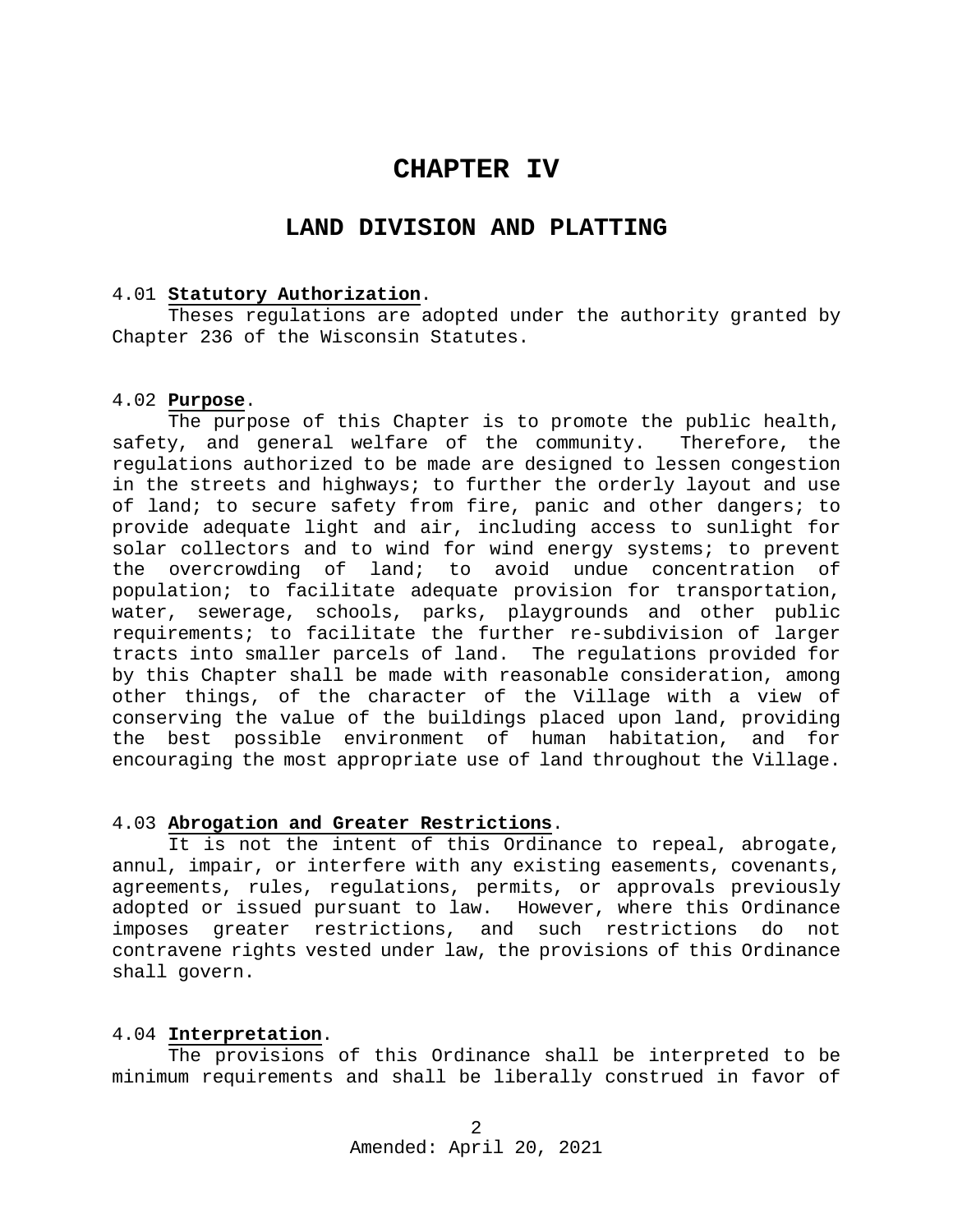# **CHAPTER IV**

# **LAND DIVISION AND PLATTING**

#### <span id="page-1-0"></span>4.01 **Statutory Authorization**.

Theses regulations are adopted under the authority granted by Chapter 236 of the Wisconsin Statutes.

#### <span id="page-1-1"></span>4.02 **Purpose**.

The purpose of this Chapter is to promote the public health, safety, and general welfare of the community. Therefore, the regulations authorized to be made are designed to lessen congestion in the streets and highways; to further the orderly layout and use of land; to secure safety from fire, panic and other dangers; to provide adequate light and air, including access to sunlight for solar collectors and to wind for wind energy systems; to prevent the overcrowding of land; to avoid undue concentration of population; to facilitate adequate provision for transportation, water, sewerage, schools, parks, playgrounds and other public requirements; to facilitate the further re-subdivision of larger tracts into smaller parcels of land. The regulations provided for by this Chapter shall be made with reasonable consideration, among other things, of the character of the Village with a view of conserving the value of the buildings placed upon land, providing the best possible environment of human habitation, and for encouraging the most appropriate use of land throughout the Village.

#### <span id="page-1-2"></span>4.03 **Abrogation and Greater Restrictions**.

It is not the intent of this Ordinance to repeal, abrogate, annul, impair, or interfere with any existing easements, covenants, agreements, rules, regulations, permits, or approvals previously adopted or issued pursuant to law. However, where this Ordinance imposes greater restrictions, and such restrictions do not contravene rights vested under law, the provisions of this Ordinance shall govern.

#### <span id="page-1-3"></span>4.04 **Interpretation**.

The provisions of this Ordinance shall be interpreted to be minimum requirements and shall be liberally construed in favor of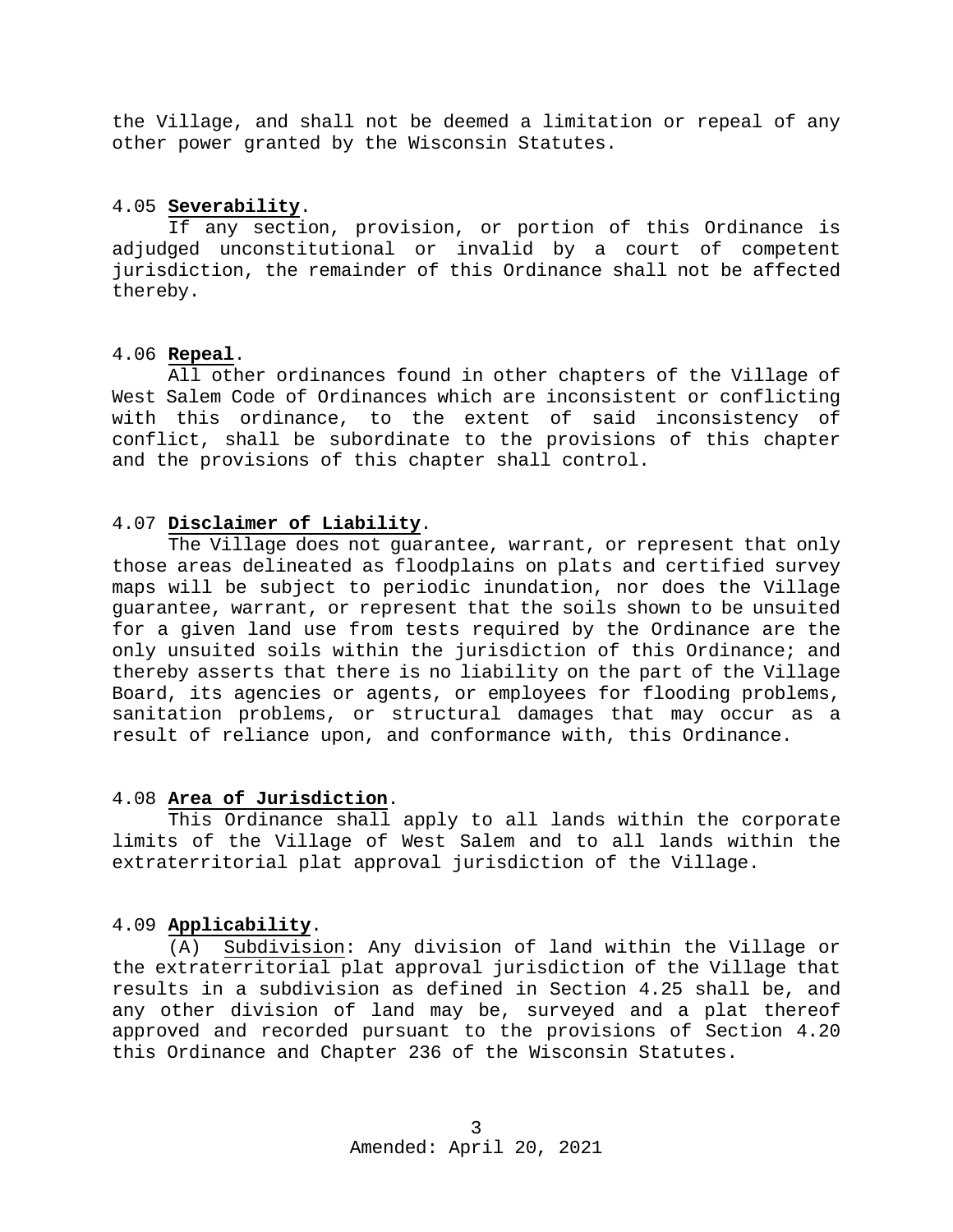the Village, and shall not be deemed a limitation or repeal of any other power granted by the Wisconsin Statutes.

# <span id="page-2-0"></span>4.05 **Severability**.

If any section, provision, or portion of this Ordinance is adjudged unconstitutional or invalid by a court of competent jurisdiction, the remainder of this Ordinance shall not be affected thereby.

# <span id="page-2-1"></span>4.06 **Repeal**.

All other ordinances found in other chapters of the Village of West Salem Code of Ordinances which are inconsistent or conflicting with this ordinance, to the extent of said inconsistency of conflict, shall be subordinate to the provisions of this chapter and the provisions of this chapter shall control.

# <span id="page-2-2"></span>4.07 **Disclaimer of Liability**.

The Village does not guarantee, warrant, or represent that only those areas delineated as floodplains on plats and certified survey maps will be subject to periodic inundation, nor does the Village guarantee, warrant, or represent that the soils shown to be unsuited for a given land use from tests required by the Ordinance are the only unsuited soils within the jurisdiction of this Ordinance; and thereby asserts that there is no liability on the part of the Village Board, its agencies or agents, or employees for flooding problems, sanitation problems, or structural damages that may occur as a result of reliance upon, and conformance with, this Ordinance.

#### <span id="page-2-3"></span>4.08 **Area of Jurisdiction**.

This Ordinance shall apply to all lands within the corporate limits of the Village of West Salem and to all lands within the extraterritorial plat approval jurisdiction of the Village.

#### <span id="page-2-4"></span>4.09 **Applicability**.

(A) Subdivision: Any division of land within the Village or the extraterritorial plat approval jurisdiction of the Village that results in a subdivision as defined in Section 4.25 shall be, and any other division of land may be, surveyed and a plat thereof approved and recorded pursuant to the provisions of Section 4.20 this Ordinance and Chapter 236 of the Wisconsin Statutes.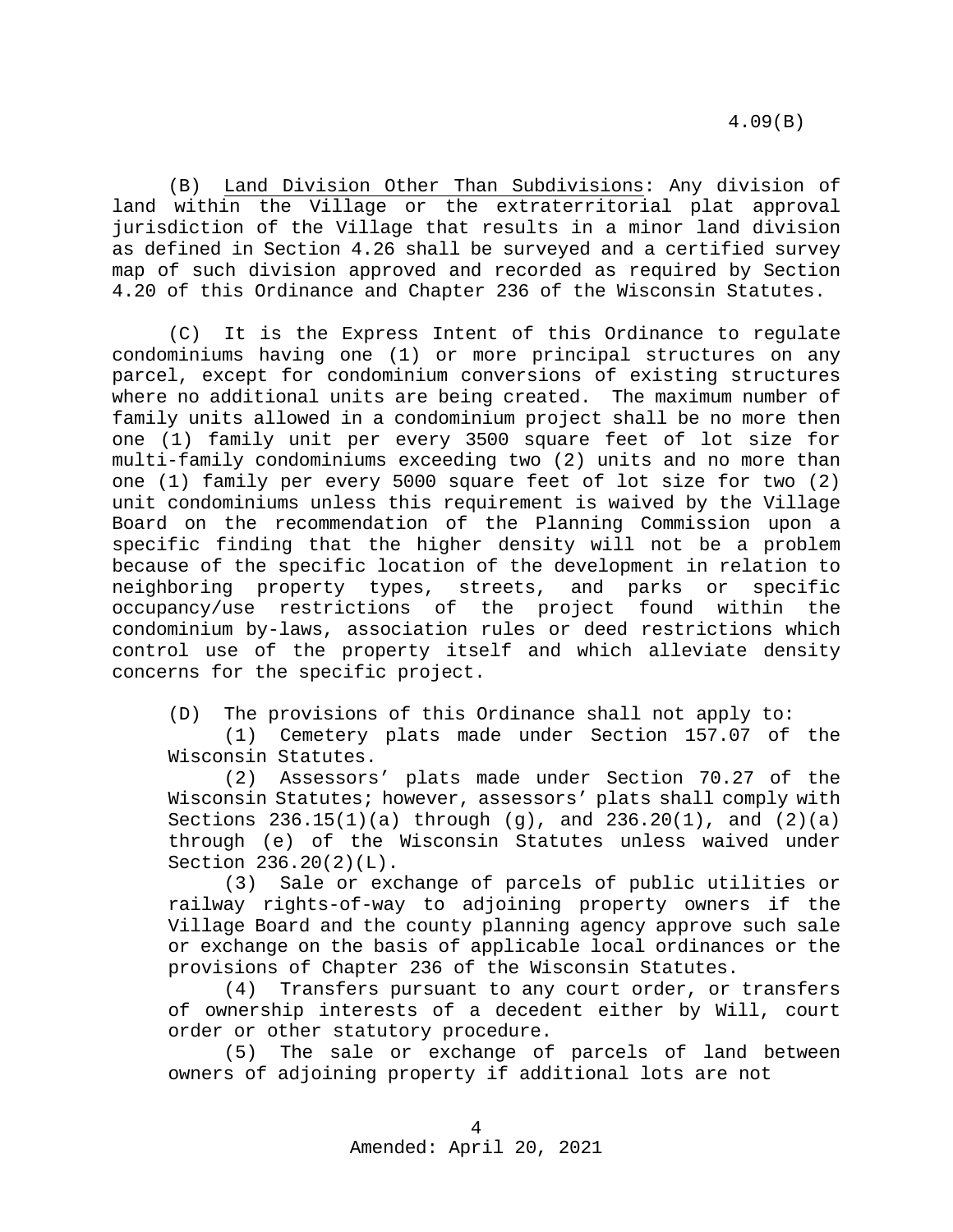(B) Land Division Other Than Subdivisions: Any division of land within the Village or the extraterritorial plat approval jurisdiction of the Village that results in a minor land division as defined in Section 4.26 shall be surveyed and a certified survey map of such division approved and recorded as required by Section 4.20 of this Ordinance and Chapter 236 of the Wisconsin Statutes.

(C) It is the Express Intent of this Ordinance to regulate condominiums having one (1) or more principal structures on any parcel, except for condominium conversions of existing structures where no additional units are being created. The maximum number of family units allowed in a condominium project shall be no more then one (1) family unit per every 3500 square feet of lot size for multi-family condominiums exceeding two (2) units and no more than one (1) family per every 5000 square feet of lot size for two (2) unit condominiums unless this requirement is waived by the Village Board on the recommendation of the Planning Commission upon a specific finding that the higher density will not be a problem because of the specific location of the development in relation to neighboring property types, streets, and parks or specific occupancy/use restrictions of the project found within the condominium by-laws, association rules or deed restrictions which control use of the property itself and which alleviate density concerns for the specific project.

(D) The provisions of this Ordinance shall not apply to:

(1) Cemetery plats made under Section 157.07 of the Wisconsin Statutes.

(2) Assessors' plats made under Section 70.27 of the Wisconsin Statutes; however, assessors' plats shall comply with Sections  $236.15(1)(a)$  through  $(g)$ , and  $236.20(1)$ , and  $(2)(a)$ through (e) of the Wisconsin Statutes unless waived under Section 236.20(2)(L).

(3) Sale or exchange of parcels of public utilities or railway rights-of-way to adjoining property owners if the Village Board and the county planning agency approve such sale or exchange on the basis of applicable local ordinances or the provisions of Chapter 236 of the Wisconsin Statutes.

(4) Transfers pursuant to any court order, or transfers of ownership interests of a decedent either by Will, court order or other statutory procedure.<br>(5) The sale or exchange of

The sale or exchange of parcels of land between owners of adjoining property if additional lots are not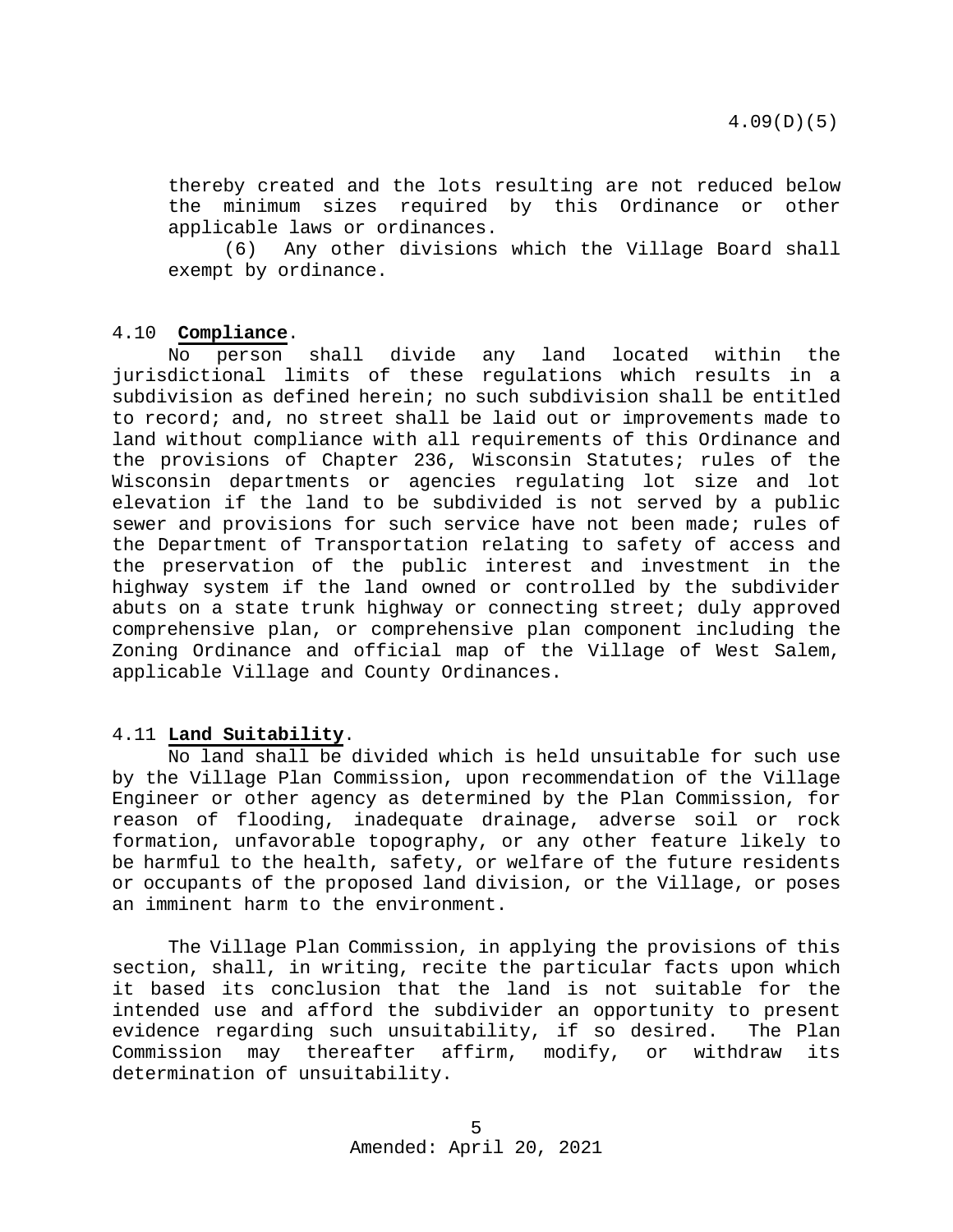thereby created and the lots resulting are not reduced below the minimum sizes required by this Ordinance or other applicable laws or ordinances.

(6) Any other divisions which the Village Board shall exempt by ordinance.

#### <span id="page-4-0"></span>4.10 **Compliance**.

No person shall divide any land located within the jurisdictional limits of these regulations which results in a subdivision as defined herein; no such subdivision shall be entitled to record; and, no street shall be laid out or improvements made to land without compliance with all requirements of this Ordinance and the provisions of Chapter 236, Wisconsin Statutes; rules of the Wisconsin departments or agencies regulating lot size and lot elevation if the land to be subdivided is not served by a public sewer and provisions for such service have not been made; rules of the Department of Transportation relating to safety of access and the preservation of the public interest and investment in the highway system if the land owned or controlled by the subdivider abuts on a state trunk highway or connecting street; duly approved comprehensive plan, or comprehensive plan component including the Zoning Ordinance and official map of the Village of West Salem, applicable Village and County Ordinances.

#### <span id="page-4-1"></span>4.11 **Land Suitability**.

No land shall be divided which is held unsuitable for such use by the Village Plan Commission, upon recommendation of the Village Engineer or other agency as determined by the Plan Commission, for reason of flooding, inadequate drainage, adverse soil or rock formation, unfavorable topography, or any other feature likely to be harmful to the health, safety, or welfare of the future residents or occupants of the proposed land division, or the Village, or poses an imminent harm to the environment.

The Village Plan Commission, in applying the provisions of this section, shall, in writing, recite the particular facts upon which it based its conclusion that the land is not suitable for the intended use and afford the subdivider an opportunity to present evidence regarding such unsuitability, if so desired. The Plan<br>Commission may thereafter affirm, modify, or withdraw its Commission may thereafter affirm, modify, or withdraw determination of unsuitability.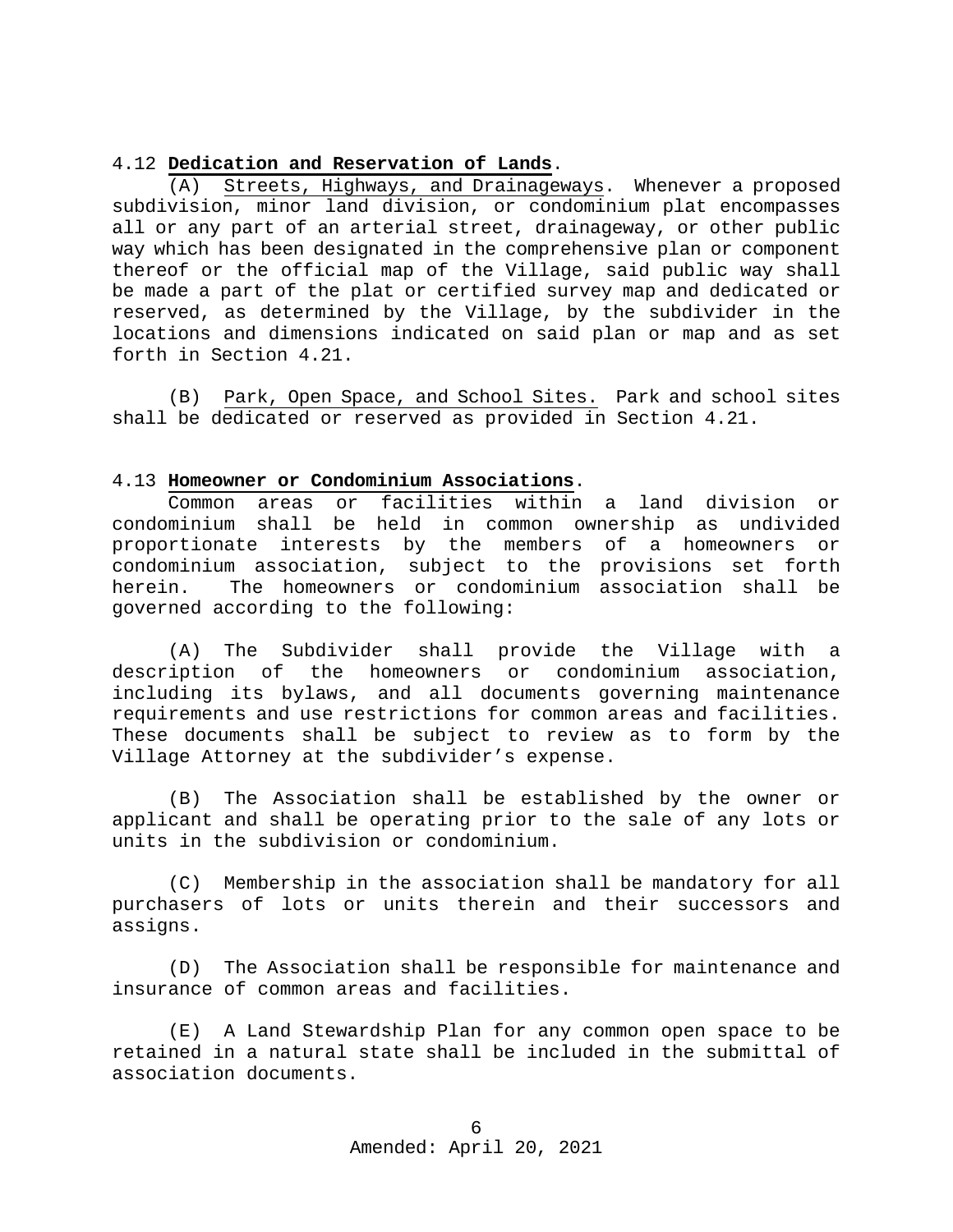#### <span id="page-5-0"></span>4.12 **Dedication and Reservation of Lands**.

(A) Streets, Highways, and Drainageways. Whenever a proposed subdivision, minor land division, or condominium plat encompasses all or any part of an arterial street, drainageway, or other public way which has been designated in the comprehensive plan or component thereof or the official map of the Village, said public way shall be made a part of the plat or certified survey map and dedicated or reserved, as determined by the Village, by the subdivider in the locations and dimensions indicated on said plan or map and as set forth in Section 4.21.

(B) Park, Open Space, and School Sites. Park and school sites shall be dedicated or reserved as provided in Section 4.21.

#### <span id="page-5-1"></span>4.13 **Homeowner or Condominium Associations**.

Common areas or facilities within a land division or condominium shall be held in common ownership as undivided proportionate interests by the members of a homeowners or condominium association, subject to the provisions set forth herein. The homeowners or condominium association shall be governed according to the following:

(A) The Subdivider shall provide the Village with a description of the homeowners or condominium association, the homeowners or condominium association, including its bylaws, and all documents governing maintenance requirements and use restrictions for common areas and facilities. These documents shall be subject to review as to form by the Village Attorney at the subdivider's expense.

(B) The Association shall be established by the owner or applicant and shall be operating prior to the sale of any lots or units in the subdivision or condominium.

(C) Membership in the association shall be mandatory for all purchasers of lots or units therein and their successors and assigns.

(D) The Association shall be responsible for maintenance and insurance of common areas and facilities.

(E) A Land Stewardship Plan for any common open space to be retained in a natural state shall be included in the submittal of association documents.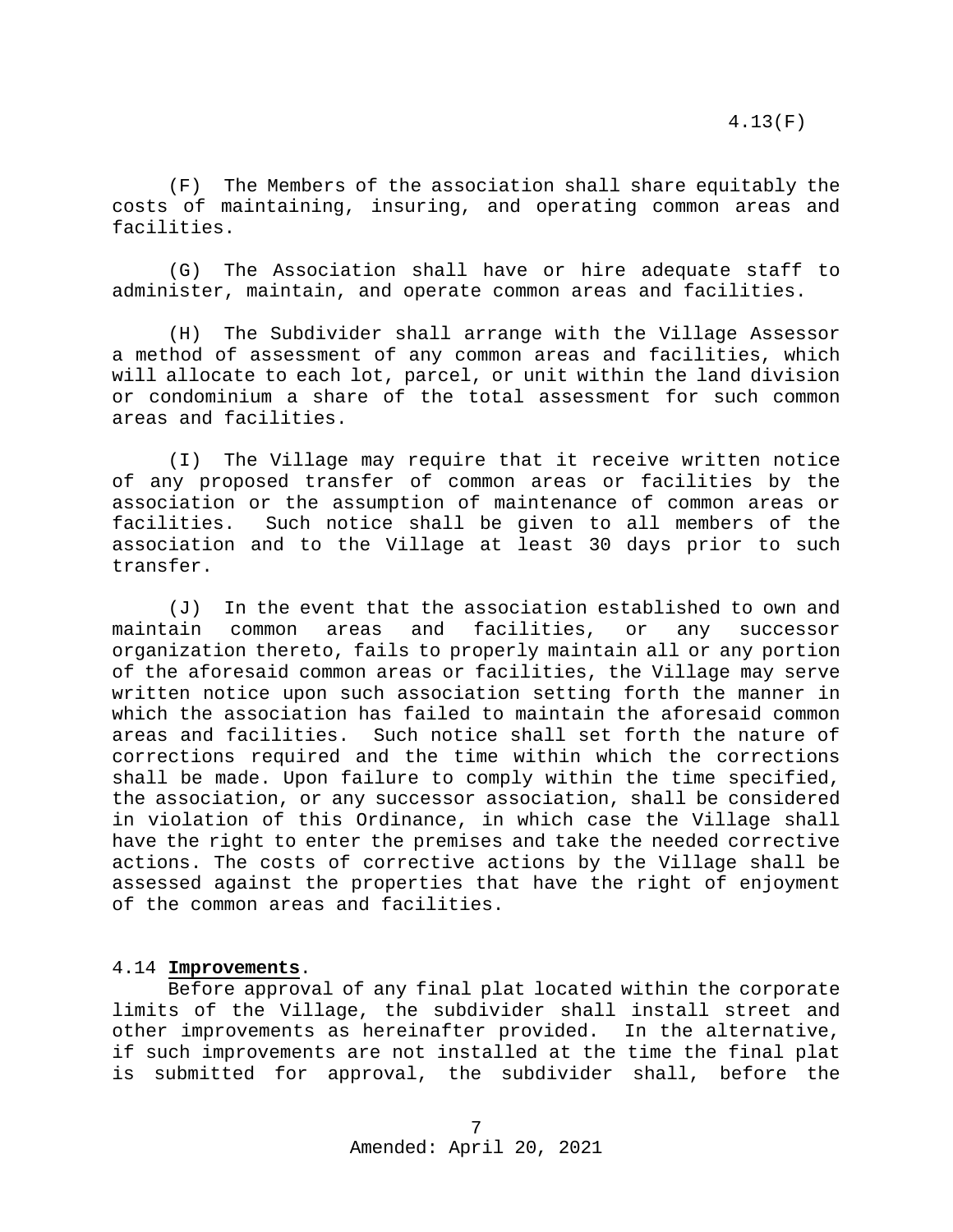(F) The Members of the association shall share equitably the costs of maintaining, insuring, and operating common areas and facilities.

(G) The Association shall have or hire adequate staff to administer, maintain, and operate common areas and facilities.

(H) The Subdivider shall arrange with the Village Assessor a method of assessment of any common areas and facilities, which will allocate to each lot, parcel, or unit within the land division or condominium a share of the total assessment for such common areas and facilities.

(I) The Village may require that it receive written notice of any proposed transfer of common areas or facilities by the association or the assumption of maintenance of common areas or<br>facilities. Such notice shall be given to all members of the Such notice shall be given to all members of the association and to the Village at least 30 days prior to such transfer.

(J) In the event that the association established to own and maintain common areas and facilities, or any successor organization thereto, fails to properly maintain all or any portion of the aforesaid common areas or facilities, the Village may serve written notice upon such association setting forth the manner in which the association has failed to maintain the aforesaid common areas and facilities. Such notice shall set forth the nature of corrections required and the time within which the corrections shall be made. Upon failure to comply within the time specified, the association, or any successor association, shall be considered in violation of this Ordinance, in which case the Village shall have the right to enter the premises and take the needed corrective actions. The costs of corrective actions by the Village shall be assessed against the properties that have the right of enjoyment of the common areas and facilities.

# <span id="page-6-0"></span>4.14 **Improvements**.

Before approval of any final plat located within the corporate limits of the Village, the subdivider shall install street and other improvements as hereinafter provided. In the alternative, if such improvements are not installed at the time the final plat is submitted for approval, the subdivider shall, before the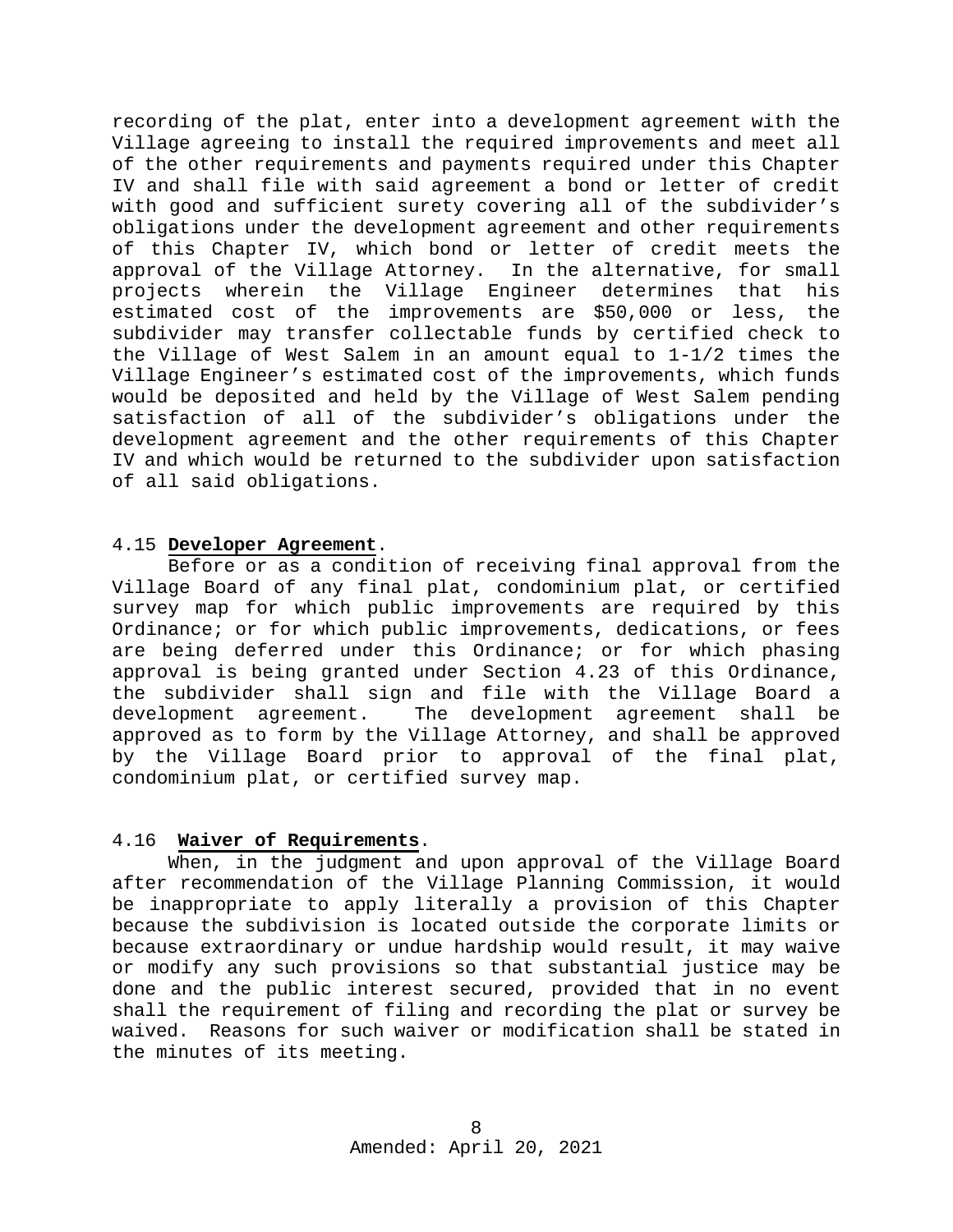recording of the plat, enter into a development agreement with the Village agreeing to install the required improvements and meet all of the other requirements and payments required under this Chapter IV and shall file with said agreement a bond or letter of credit with good and sufficient surety covering all of the subdivider's obligations under the development agreement and other requirements of this Chapter IV, which bond or letter of credit meets the approval of the Village Attorney. In the alternative, for small projects wherein the Village Engineer determines that his estimated cost of the improvements are \$50,000 or less, the subdivider may transfer collectable funds by certified check to the Village of West Salem in an amount equal to 1-1/2 times the Village Engineer's estimated cost of the improvements, which funds would be deposited and held by the Village of West Salem pending satisfaction of all of the subdivider's obligations under the development agreement and the other requirements of this Chapter IV and which would be returned to the subdivider upon satisfaction of all said obligations.

#### <span id="page-7-0"></span>4.15 **Developer Agreement**.

Before or as a condition of receiving final approval from the Village Board of any final plat, condominium plat, or certified survey map for which public improvements are required by this Ordinance; or for which public improvements, dedications, or fees are being deferred under this Ordinance; or for which phasing approval is being granted under Section 4.23 of this Ordinance, the subdivider shall sign and file with the Village Board a<br>development agreement. The development agreement shall be The development agreement shall be approved as to form by the Village Attorney, and shall be approved by the Village Board prior to approval of the final plat, condominium plat, or certified survey map.

#### <span id="page-7-1"></span>4.16 **Waiver of Requirements**.

When, in the judgment and upon approval of the Village Board after recommendation of the Village Planning Commission, it would be inappropriate to apply literally a provision of this Chapter because the subdivision is located outside the corporate limits or because extraordinary or undue hardship would result, it may waive or modify any such provisions so that substantial justice may be done and the public interest secured, provided that in no event shall the requirement of filing and recording the plat or survey be waived. Reasons for such waiver or modification shall be stated in the minutes of its meeting.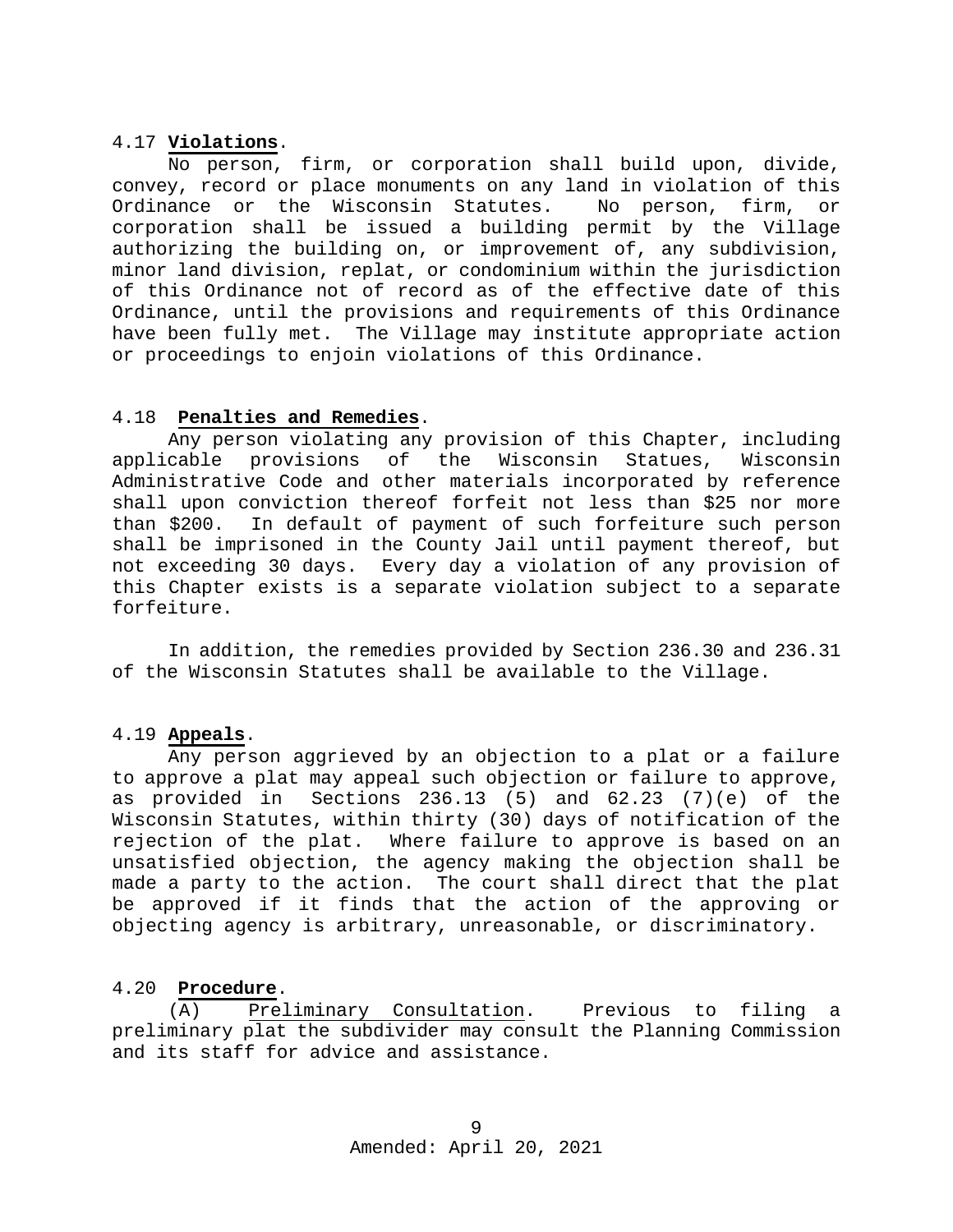#### <span id="page-8-0"></span>4.17 **Violations**.

No person, firm, or corporation shall build upon, divide, convey, record or place monuments on any land in violation of this<br>Ordinance or the Wisconsin Statutes. No person, firm, or Ordinance or the Wisconsin Statutes. No person, firm, or corporation shall be issued a building permit by the Village authorizing the building on, or improvement of, any subdivision, minor land division, replat, or condominium within the jurisdiction of this Ordinance not of record as of the effective date of this Ordinance, until the provisions and requirements of this Ordinance have been fully met. The Village may institute appropriate action or proceedings to enjoin violations of this Ordinance.

#### <span id="page-8-1"></span>4.18 **Penalties and Remedies**.

Any person violating any provision of this Chapter, including<br>cable provisions of the Wisconsin Statues, Wisconsin applicable provisions of the Wisconsin Statues, Wisconsin Administrative Code and other materials incorporated by reference shall upon conviction thereof forfeit not less than \$25 nor more<br>than \$200. In default of payment of such forfeiture such person In default of payment of such forfeiture such person shall be imprisoned in the County Jail until payment thereof, but not exceeding 30 days. Every day a violation of any provision of this Chapter exists is a separate violation subject to a separate forfeiture.

In addition, the remedies provided by Section 236.30 and 236.31 of the Wisconsin Statutes shall be available to the Village.

#### <span id="page-8-2"></span>4.19 **Appeals**.

Any person aggrieved by an objection to a plat or a failure to approve a plat may appeal such objection or failure to approve, as provided in Sections 236.13 (5) and 62.23 (7)(e) of the Wisconsin Statutes, within thirty (30) days of notification of the rejection of the plat. Where failure to approve is based on an unsatisfied objection, the agency making the objection shall be made a party to the action. The court shall direct that the plat be approved if it finds that the action of the approving or objecting agency is arbitrary, unreasonable, or discriminatory.

# <span id="page-8-3"></span>4.20 **Procedure**.

Preliminary Consultation. Previous to filing a preliminary plat the subdivider may consult the Planning Commission and its staff for advice and assistance.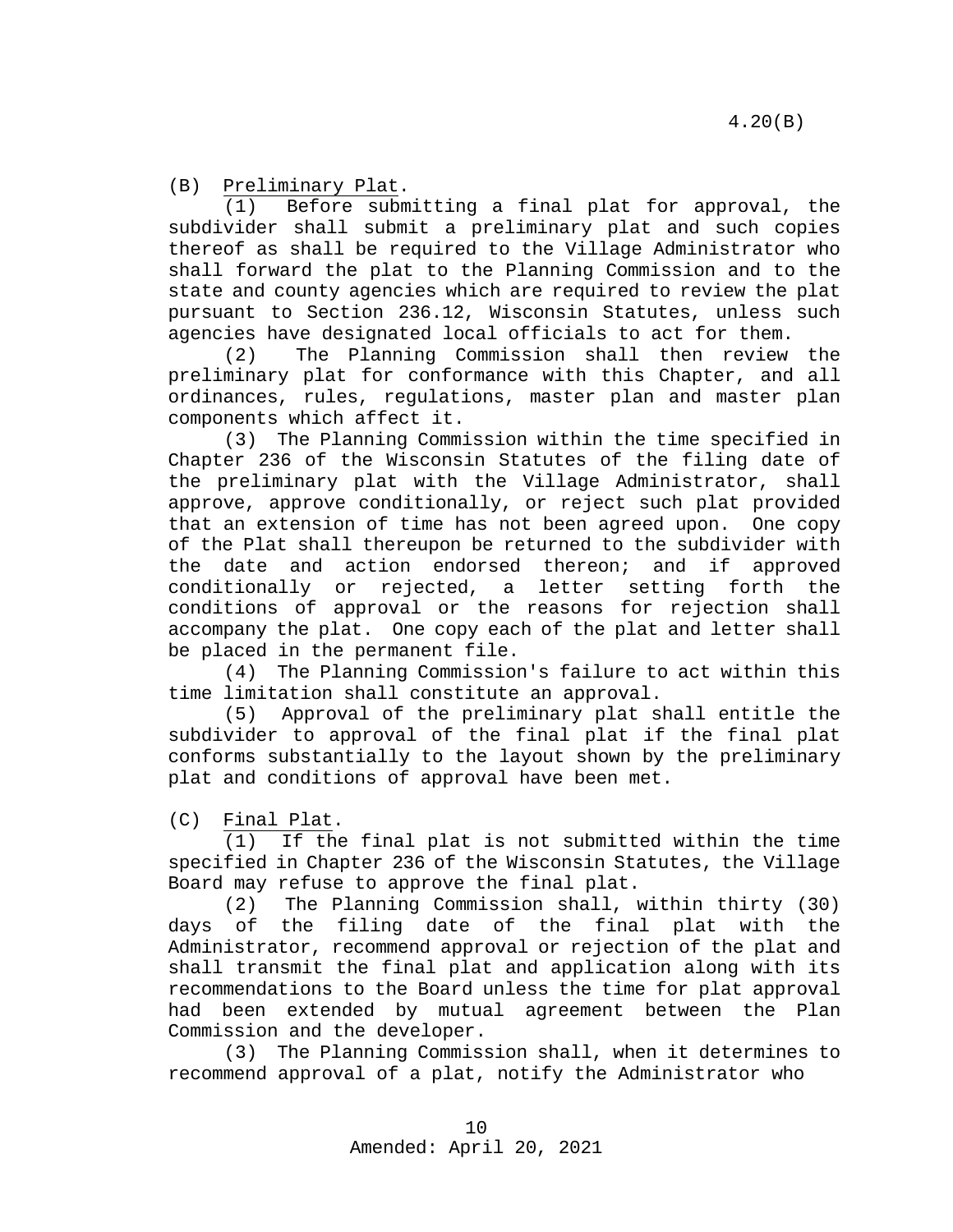(B) Preliminary Plat.<br>(1) Before subm

Before submitting a final plat for approval, the subdivider shall submit a preliminary plat and such copies thereof as shall be required to the Village Administrator who shall forward the plat to the Planning Commission and to the state and county agencies which are required to review the plat pursuant to Section 236.12, Wisconsin Statutes, unless such agencies have designated local officials to act for them.

(2) The Planning Commission shall then review the preliminary plat for conformance with this Chapter, and all ordinances, rules, regulations, master plan and master plan components which affect it.

(3) The Planning Commission within the time specified in Chapter 236 of the Wisconsin Statutes of the filing date of the preliminary plat with the Village Administrator, shall approve, approve conditionally, or reject such plat provided that an extension of time has not been agreed upon. One copy of the Plat shall thereupon be returned to the subdivider with the date and action endorsed thereon; and if approved conditionally or rejected, a letter setting forth the conditions of approval or the reasons for rejection shall accompany the plat. One copy each of the plat and letter shall be placed in the permanent file.

(4) The Planning Commission's failure to act within this time limitation shall constitute an approval.

(5) Approval of the preliminary plat shall entitle the subdivider to approval of the final plat if the final plat conforms substantially to the layout shown by the preliminary plat and conditions of approval have been met.

 $(C)$  Final Plat.<br>(1) If the

If the final plat is not submitted within the time specified in Chapter 236 of the Wisconsin Statutes, the Village Board may refuse to approve the final plat.

(2) The Planning Commission shall, within thirty (30) days of the filing date of the final plat with the Administrator, recommend approval or rejection of the plat and shall transmit the final plat and application along with its recommendations to the Board unless the time for plat approval had been extended by mutual agreement between the Plan Commission and the developer.

(3) The Planning Commission shall, when it determines to recommend approval of a plat, notify the Administrator who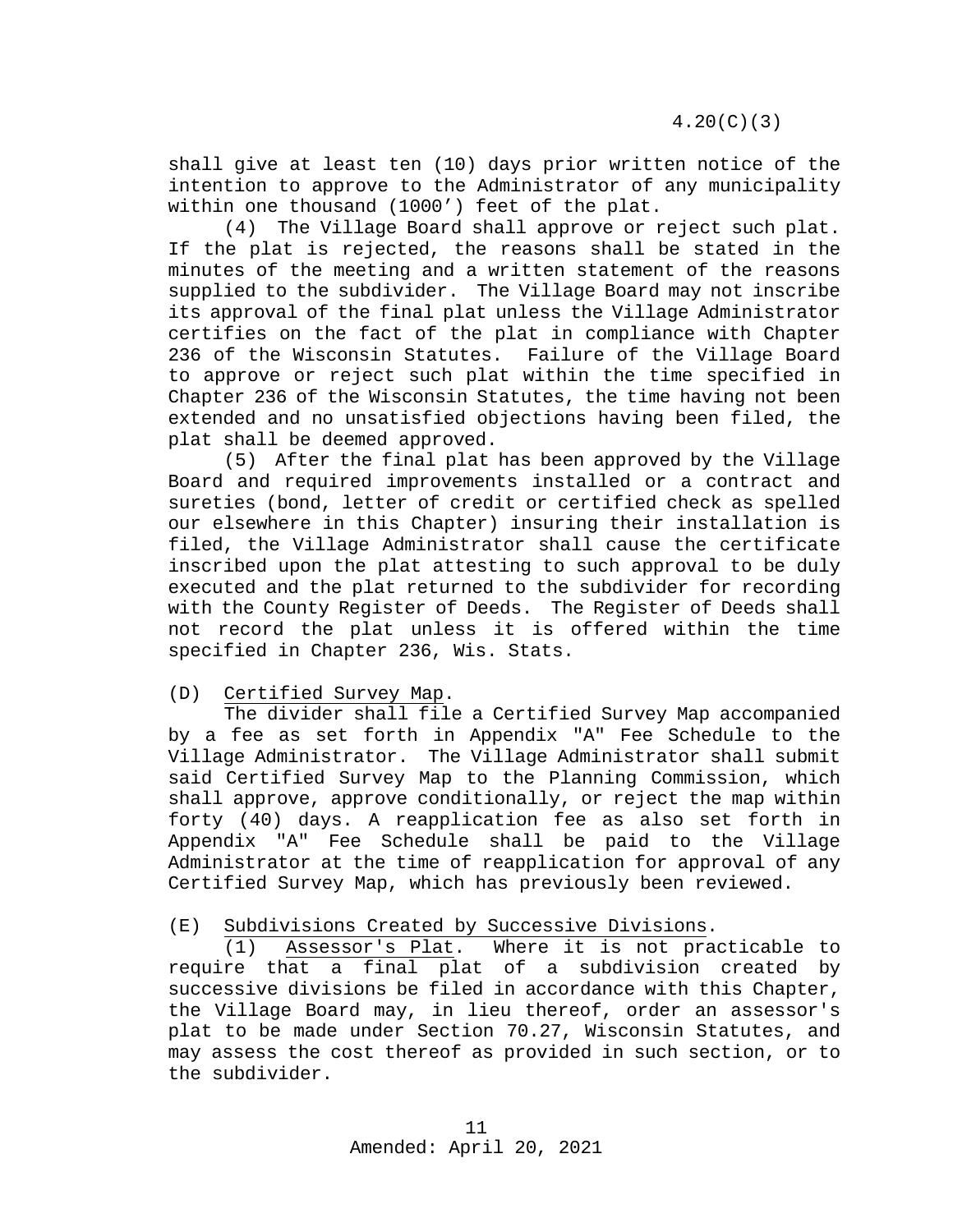shall give at least ten (10) days prior written notice of the intention to approve to the Administrator of any municipality within one thousand (1000') feet of the plat.

(4) The Village Board shall approve or reject such plat. If the plat is rejected, the reasons shall be stated in the minutes of the meeting and a written statement of the reasons supplied to the subdivider. The Village Board may not inscribe its approval of the final plat unless the Village Administrator certifies on the fact of the plat in compliance with Chapter 236 of the Wisconsin Statutes. Failure of the Village Board to approve or reject such plat within the time specified in Chapter 236 of the Wisconsin Statutes, the time having not been extended and no unsatisfied objections having been filed, the plat shall be deemed approved.

(5) After the final plat has been approved by the Village Board and required improvements installed or a contract and sureties (bond, letter of credit or certified check as spelled our elsewhere in this Chapter) insuring their installation is filed, the Village Administrator shall cause the certificate inscribed upon the plat attesting to such approval to be duly executed and the plat returned to the subdivider for recording with the County Register of Deeds. The Register of Deeds shall not record the plat unless it is offered within the time specified in Chapter 236, Wis. Stats.

#### (D) Certified Survey Map.

The divider shall file a Certified Survey Map accompanied by a fee as set forth in Appendix "A" Fee Schedule to the Village Administrator. The Village Administrator shall submit said Certified Survey Map to the Planning Commission, which shall approve, approve conditionally, or reject the map within forty (40) days. A reapplication fee as also set forth in Appendix "A" Fee Schedule shall be paid to the Village Administrator at the time of reapplication for approval of any Certified Survey Map, which has previously been reviewed.

#### (E) Subdivisions Created by Successive Divisions.

(1) Assessor's Plat. Where it is not practicable to require that a final plat of a subdivision created by successive divisions be filed in accordance with this Chapter, the Village Board may, in lieu thereof, order an assessor's plat to be made under Section 70.27, Wisconsin Statutes, and may assess the cost thereof as provided in such section, or to the subdivider.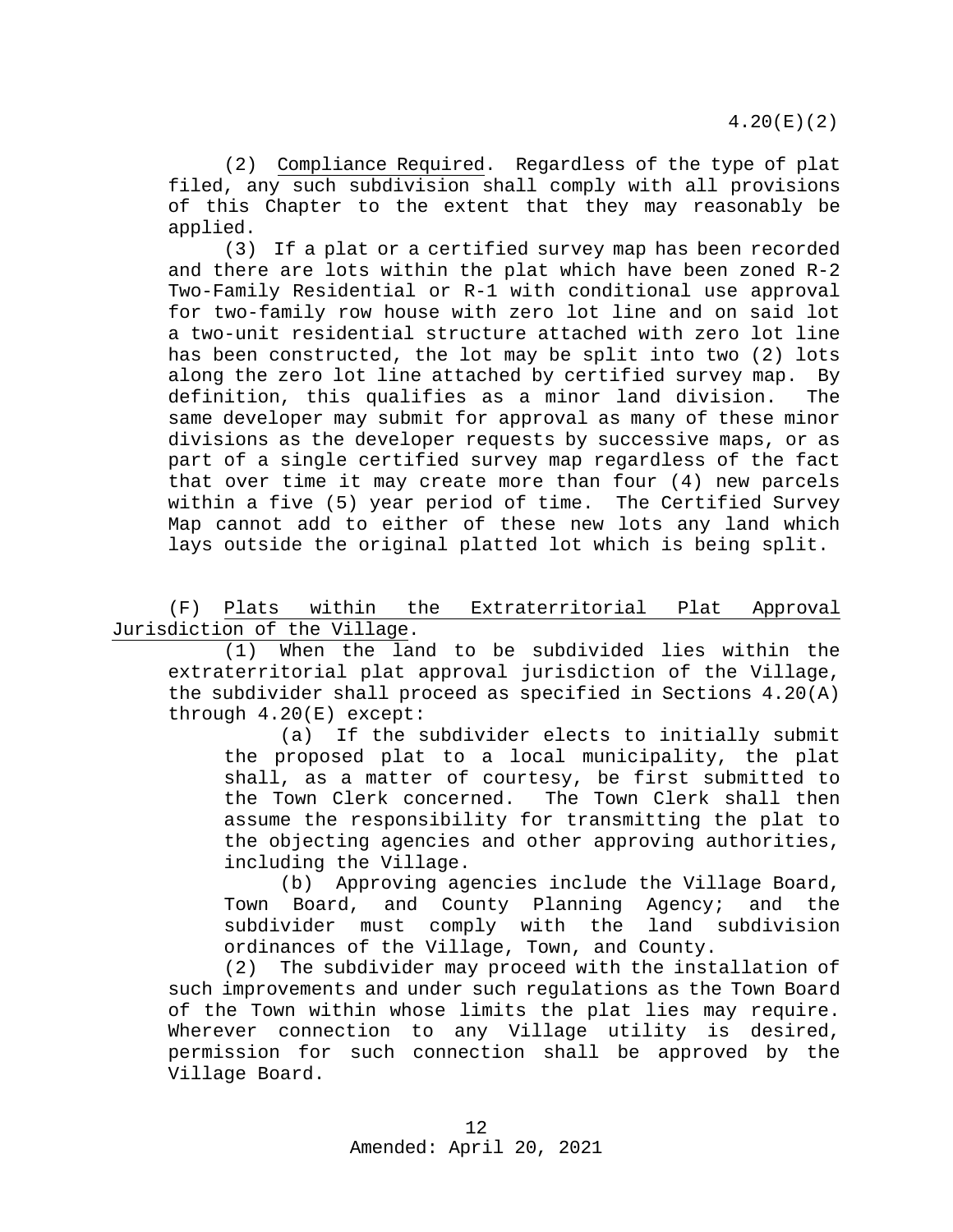(2) Compliance Required. Regardless of the type of plat filed, any such subdivision shall comply with all provisions of this Chapter to the extent that they may reasonably be applied.

(3) If a plat or a certified survey map has been recorded and there are lots within the plat which have been zoned R-2 Two-Family Residential or R-1 with conditional use approval for two-family row house with zero lot line and on said lot a two-unit residential structure attached with zero lot line has been constructed, the lot may be split into two (2) lots along the zero lot line attached by certified survey map. By definition, this qualifies as a minor land division. The same developer may submit for approval as many of these minor divisions as the developer requests by successive maps, or as part of a single certified survey map regardless of the fact that over time it may create more than four (4) new parcels within a five (5) year period of time. The Certified Survey Map cannot add to either of these new lots any land which lays outside the original platted lot which is being split.

(F) Plats within the Extraterritorial Plat Approval Jurisdiction of the Village.

(1) When the land to be subdivided lies within the extraterritorial plat approval jurisdiction of the Village, the subdivider shall proceed as specified in Sections 4.20(A) through 4.20(E) except:<br>(a) If the s

If the subdivider elects to initially submit the proposed plat to a local municipality, the plat shall, as a matter of courtesy, be first submitted to<br>the Town Clerk concerned. The Town Clerk shall then the Town Clerk concerned. assume the responsibility for transmitting the plat to the objecting agencies and other approving authorities, including the Village.

(b) Approving agencies include the Village Board, Town Board, and County Planning Agency; and the subdivider must comply with the land subdivision ordinances of the Village, Town, and County.<br>(2) The subdivider may proceed with the inst

The subdivider may proceed with the installation of such improvements and under such regulations as the Town Board of the Town within whose limits the plat lies may require. Wherever connection to any Village utility is desired, permission for such connection shall be approved by the Village Board.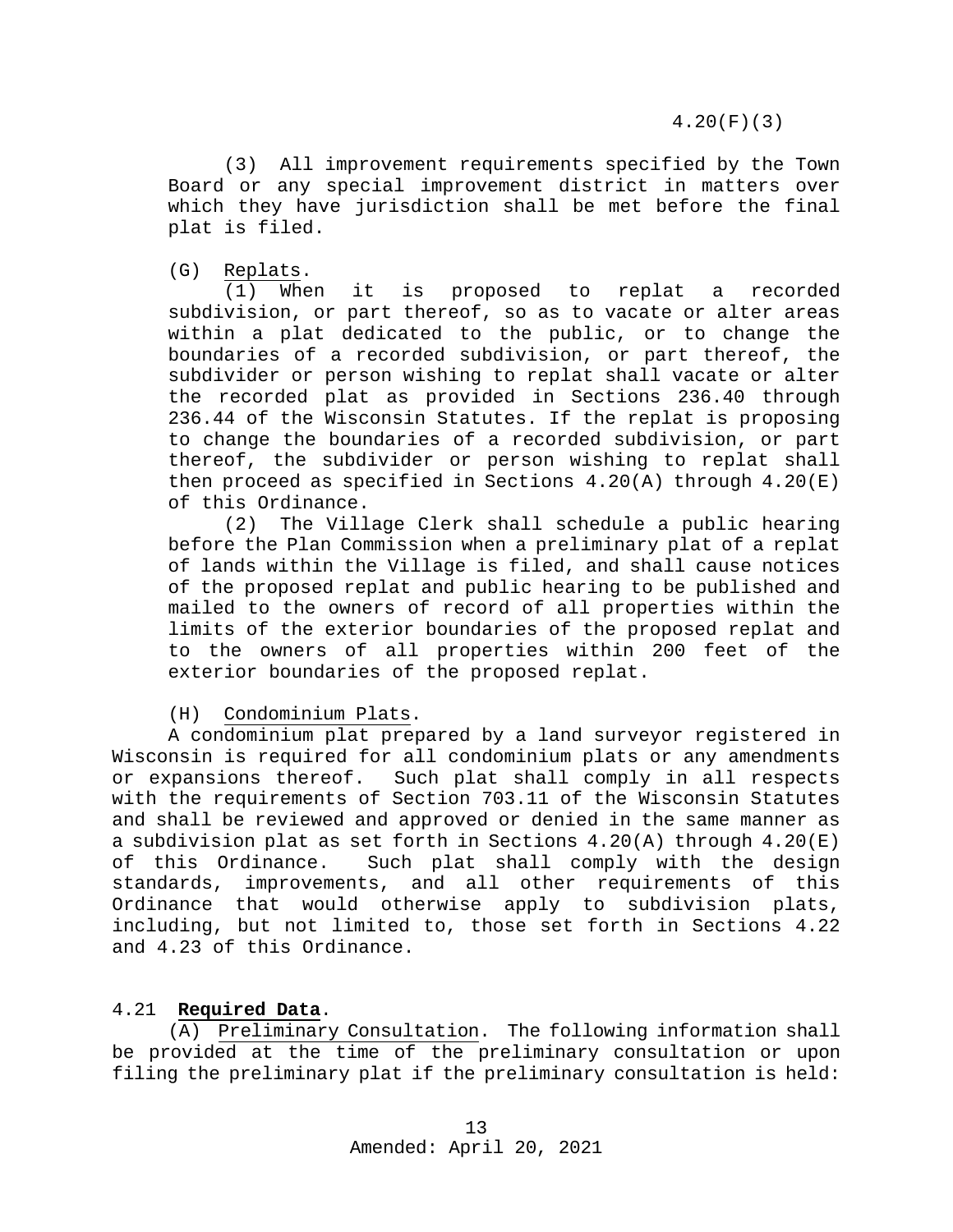4.20(F)(3)

(3) All improvement requirements specified by the Town Board or any special improvement district in matters over which they have jurisdiction shall be met before the final plat is filed.

(G)  $\frac{\text{Replats}}{(1) \text{ When}}$ it is proposed to replat a recorded subdivision, or part thereof, so as to vacate or alter areas within a plat dedicated to the public, or to change the boundaries of a recorded subdivision, or part thereof, the subdivider or person wishing to replat shall vacate or alter the recorded plat as provided in Sections 236.40 through 236.44 of the Wisconsin Statutes. If the replat is proposing to change the boundaries of a recorded subdivision, or part thereof, the subdivider or person wishing to replat shall then proceed as specified in Sections 4.20(A) through 4.20(E) of this Ordinance.<br>(2) The Vill

The Village Clerk shall schedule a public hearing before the Plan Commission when a preliminary plat of a replat of lands within the Village is filed, and shall cause notices of the proposed replat and public hearing to be published and mailed to the owners of record of all properties within the limits of the exterior boundaries of the proposed replat and to the owners of all properties within 200 feet of the exterior boundaries of the proposed replat.

# (H) Condominium Plats.

A condominium plat prepared by a land surveyor registered in Wisconsin is required for all condominium plats or any amendments or expansions thereof. Such plat shall comply in all respects with the requirements of Section 703.11 of the Wisconsin Statutes and shall be reviewed and approved or denied in the same manner as a subdivision plat as set forth in Sections  $4.20(A)$  through  $4.20(E)$  of this Ordinance. Such plat shall comply with the design Such plat shall comply with the design standards, improvements, and all other requirements of this Ordinance that would otherwise apply to subdivision plats, including, but not limited to, those set forth in Sections 4.22 and 4.23 of this Ordinance.

# <span id="page-12-0"></span>4.21 **Required Data**.

(A) Preliminary Consultation. The following information shall be provided at the time of the preliminary consultation or upon filing the preliminary plat if the preliminary consultation is held: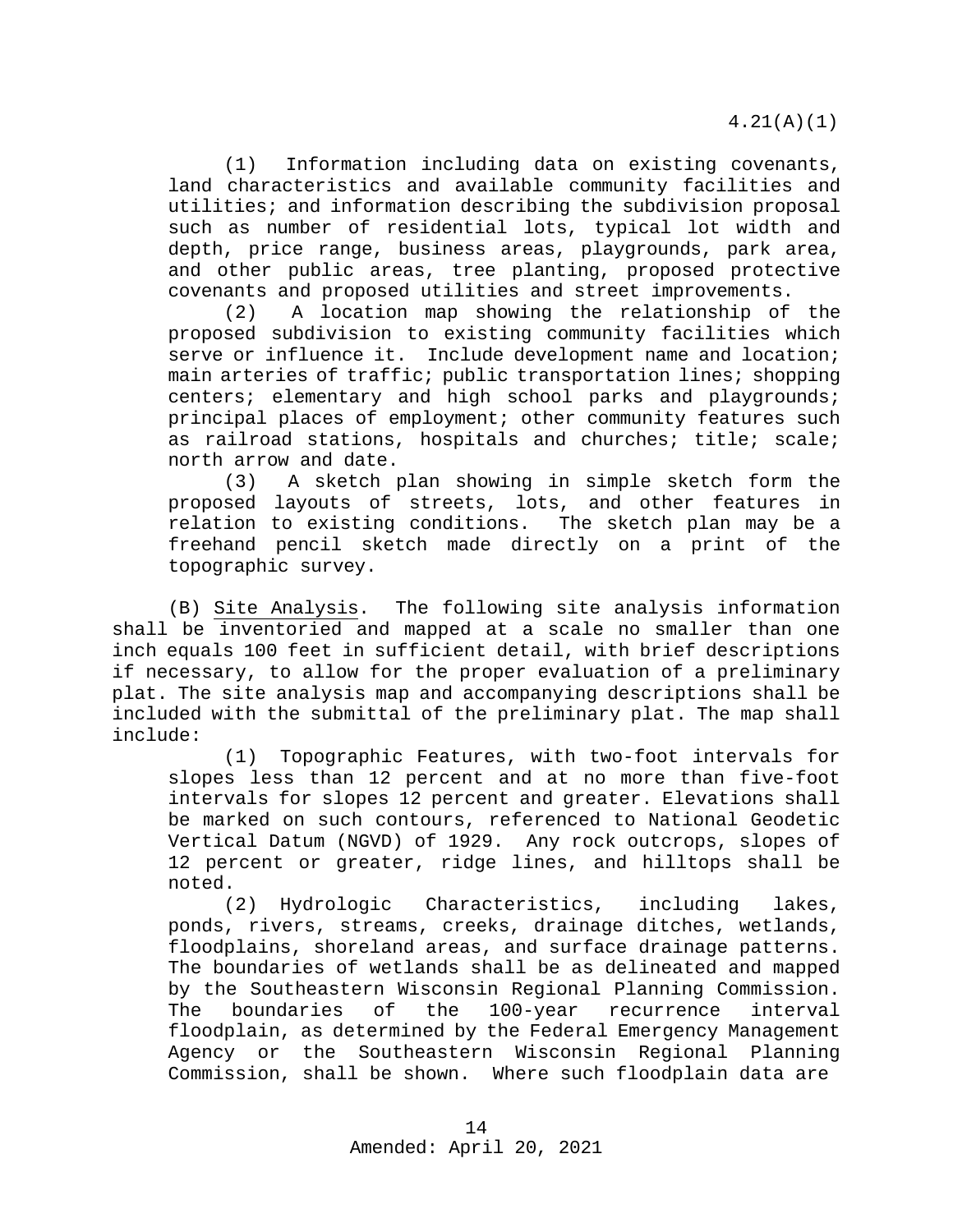(1) Information including data on existing covenants, land characteristics and available community facilities and utilities; and information describing the subdivision proposal such as number of residential lots, typical lot width and depth, price range, business areas, playgrounds, park area, and other public areas, tree planting, proposed protective covenants and proposed utilities and street improvements.

(2) A location map showing the relationship of the proposed subdivision to existing community facilities which serve or influence it. Include development name and location; main arteries of traffic; public transportation lines; shopping centers; elementary and high school parks and playgrounds; principal places of employment; other community features such as railroad stations, hospitals and churches; title; scale; north arrow and date.<br>(3) A sketch t

A sketch plan showing in simple sketch form the proposed layouts of streets, lots, and other features in relation to existing conditions. The sketch plan may be a freehand pencil sketch made directly on a print of the topographic survey.

(B) Site Analysis. The following site analysis information shall be inventoried and mapped at a scale no smaller than one inch equals 100 feet in sufficient detail, with brief descriptions if necessary, to allow for the proper evaluation of a preliminary plat. The site analysis map and accompanying descriptions shall be included with the submittal of the preliminary plat. The map shall include:

(1) Topographic Features, with two-foot intervals for slopes less than 12 percent and at no more than five-foot intervals for slopes 12 percent and greater. Elevations shall be marked on such contours, referenced to National Geodetic Vertical Datum (NGVD) of 1929. Any rock outcrops, slopes of 12 percent or greater, ridge lines, and hilltops shall be noted.

(2) Hydrologic Characteristics, including lakes, ponds, rivers, streams, creeks, drainage ditches, wetlands, floodplains, shoreland areas, and surface drainage patterns. The boundaries of wetlands shall be as delineated and mapped by the Southeastern Wisconsin Regional Planning Commission.<br>The boundaries of the 100-year recurrence interval recurrence interval floodplain, as determined by the Federal Emergency Management Agency or the Southeastern Wisconsin Regional Planning Commission, shall be shown. Where such floodplain data are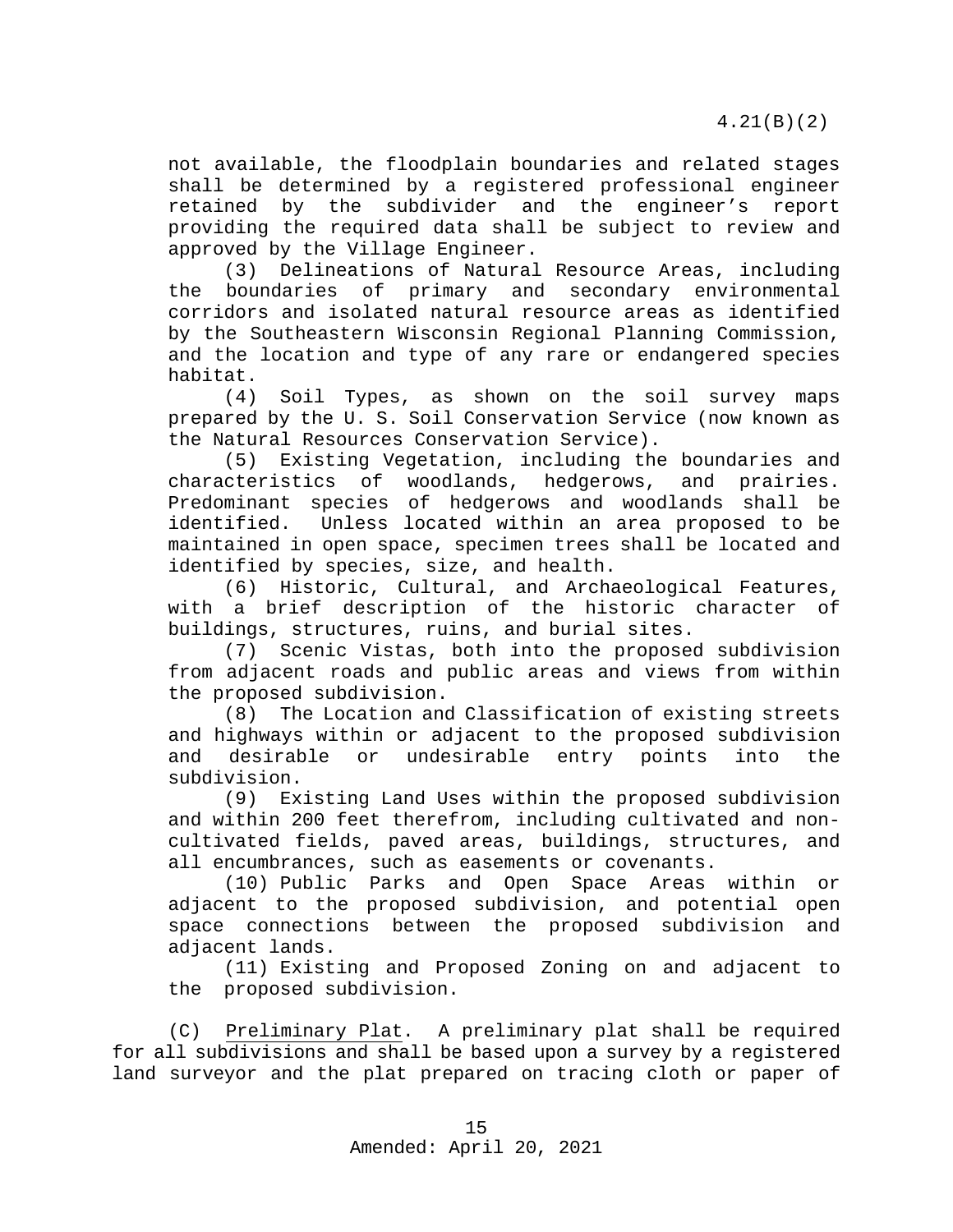not available, the floodplain boundaries and related stages shall be determined by a registered professional engineer retained by the subdivider and the engineer's report providing the required data shall be subject to review and approved by the Village Engineer.

(3) Delineations of Natural Resource Areas, including the boundaries of primary and secondary environmental corridors and isolated natural resource areas as identified by the Southeastern Wisconsin Regional Planning Commission, and the location and type of any rare or endangered species habitat.<br> $(4)$ 

Soil Types, as shown on the soil survey maps prepared by the U. S. Soil Conservation Service (now known as the Natural Resources Conservation Service).

(5) Existing Vegetation, including the boundaries and characteristics of woodlands, hedgerows, Predominant species of hedgerows and woodlands shall be identified. Unless located within an area proposed to be Unless located within an area proposed to be maintained in open space, specimen trees shall be located and identified by species, size, and health.

(6) Historic, Cultural, and Archaeological Features, with a brief description of the historic character of buildings, structures, ruins, and burial sites.

(7) Scenic Vistas, both into the proposed subdivision from adjacent roads and public areas and views from within the proposed subdivision.

(8) The Location and Classification of existing streets and highways within or adjacent to the proposed subdivision<br>and desirable or undesirable entry points into the and desirable or undesirable entry points into the subdivision.

(9) Existing Land Uses within the proposed subdivision and within 200 feet therefrom, including cultivated and noncultivated fields, paved areas, buildings, structures, and all encumbrances, such as easements or covenants.

(10) Public Parks and Open Space Areas within or adjacent to the proposed subdivision, and potential open space connections between the proposed subdivision and adjacent lands.

(11) Existing and Proposed Zoning on and adjacent to the proposed subdivision.

(C) Preliminary Plat. A preliminary plat shall be required for all subdivisions and shall be based upon a survey by a registered land surveyor and the plat prepared on tracing cloth or paper of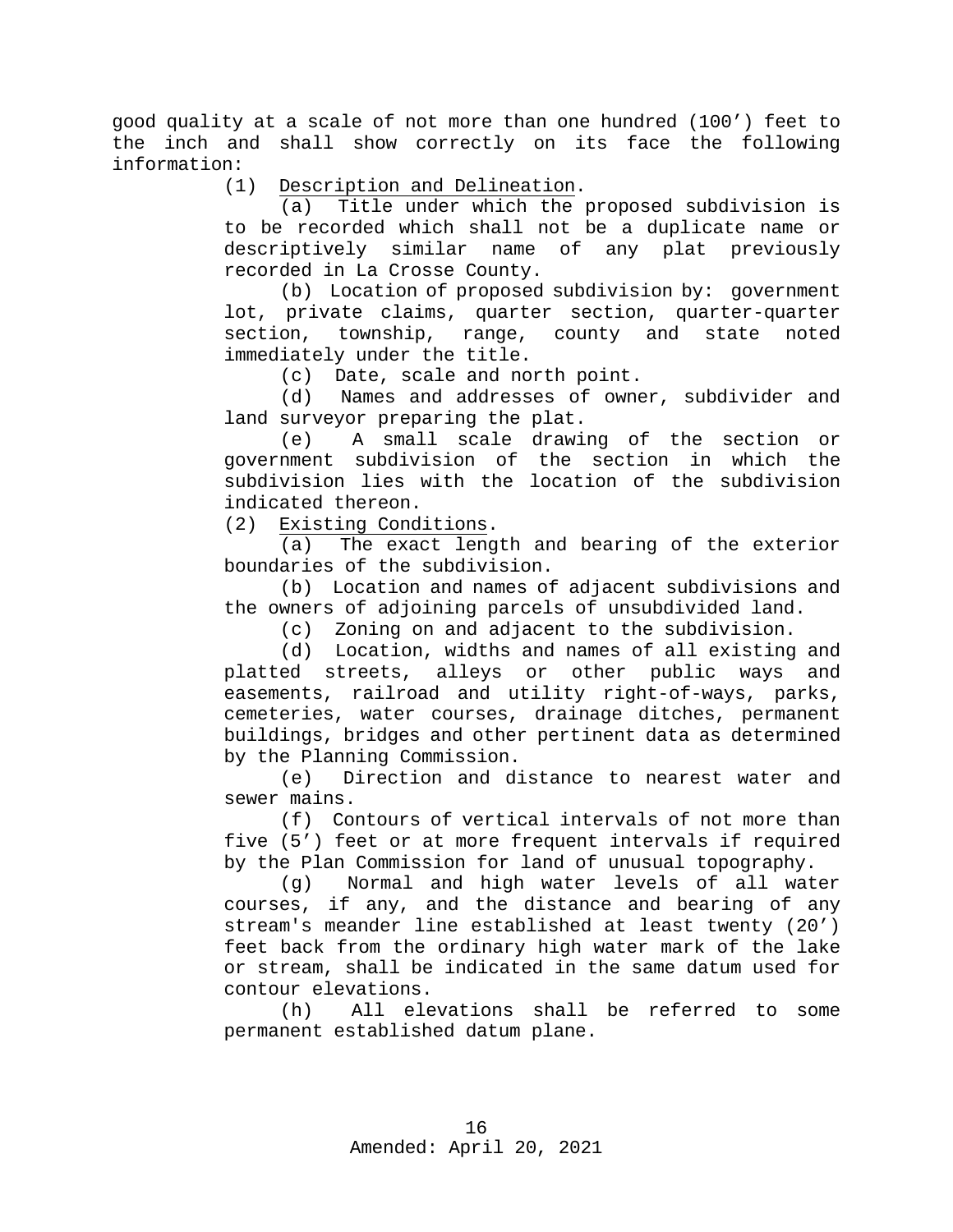good quality at a scale of not more than one hundred (100') feet to the inch and shall show correctly on its face the following information:

(1) Description and Delineation.

(a) Title under which the proposed subdivision is to be recorded which shall not be a duplicate name or descriptively similar name of any plat previously recorded in La Crosse County.

(b) Location of proposed subdivision by: government lot, private claims, quarter section, quarter-quarter<br>section, township, range, county and state noted township, range, county and state noted immediately under the title.

(c) Date, scale and north point.<br>(d) Names and addresses of owne

Names and addresses of owner, subdivider and land surveyor preparing the plat.

(e) A small scale drawing of the section or government subdivision of the section in which the subdivision lies with the location of the subdivision indicated thereon.

(2) Existing Conditions.

(a) The exact length and bearing of the exterior boundaries of the subdivision.

(b) Location and names of adjacent subdivisions and the owners of adjoining parcels of unsubdivided land.

(c) Zoning on and adjacent to the subdivision.

(d) Location, widths and names of all existing and platted streets, alleys or other public ways and easements, railroad and utility right-of-ways, parks, cemeteries, water courses, drainage ditches, permanent buildings, bridges and other pertinent data as determined by the Planning Commission.

(e) Direction and distance to nearest water and sewer mains.

(f) Contours of vertical intervals of not more than five (5') feet or at more frequent intervals if required by the Plan Commission for land of unusual topography.

(g) Normal and high water levels of all water courses, if any, and the distance and bearing of any stream's meander line established at least twenty (20') feet back from the ordinary high water mark of the lake or stream, shall be indicated in the same datum used for contour elevations.<br>(h) All ele

All elevations shall be referred to some permanent established datum plane.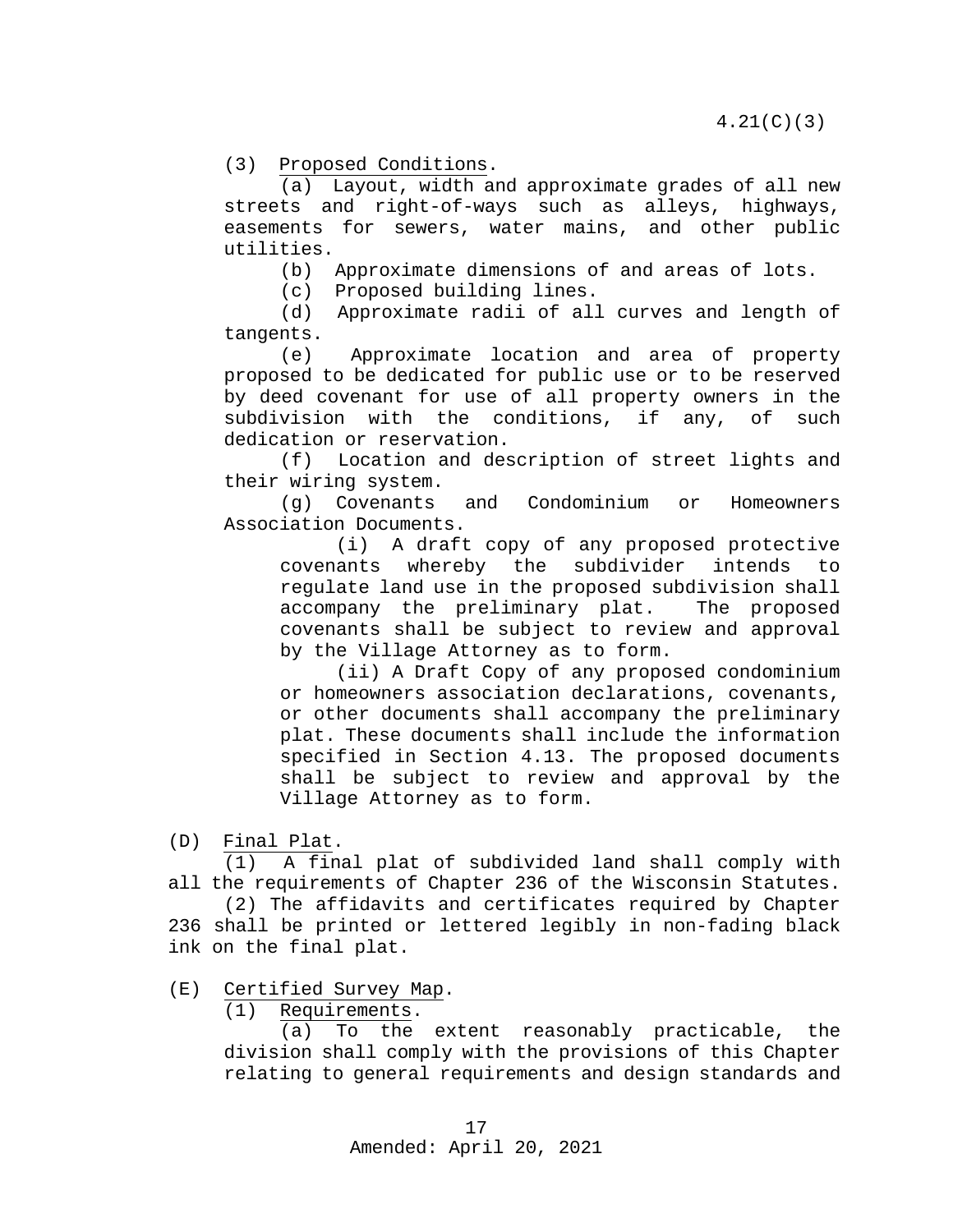(3) Proposed Conditions.

(a) Layout, width and approximate grades of all new streets and right-of-ways such as alleys, highways, easements for sewers, water mains, and other public utilities.

(b) Approximate dimensions of and areas of lots.

(c) Proposed building lines.

(d) Approximate radii of all curves and length of tangents.

(e) Approximate location and area of property proposed to be dedicated for public use or to be reserved by deed covenant for use of all property owners in the subdivision with the conditions, if any, of such dedication or reservation.

(f) Location and description of street lights and their wiring system.<br>(q) Covenants

Covenants and Condominium or Homeowners Association Documents.

(i) A draft copy of any proposed protective<br>ants whereby the subdivider intends to covenants whereby the subdivider intends to regulate land use in the proposed subdivision shall accompany the preliminary plat. The proposed covenants shall be subject to review and approval by the Village Attorney as to form.

(ii) A Draft Copy of any proposed condominium or homeowners association declarations, covenants, or other documents shall accompany the preliminary plat. These documents shall include the information specified in Section 4.13. The proposed documents shall be subject to review and approval by the Village Attorney as to form.

 $(D)$  Final Plat.<br>(1) A fina

A final plat of subdivided land shall comply with all the requirements of Chapter 236 of the Wisconsin Statutes.

(2) The affidavits and certificates required by Chapter 236 shall be printed or lettered legibly in non-fading black ink on the final plat.

 $(E)$  Certified Survey Map.<br>(1) Requirements.

Requirements.

(a) To the extent reasonably practicable, the division shall comply with the provisions of this Chapter relating to general requirements and design standards and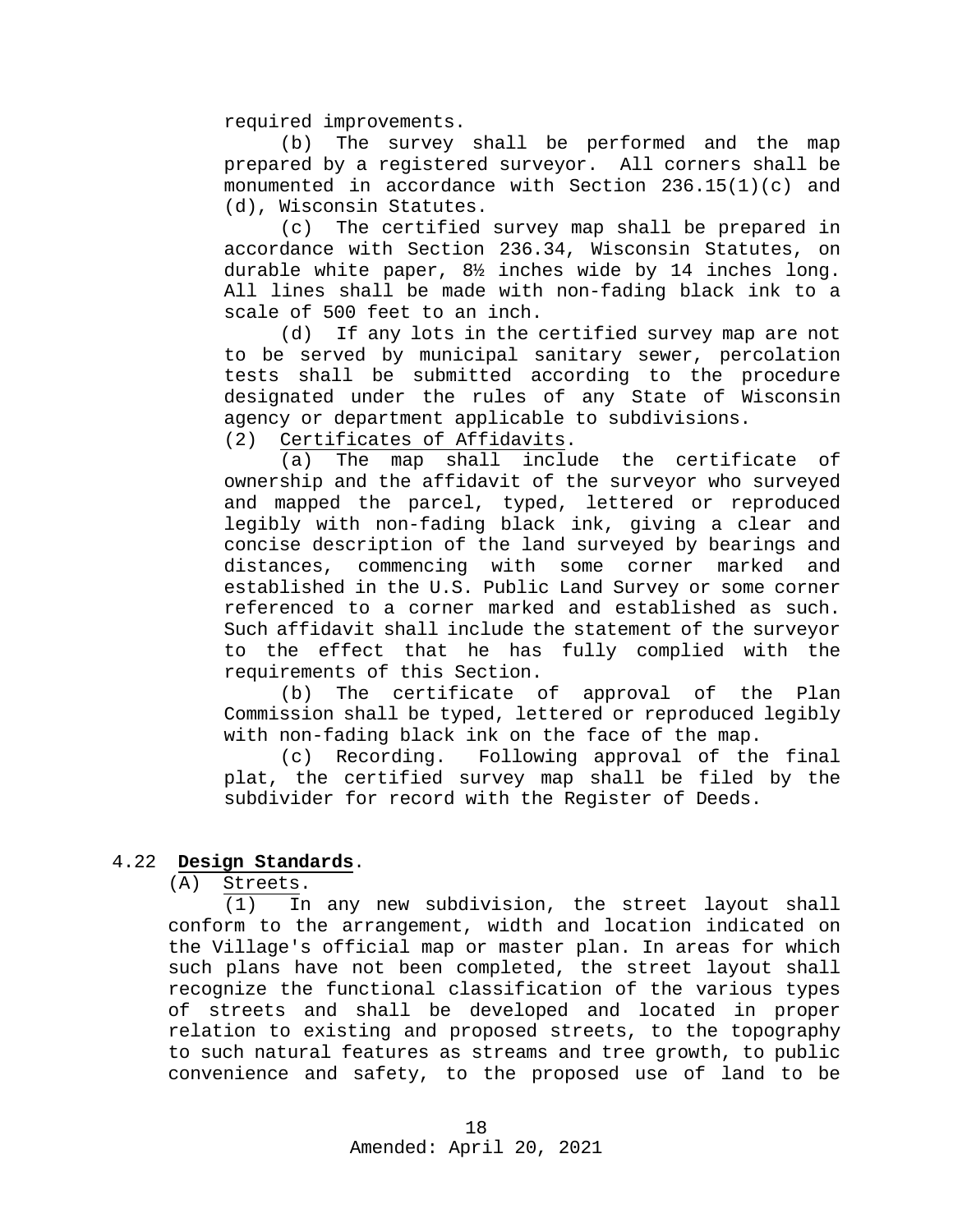required improvements.

(b) The survey shall be performed and the map prepared by a registered surveyor. All corners shall be monumented in accordance with Section 236.15(1)(c) and (d), Wisconsin Statutes.

(c) The certified survey map shall be prepared in accordance with Section 236.34, Wisconsin Statutes, on durable white paper, 8½ inches wide by 14 inches long. All lines shall be made with non-fading black ink to a scale of 500 feet to an inch.<br>(d) If any lots in the o

If any lots in the certified survey map are not to be served by municipal sanitary sewer, percolation tests shall be submitted according to the procedure designated under the rules of any State of Wisconsin agency or department applicable to subdivisions.

(2) Certificates of Affidavits.

(a) The map shall include the certificate of ownership and the affidavit of the surveyor who surveyed and mapped the parcel, typed, lettered or reproduced legibly with non-fading black ink, giving a clear and concise description of the land surveyed by bearings and distances, commencing with some corner marked and established in the U.S. Public Land Survey or some corner referenced to a corner marked and established as such. Such affidavit shall include the statement of the surveyor to the effect that he has fully complied with the requirements of this Section.

(b) The certificate of approval of the Plan Commission shall be typed, lettered or reproduced legibly with non-fading black ink on the face of the map.

(c) Recording. Following approval of the final plat, the certified survey map shall be filed by the subdivider for record with the Register of Deeds.

# 4.22 **Design Standards**.

<span id="page-17-0"></span>(A) Streets.

(1) In any new subdivision, the street layout shall conform to the arrangement, width and location indicated on the Village's official map or master plan. In areas for which such plans have not been completed, the street layout shall recognize the functional classification of the various types of streets and shall be developed and located in proper relation to existing and proposed streets, to the topography to such natural features as streams and tree growth, to public convenience and safety, to the proposed use of land to be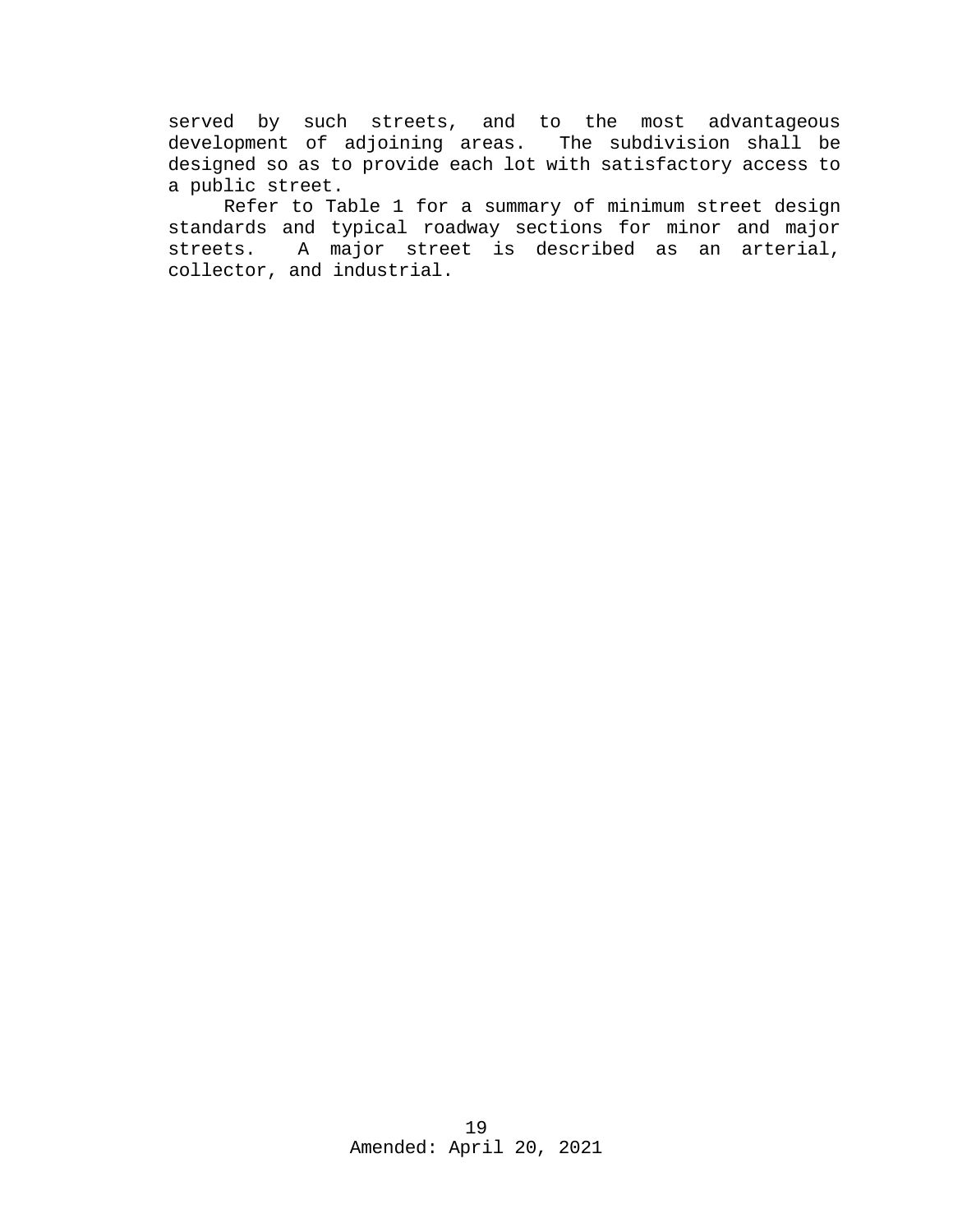served by such streets, and to the most advantageous development of adjoining areas. The subdivision shall be designed so as to provide each lot with satisfactory access to a public street.

Refer to Table 1 for a summary of minimum street design standards and typical roadway sections for minor and major streets. A major street is described as an arterial, collector, and industrial.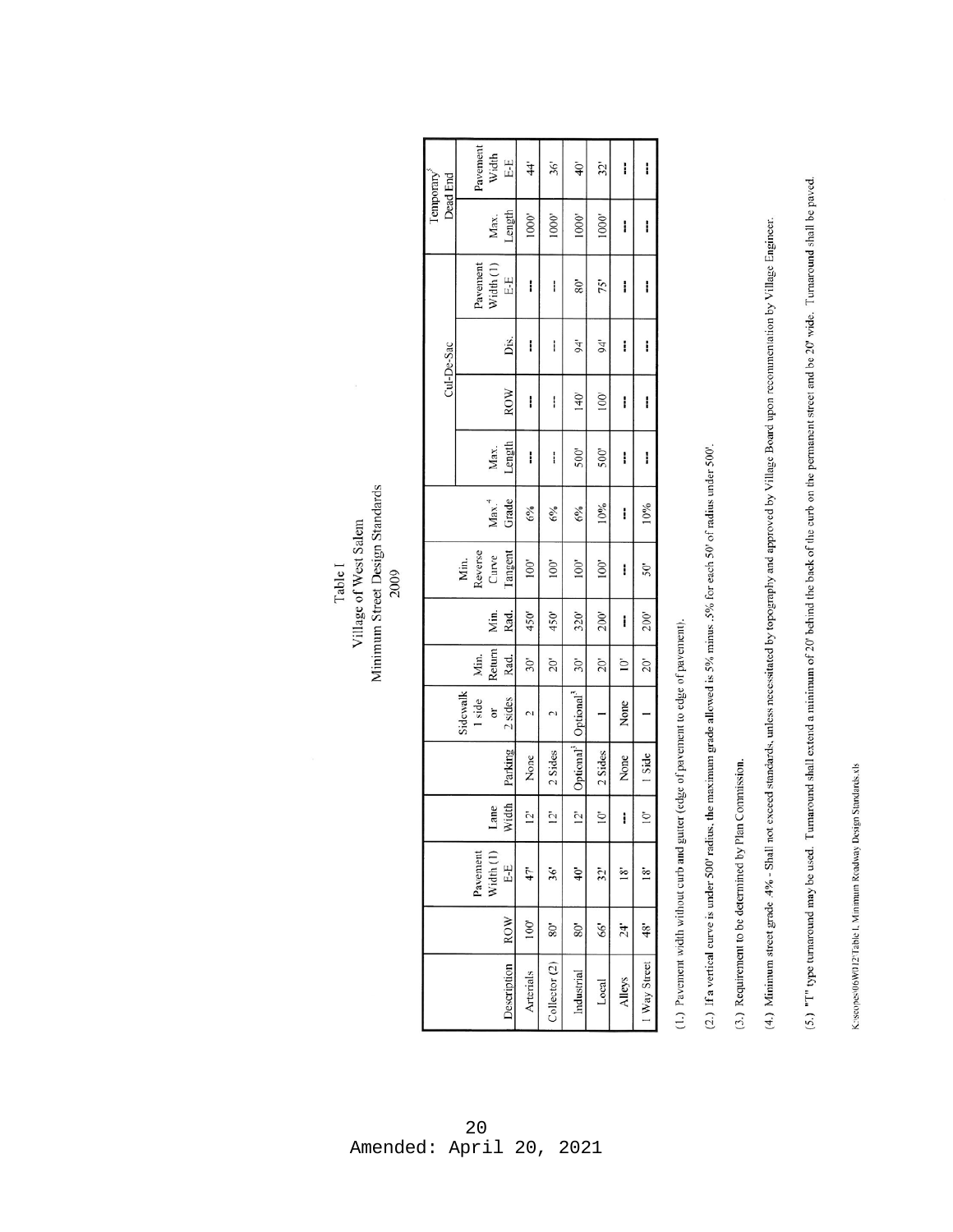K:/scopes/06W012/Table L Minimum Roadway Design Standards.xls

(5.) "I" type turnaround may be used. Turnaround shall extend a minimum of 20' behind the back of the curb on the permanent street and be 20' wide. Turnaround shall be paved.

(4.) Minimum street grade .4% - Shall not exceed standards, unless necessitated by topography and approved by Village Board upon recommentation by Village Engineer.

(2.) If a vertical curve is under 500' radius, the maximum grade allowed is 5% minus. 5% for each 50' of radius under 500'.

(3.) Requirement to be determined by Plan Commission.

(1.) Pavement width without curb and gutter (edge of pavement to edge of pavement).

Minimum Street Design Standards Village of West Salem Table I 2009

| Dead End<br>Temporary |  | Pavement | Width                    | E-E                  | $\frac{44}{3}$ | 36'            | $40^{\circ}$          | 32'                   | i            | i                |              |
|-----------------------|--|----------|--------------------------|----------------------|----------------|----------------|-----------------------|-----------------------|--------------|------------------|--------------|
|                       |  |          |                          | Max.                 | Length         | 1000           | 1000'                 | 1000'                 | 1000'        | i                | i            |
|                       |  |          | Pavement                 | Width <sub>(1)</sub> | E-E            | I              | I                     | 38                    | 75'          | i                | i            |
| Cul-De-Sac            |  |          |                          |                      | Diś.           | I              | i                     | 94"                   | 94'          | l                | I            |
|                       |  |          |                          |                      | ROW            | I              | I                     | 140'                  | 100'         | i                | I            |
|                       |  |          |                          | Max.                 | Length         | I              | i                     | 500'                  | 500'         | i                | ļ            |
|                       |  |          |                          | Max. <sup>4</sup>    | Grade          | 6%             | 6%                    | 6%                    | 10%          | i                | 10%          |
|                       |  |          | Min.<br>Reverse<br>Curve |                      | Tangent        | 100'           | 100'                  | 100'                  | 100'         | ļ                | $50^{\circ}$ |
|                       |  |          |                          | Min.                 | Rad.           | 450'           | 450'                  | 320'                  | 200'         | i                | 200'         |
|                       |  |          | Min.                     | Return               | Rad.           | $30^{\circ}$   | $\tilde{\varepsilon}$ | $30^{\circ}$          | $20^{\circ}$ | $\sum_{i=1}^{n}$ | $20^{\circ}$ |
|                       |  | Sidewalk | 1 side                   | ð                    | 2 sides        | C              | V                     | Optional <sup>-</sup> |              | None             |              |
|                       |  |          |                          |                      | Parking        | None           | 2 Sides               | Optional <sup>*</sup> | 2 Sides      | None             | 1 Side       |
|                       |  |          |                          | Lane                 | Width          | $\overline{c}$ | $\overline{2}$        | $\overline{2}$        | $\tilde{0}$  | i                | $\bar{c}$    |
|                       |  |          | Pavement                 | Width (1             | 뭅              | 47             | 36'                   | $\ddot{ }$            | 32'          | $\frac{8}{18}$   | ≊            |
|                       |  |          |                          |                      | <b>ROW</b>     | 100'           | $80^{\circ}$          | 80'                   | \$6'         | 24"              | 48"          |
|                       |  |          |                          |                      | Description    | Arterials      | Collectron (2)        | Industrial            | Local        | Alleys           | I Way Street |

# 20 Amended: April 20, 2021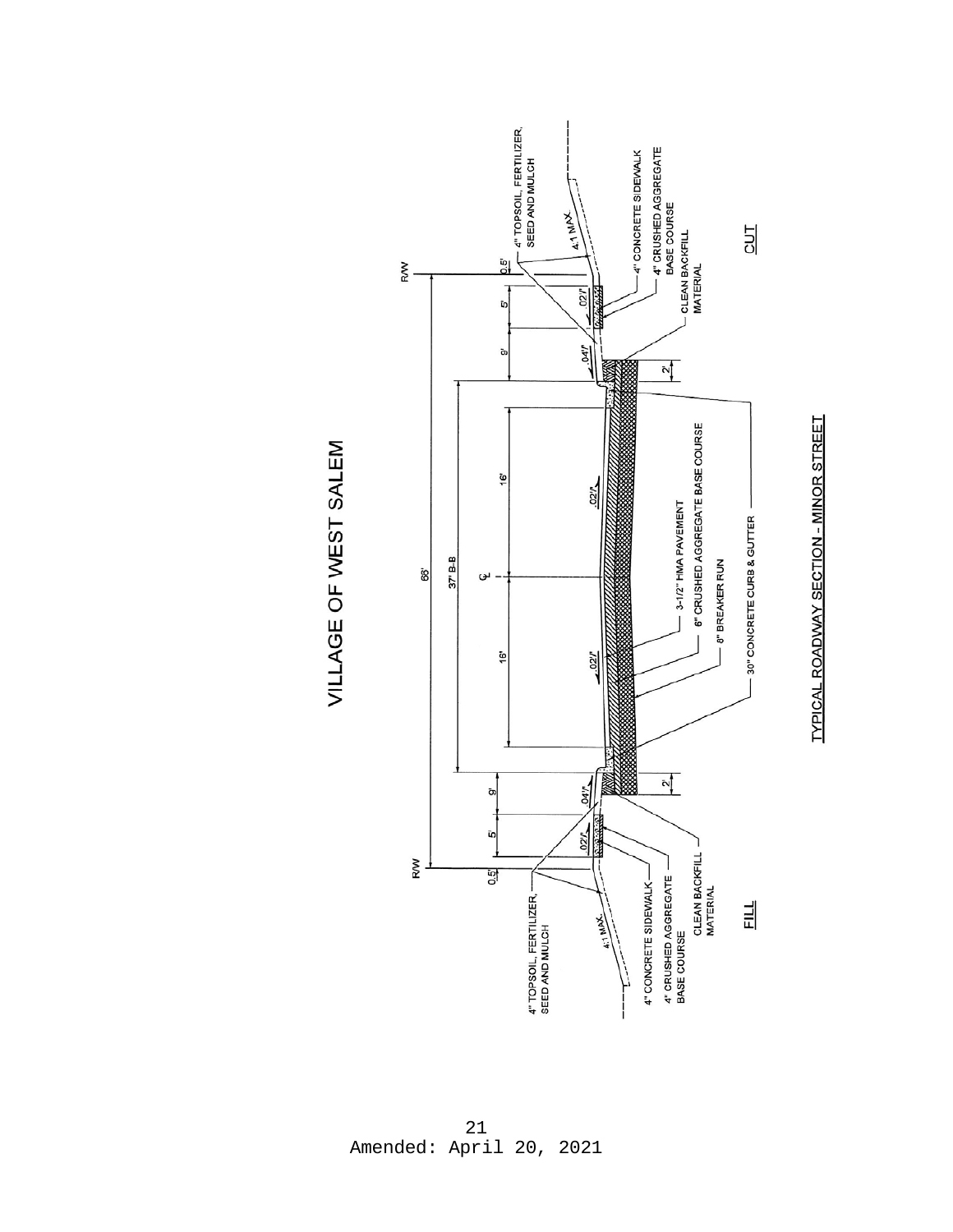



21 Amended: April 20, 2021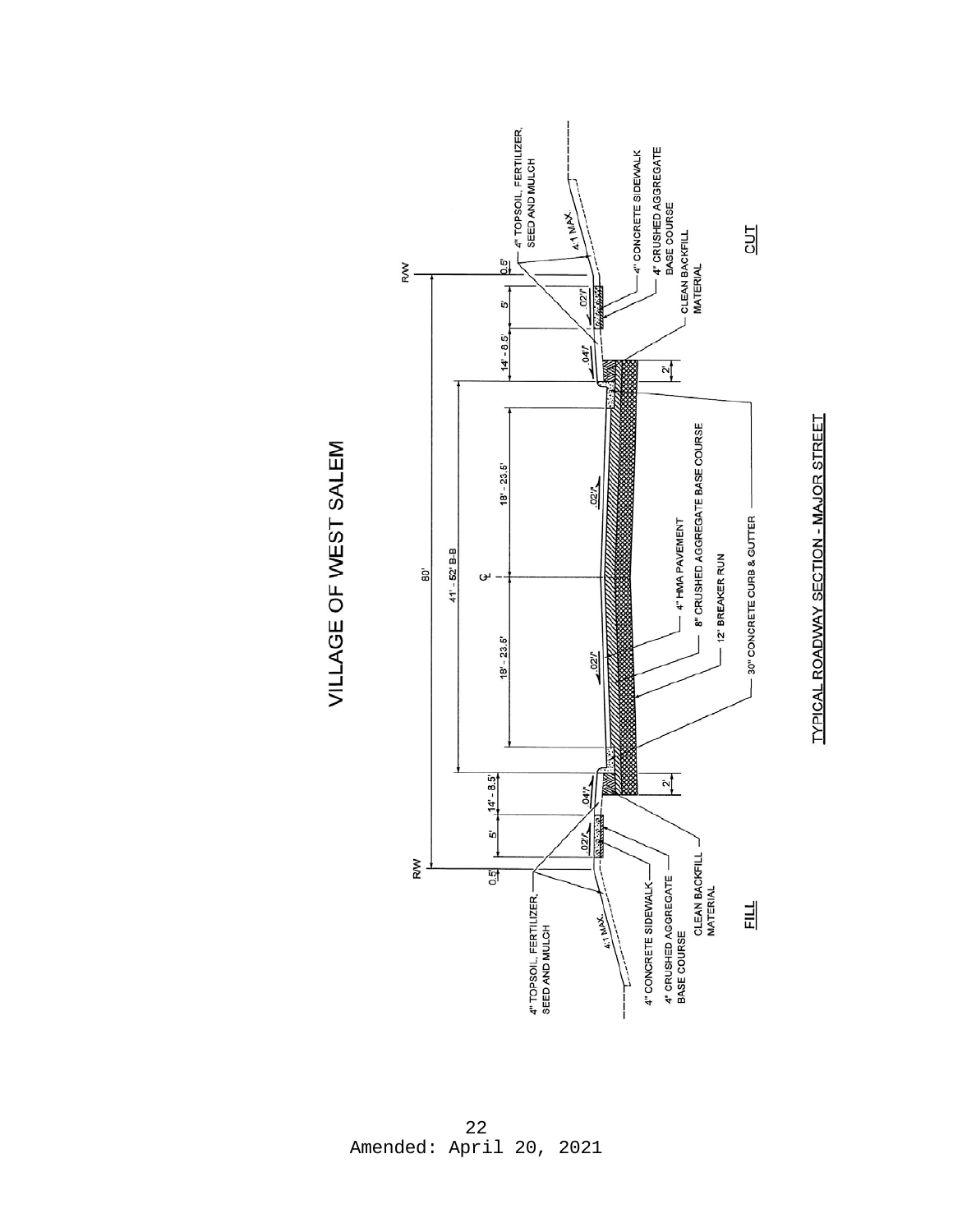

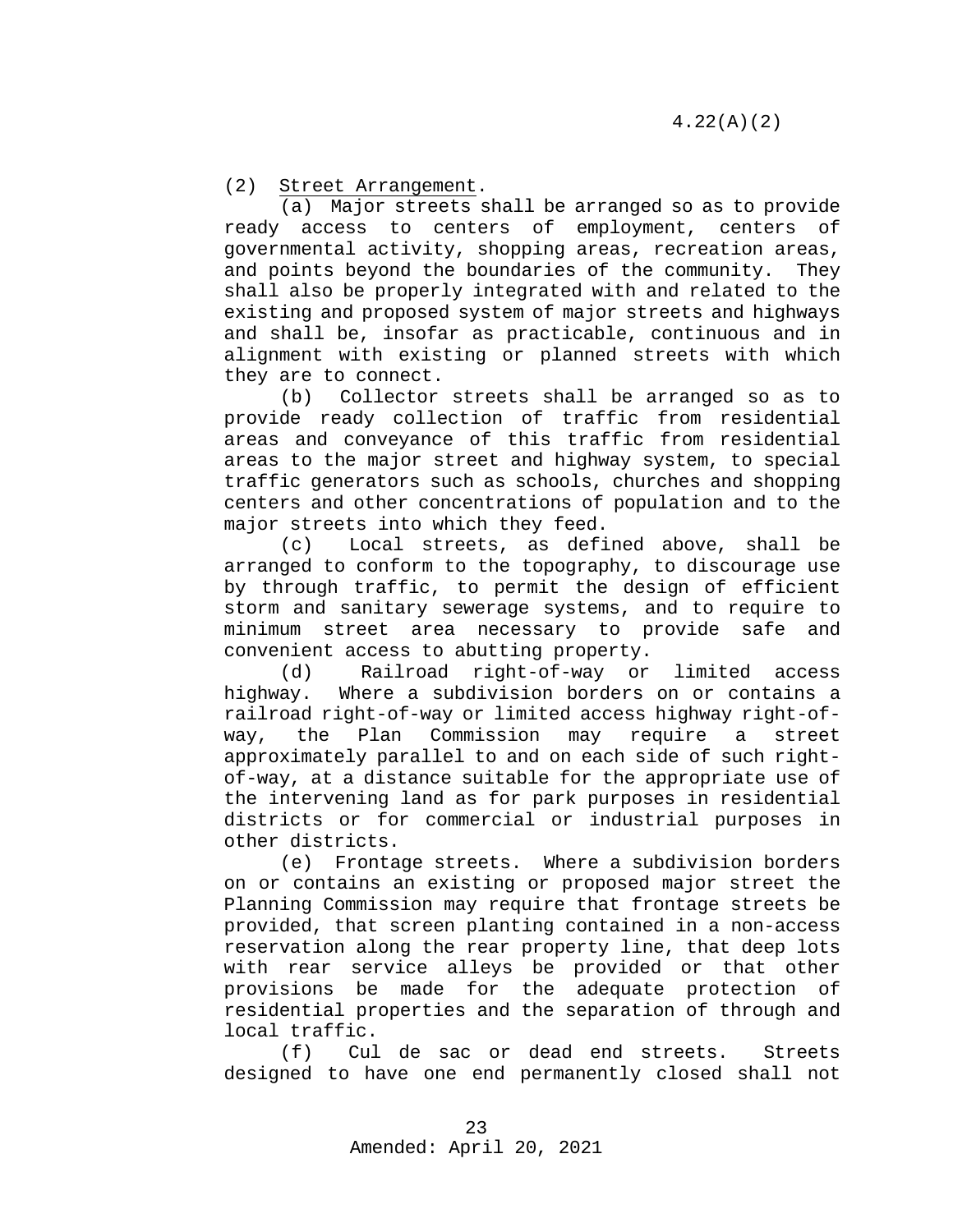(2) Street Arrangement.

(a) Major streets shall be arranged so as to provide ready access to centers of employment, centers of governmental activity, shopping areas, recreation areas, and points beyond the boundaries of the community. They shall also be properly integrated with and related to the existing and proposed system of major streets and highways and shall be, insofar as practicable, continuous and in alignment with existing or planned streets with which they are to connect.

(b) Collector streets shall be arranged so as to provide ready collection of traffic from residential areas and conveyance of this traffic from residential areas to the major street and highway system, to special traffic generators such as schools, churches and shopping centers and other concentrations of population and to the major streets into which they feed.

(c) Local streets, as defined above, shall be arranged to conform to the topography, to discourage use by through traffic, to permit the design of efficient storm and sanitary sewerage systems, and to require to minimum street area necessary to provide safe and convenient access to abutting property.

(d) Railroad right-of-way or limited access<br>highway. Where a subdivision borders on or contains a Where a subdivision borders on or contains a railroad right-of-way or limited access highway right-ofway, the Plan Commission may require a street approximately parallel to and on each side of such rightof-way, at a distance suitable for the appropriate use of the intervening land as for park purposes in residential districts or for commercial or industrial purposes in other districts.<br>e) Fronta

Frontage streets. Where a subdivision borders on or contains an existing or proposed major street the Planning Commission may require that frontage streets be provided, that screen planting contained in a non-access reservation along the rear property line, that deep lots with rear service alleys be provided or that other provisions be made for the adequate protection of residential properties and the separation of through and local traffic.<br>(f) Cul

Cul de sac or dead end streets. Streets designed to have one end permanently closed shall not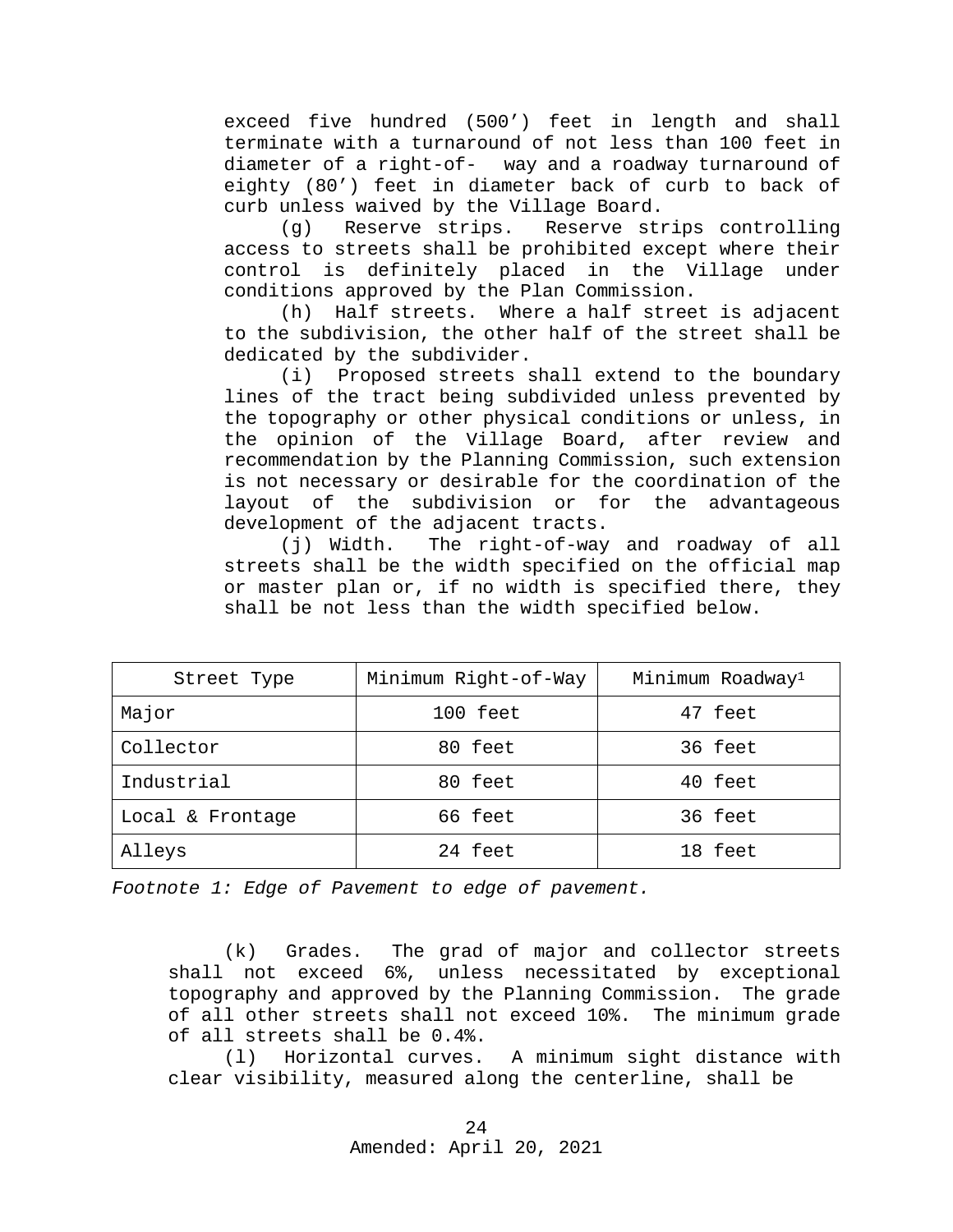exceed five hundred (500') feet in length and shall terminate with a turnaround of not less than 100 feet in diameter of a right-of- way and a roadway turnaround of eighty (80') feet in diameter back of curb to back of curb unless waived by the Village Board.<br>(g) Reserve strips. Reserve st:

Reserve strips controlling access to streets shall be prohibited except where their control is definitely placed in the Village under conditions approved by the Plan Commission.<br>(h) Half streets. Where a half stree

Half streets. Where a half street is adjacent to the subdivision, the other half of the street shall be dedicated by the subdivider.

(i) Proposed streets shall extend to the boundary lines of the tract being subdivided unless prevented by the topography or other physical conditions or unless, in the opinion of the Village Board, after review and recommendation by the Planning Commission, such extension is not necessary or desirable for the coordination of the layout of the subdivision or for the advantageous development of the adjacent tracts.

(j) Width. The right-of-way and roadway of all streets shall be the width specified on the official map or master plan or, if no width is specified there, they shall be not less than the width specified below.

| Street Type      | Minimum Right-of-Way | Minimum Roadway <sup>1</sup> |
|------------------|----------------------|------------------------------|
| Major            | 100 feet             | 47 feet                      |
| Collector        | 80 feet              | 36 feet                      |
| Industrial       | 80 feet              | 40 feet                      |
| Local & Frontage | 66 feet              | 36 feet                      |
| Alleys           | 24 feet              | 18 feet                      |

*Footnote 1: Edge of Pavement to edge of pavement.*

(k) Grades. The grad of major and collector streets shall not exceed 6%, unless necessitated by exceptional topography and approved by the Planning Commission. The grade of all other streets shall not exceed 10%. The minimum grade of all streets shall be 0.4%.

(l) Horizontal curves. A minimum sight distance with clear visibility, measured along the centerline, shall be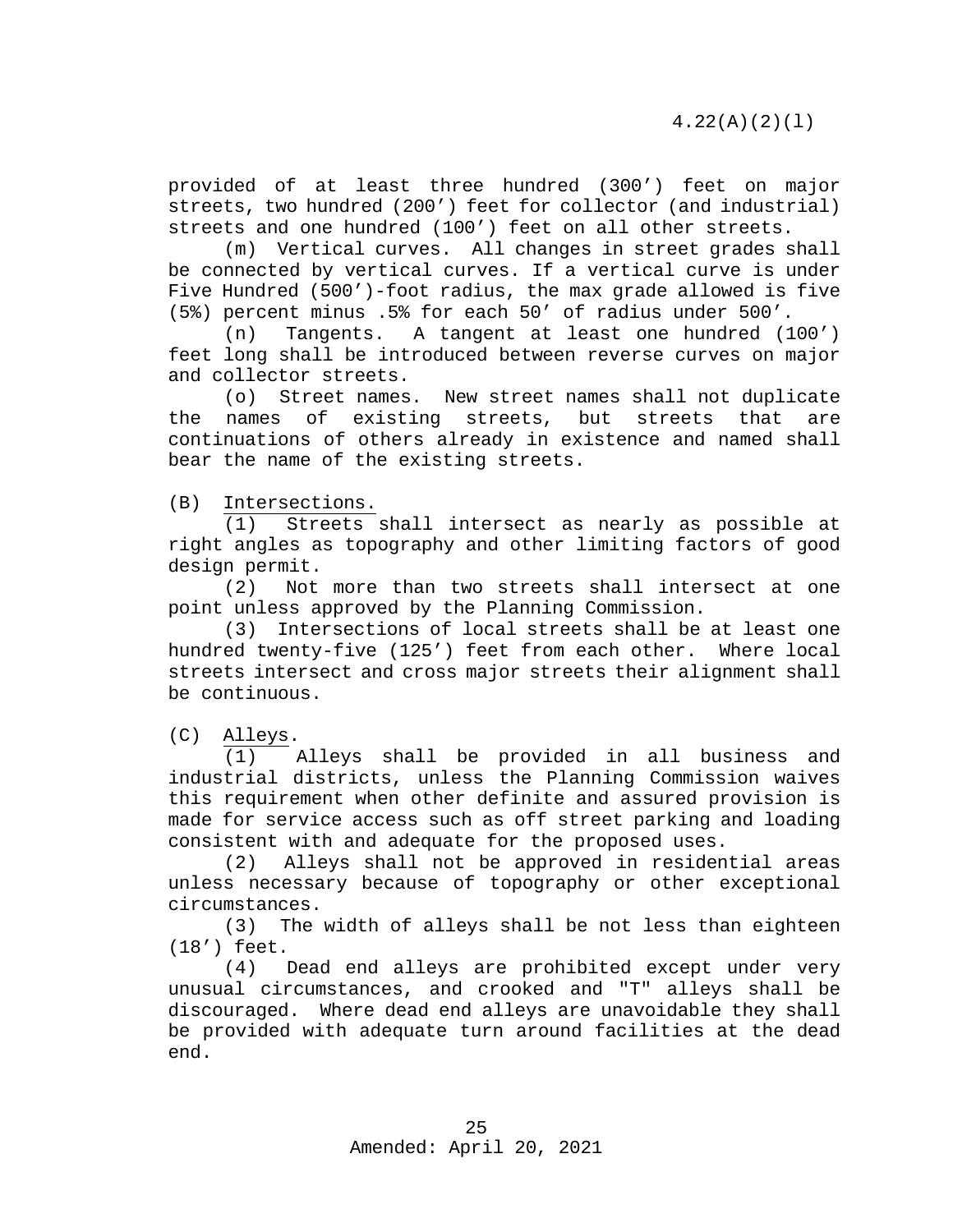4.22(A)(2)(l)

provided of at least three hundred (300') feet on major streets, two hundred (200') feet for collector (and industrial) streets and one hundred (100') feet on all other streets.

(m) Vertical curves. All changes in street grades shall be connected by vertical curves. If a vertical curve is under Five Hundred (500')-foot radius, the max grade allowed is five (5%) percent minus .5% for each 50' of radius under 500'.

Tangents. A tangent at least one hundred (100') feet long shall be introduced between reverse curves on major and collector streets.

(o) Street names. New street names shall not duplicate the names of existing streets, but streets that are continuations of others already in existence and named shall bear the name of the existing streets.

(B) Intersections.

(1) Streets shall intersect as nearly as possible at right angles as topography and other limiting factors of good design permit.

(2) Not more than two streets shall intersect at one point unless approved by the Planning Commission.

(3) Intersections of local streets shall be at least one hundred twenty-five (125') feet from each other. Where local streets intersect and cross major streets their alignment shall be continuous.

(C) Alleys.

(1) Alleys shall be provided in all business and industrial districts, unless the Planning Commission waives this requirement when other definite and assured provision is made for service access such as off street parking and loading

consistent with and adequate for the proposed uses.<br>(2) Alleys shall not be approved in residen Alleys shall not be approved in residential areas unless necessary because of topography or other exceptional circumstances.

(3) The width of alleys shall be not less than eighteen

 $(18')$  feet.<br>(4)  $(4)$ Dead end alleys are prohibited except under very unusual circumstances, and crooked and "T" alleys shall be discouraged. Where dead end alleys are unavoidable they shall be provided with adequate turn around facilities at the dead end.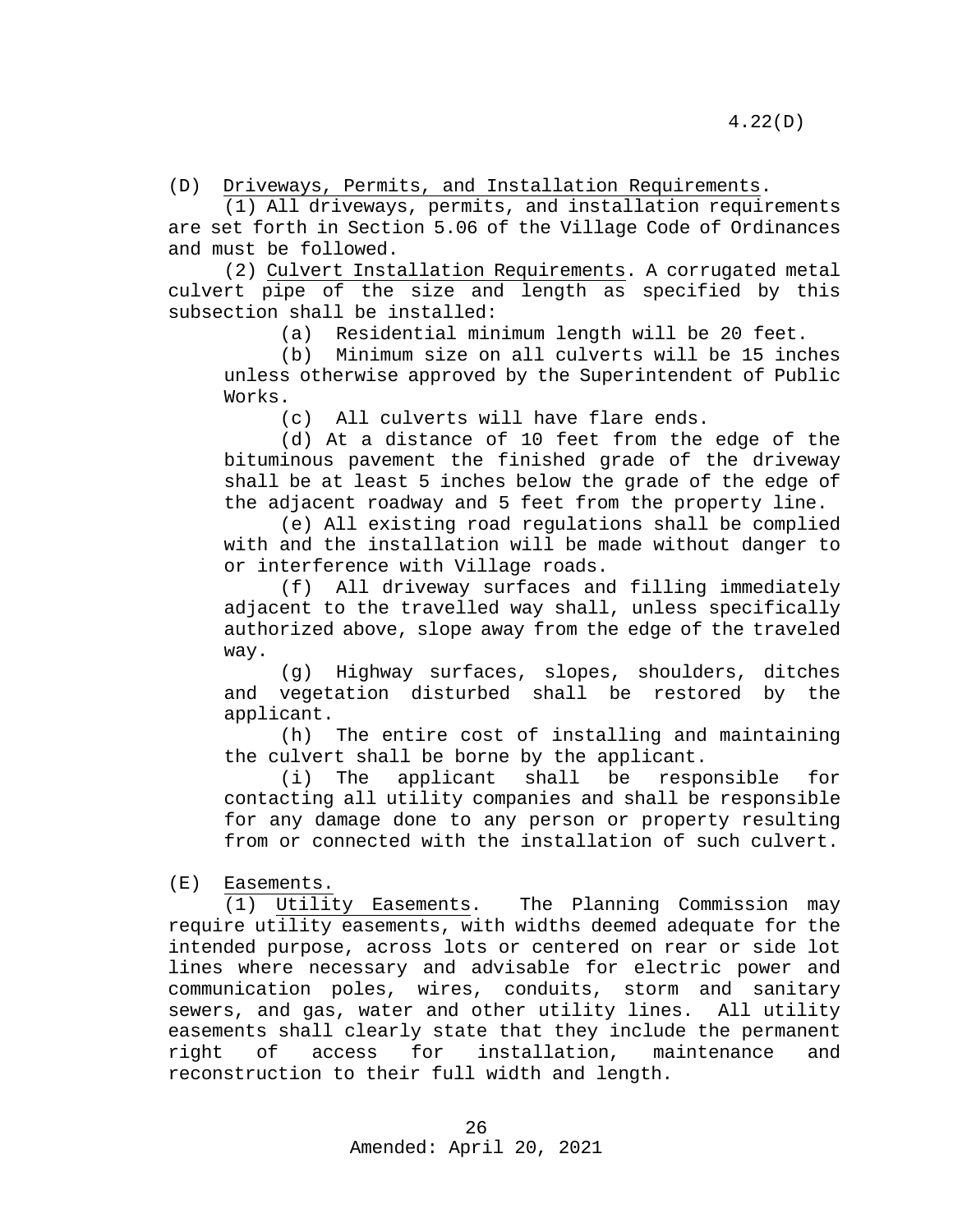(D) Driveways, Permits, and Installation Requirements.

(1) All driveways, permits, and installation requirements are set forth in Section 5.06 of the Village Code of Ordinances and must be followed.

(2) Culvert Installation Requirements. A corrugated metal culvert pipe of the size and length as specified by this subsection shall be installed:<br>(a) Residential min

Residential minimum length will be 20 feet.

(b) Minimum size on all culverts will be 15 inches unless otherwise approved by the Superintendent of Public Works.

(c) All culverts will have flare ends.

(d) At a distance of 10 feet from the edge of the bituminous pavement the finished grade of the driveway shall be at least 5 inches below the grade of the edge of the adjacent roadway and 5 feet from the property line.

(e) All existing road regulations shall be complied with and the installation will be made without danger to or interference with Village roads.

(f) All driveway surfaces and filling immediately adjacent to the travelled way shall, unless specifically authorized above, slope away from the edge of the traveled way.

(g) Highway surfaces, slopes, shoulders, ditches and vegetation disturbed shall be restored by the applicant.

(h) The entire cost of installing and maintaining

the culvert shall be borne by the applicant.<br>(i) The applicant shall be respo (i) The applicant shall be responsible for contacting all utility companies and shall be responsible for any damage done to any person or property resulting from or connected with the installation of such culvert.

(E) Easements.

(1) Utility Easements. The Planning Commission may require utility easements, with widths deemed adequate for the intended purpose, across lots or centered on rear or side lot lines where necessary and advisable for electric power and communication poles, wires, conduits, storm and sanitary sewers, and gas, water and other utility lines. All utility easements shall clearly state that they include the permanent<br>right of access for installation, maintenance and installation, maintenance and reconstruction to their full width and length.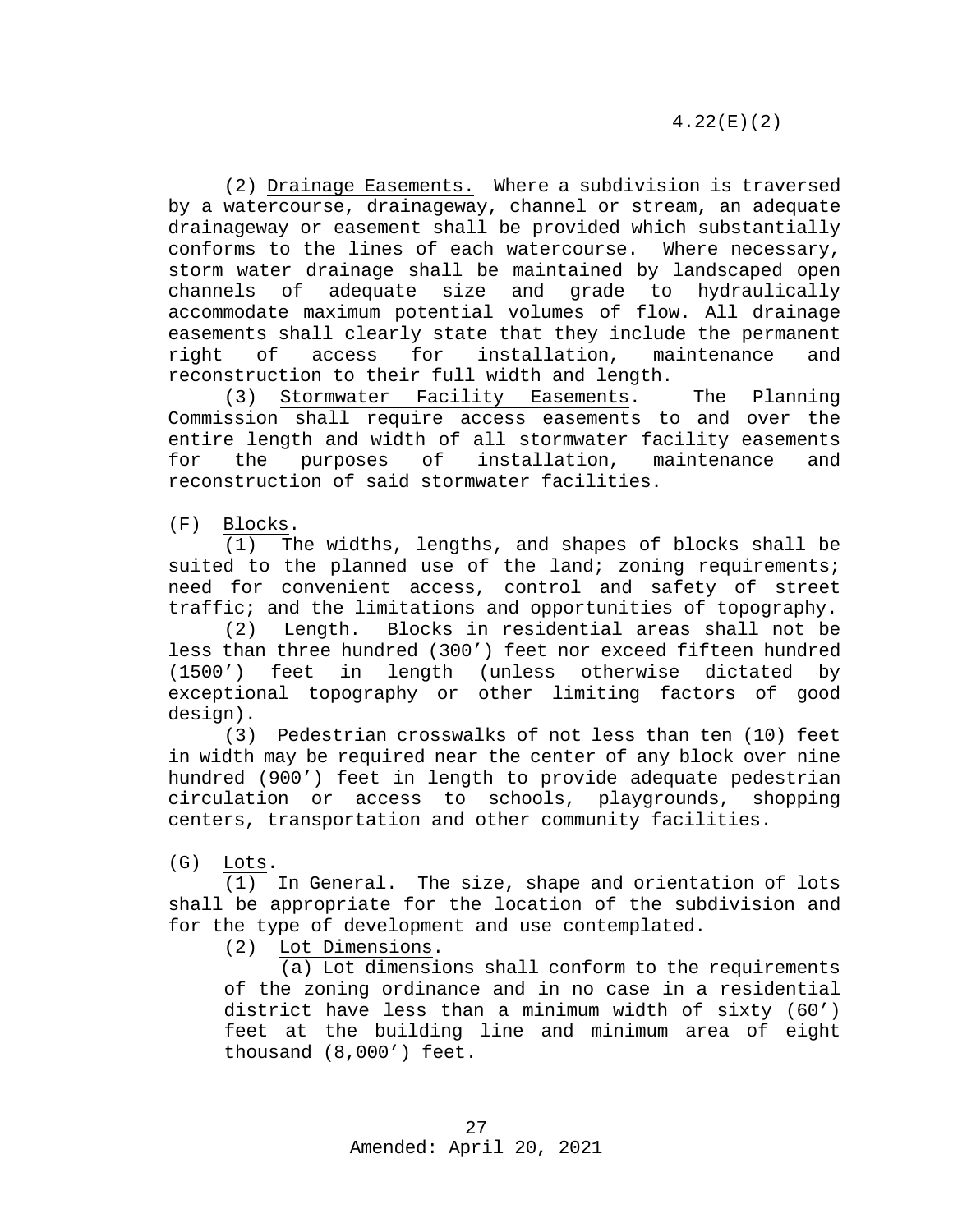(2) Drainage Easements. Where a subdivision is traversed by a watercourse, drainageway, channel or stream, an adequate drainageway or easement shall be provided which substantially conforms to the lines of each watercourse. Where necessary, storm water drainage shall be maintained by landscaped open channels of adequate size and grade to hydraulically accommodate maximum potential volumes of flow. All drainage easements shall clearly state that they include the permanent<br>right of access for installation, maintenance and installation, maintenance and reconstruction to their full width and length.

(3) Stormwater Facility Easements. The Planning Commission shall require access easements to and over the entire length and width of all stormwater facility easements<br>for the purposes of installation, maintenance and for the purposes of installation, maintenance and reconstruction of said stormwater facilities.

(F) Blocks.

(1) The widths, lengths, and shapes of blocks shall be suited to the planned use of the land; zoning requirements; need for convenient access, control and safety of street traffic; and the limitations and opportunities of topography.

(2) Length. Blocks in residential areas shall not be less than three hundred (300') feet nor exceed fifteen hundred<br>(1500') feet in length (unless otherwise dictated by in length (unless otherwise dictated by exceptional topography or other limiting factors of good design).

(3) Pedestrian crosswalks of not less than ten (10) feet in width may be required near the center of any block over nine hundred (900') feet in length to provide adequate pedestrian circulation or access to schools, playgrounds, shopping centers, transportation and other community facilities.

(G) Lots.

(1) In General. The size, shape and orientation of lots shall be appropriate for the location of the subdivision and for the type of development and use contemplated.

(2) Lot Dimensions.

(a) Lot dimensions shall conform to the requirements of the zoning ordinance and in no case in a residential district have less than a minimum width of sixty (60') feet at the building line and minimum area of eight thousand (8,000') feet.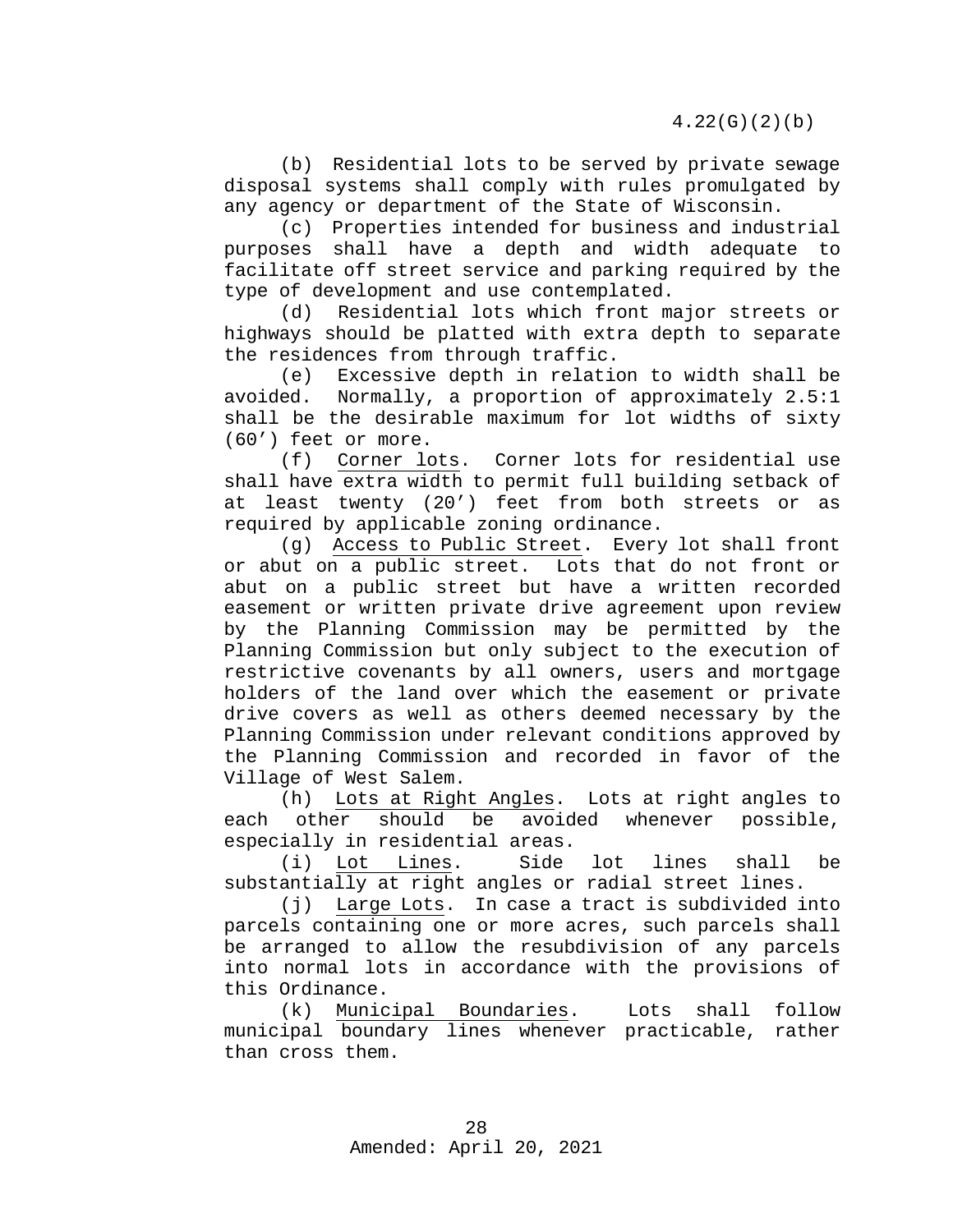(b) Residential lots to be served by private sewage disposal systems shall comply with rules promulgated by any agency or department of the State of Wisconsin.

(c) Properties intended for business and industrial purposes shall have a depth and width adequate to facilitate off street service and parking required by the type of development and use contemplated.

(d) Residential lots which front major streets or highways should be platted with extra depth to separate the residences from through traffic.

(e) Excessive depth in relation to width shall be avoided. Normally, a proportion of approximately 2.5:1 shall be the desirable maximum for lot widths of sixty (60') feet or more.

(f) Corner lots. Corner lots for residential use shall have extra width to permit full building setback of at least twenty (20') feet from both streets or as required by applicable zoning ordinance.

(g) Access to Public Street. Every lot shall front or abut on a public street. Lots that do not front or abut on a public street but have a written recorded easement or written private drive agreement upon review by the Planning Commission may be permitted by the Planning Commission but only subject to the execution of restrictive covenants by all owners, users and mortgage holders of the land over which the easement or private drive covers as well as others deemed necessary by the Planning Commission under relevant conditions approved by the Planning Commission and recorded in favor of the Village of West Salem.

(h) <u>Lots at Right Angles</u>. Lots at right angles to<br>each other should be avoided whenever possible, avoided whenever possible, especially in residential areas.<br>(i) Lot Lines. Side

(i) Lot Lines. Side lot lines shall be substantially at right angles or radial street lines.

(j) Large Lots. In case a tract is subdivided into parcels containing one or more acres, such parcels shall be arranged to allow the resubdivision of any parcels into normal lots in accordance with the provisions of this Ordinance.

(k) Municipal Boundaries. Lots shall follow municipal boundary lines whenever practicable, rather than cross them.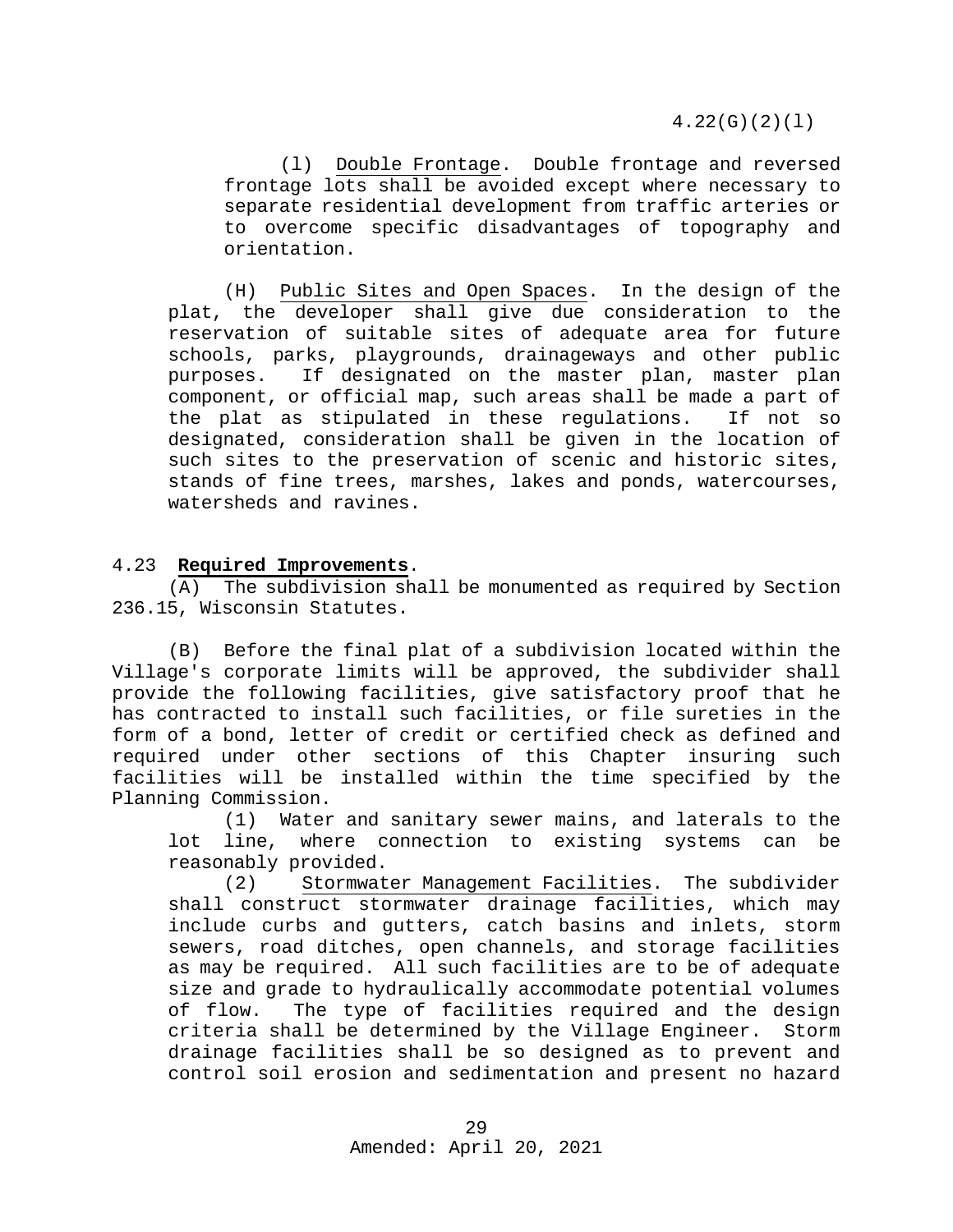4.22(G)(2)(l)

(l) Double Frontage. Double frontage and reversed frontage lots shall be avoided except where necessary to separate residential development from traffic arteries or to overcome specific disadvantages of topography and orientation.

(H) Public Sites and Open Spaces. In the design of the plat, the developer shall give due consideration to the reservation of suitable sites of adequate area for future schools, parks, playgrounds, drainageways and other public purposes. If designated on the master plan, master plan component, or official map, such areas shall be made a part of the plat as stipulated in these regulations. If not so designated, consideration shall be given in the location of such sites to the preservation of scenic and historic sites, stands of fine trees, marshes, lakes and ponds, watercourses, watersheds and ravines.

#### <span id="page-28-0"></span>4.23 **Required Improvements**.

(A) The subdivision shall be monumented as required by Section 236.15, Wisconsin Statutes.

(B) Before the final plat of a subdivision located within the Village's corporate limits will be approved, the subdivider shall provide the following facilities, give satisfactory proof that he has contracted to install such facilities, or file sureties in the form of a bond, letter of credit or certified check as defined and required under other sections of this Chapter insuring such facilities will be installed within the time specified by the Planning Commission.

(1) Water and sanitary sewer mains, and laterals to the lot line, where connection to existing systems can be reasonably provided.

(2) Stormwater Management Facilities. The subdivider shall construct stormwater drainage facilities, which may include curbs and gutters, catch basins and inlets, storm sewers, road ditches, open channels, and storage facilities as may be required. All such facilities are to be of adequate size and grade to hydraulically accommodate potential volumes<br>of flow. The type of facilities required and the design The type of facilities required and the design criteria shall be determined by the Village Engineer. Storm drainage facilities shall be so designed as to prevent and control soil erosion and sedimentation and present no hazard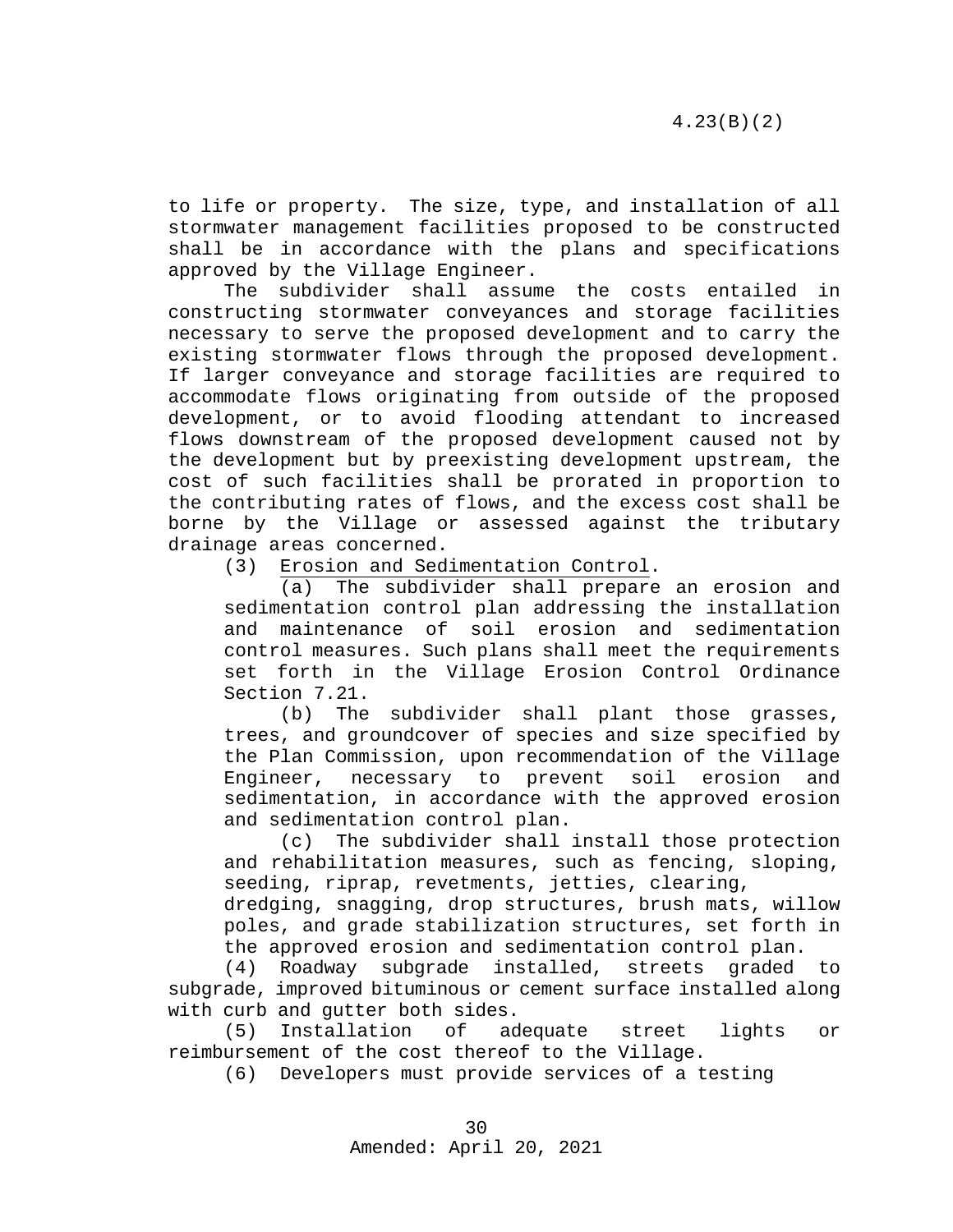to life or property. The size, type, and installation of all stormwater management facilities proposed to be constructed shall be in accordance with the plans and specifications approved by the Village Engineer.

The subdivider shall assume the costs entailed in constructing stormwater conveyances and storage facilities necessary to serve the proposed development and to carry the existing stormwater flows through the proposed development. If larger conveyance and storage facilities are required to accommodate flows originating from outside of the proposed development, or to avoid flooding attendant to increased flows downstream of the proposed development caused not by the development but by preexisting development upstream, the cost of such facilities shall be prorated in proportion to the contributing rates of flows, and the excess cost shall be borne by the Village or assessed against the tributary drainage areas concerned.<br>(3) Erosion and Sed

Erosion and Sedimentation Control.

(a) The subdivider shall prepare an erosion and sedimentation control plan addressing the installation and maintenance of soil erosion and sedimentation control measures. Such plans shall meet the requirements set forth in the Village Erosion Control Ordinance Section 7.21.

(b) The subdivider shall plant those grasses, trees, and groundcover of species and size specified by the Plan Commission, upon recommendation of the Village<br>Engineer, necessary to prevent soil erosion and necessary to prevent soil erosion and sedimentation, in accordance with the approved erosion and sedimentation control plan.

(c) The subdivider shall install those protection and rehabilitation measures, such as fencing, sloping, seeding, riprap, revetments, jetties, clearing,

dredging, snagging, drop structures, brush mats, willow poles, and grade stabilization structures, set forth in

the approved erosion and sedimentation control plan.<br>(4) Roadway subgrade installed, streets graded Roadway subgrade installed, streets graded to subgrade, improved bituminous or cement surface installed along with curb and gutter both sides.

(5) Installation of adequate street lights or reimbursement of the cost thereof to the Village.

(6) Developers must provide services of a testing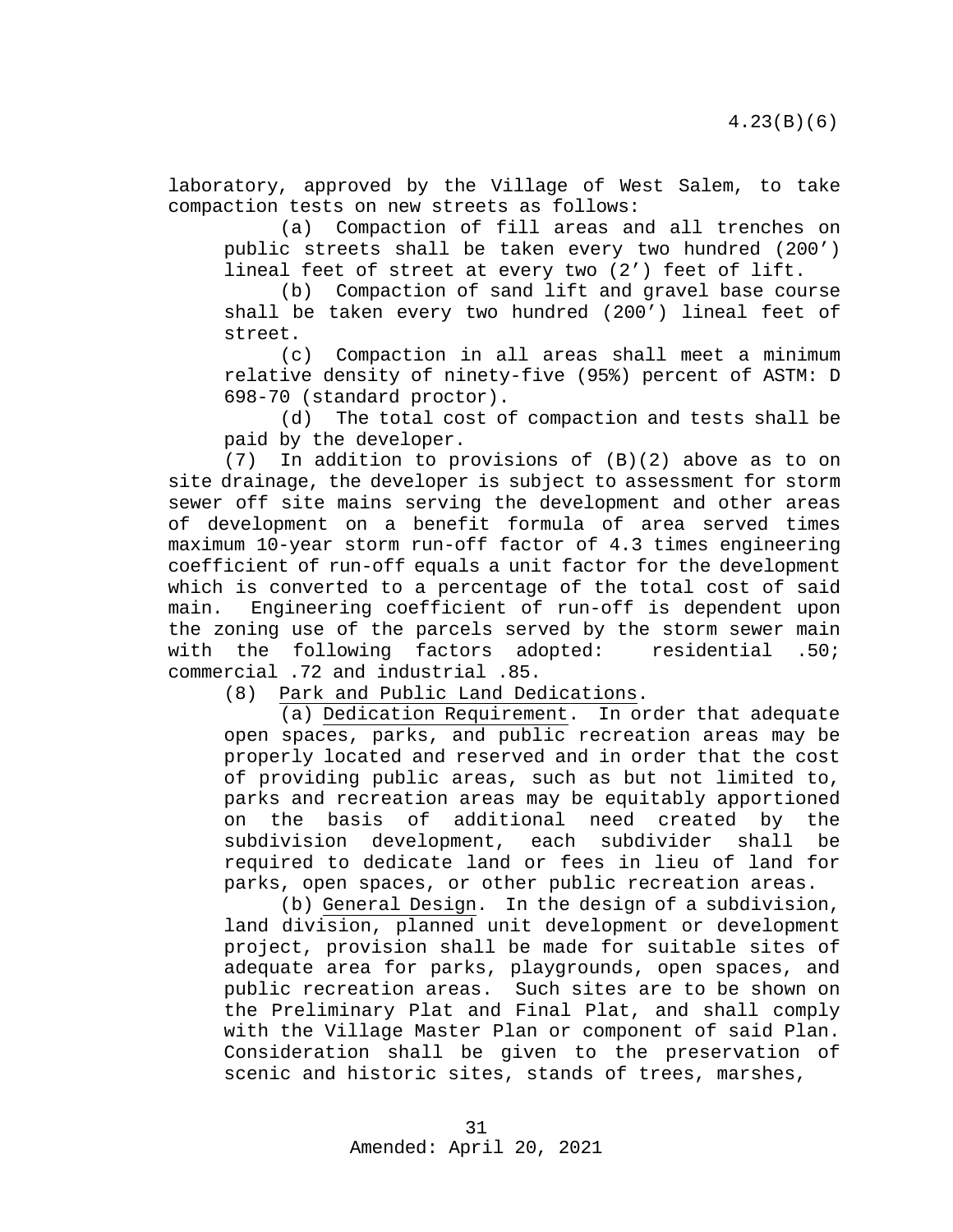laboratory, approved by the Village of West Salem, to take compaction tests on new streets as follows:

(a) Compaction of fill areas and all trenches on public streets shall be taken every two hundred (200') lineal feet of street at every two (2') feet of lift.

(b) Compaction of sand lift and gravel base course shall be taken every two hundred (200') lineal feet of street.

(c) Compaction in all areas shall meet a minimum relative density of ninety-five (95%) percent of ASTM: D 698-70 (standard proctor).

(d) The total cost of compaction and tests shall be paid by the developer.

(7) In addition to provisions of (B)(2) above as to on site drainage, the developer is subject to assessment for storm sewer off site mains serving the development and other areas of development on a benefit formula of area served times maximum 10-year storm run-off factor of 4.3 times engineering coefficient of run-off equals a unit factor for the development which is converted to a percentage of the total cost of said main. Engineering coefficient of run-off is dependent upon the zoning use of the parcels served by the storm sewer main<br>with the following factors adopted: residential .50; with the following factors adopted: commercial .72 and industrial .85.

Park and Public Land Dedications.

(a) Dedication Requirement. In order that adequate open spaces, parks, and public recreation areas may be properly located and reserved and in order that the cost of providing public areas, such as but not limited to, parks and recreation areas may be equitably apportioned on the basis of additional need created by<br>subdivision development, each subdivider shall subdivision development, each subdivider shall be required to dedicate land or fees in lieu of land for parks, open spaces, or other public recreation areas.

(b) General Design. In the design of a subdivision, land division, planned unit development or development project, provision shall be made for suitable sites of adequate area for parks, playgrounds, open spaces, and public recreation areas. Such sites are to be shown on the Preliminary Plat and Final Plat, and shall comply with the Village Master Plan or component of said Plan. Consideration shall be given to the preservation of scenic and historic sites, stands of trees, marshes,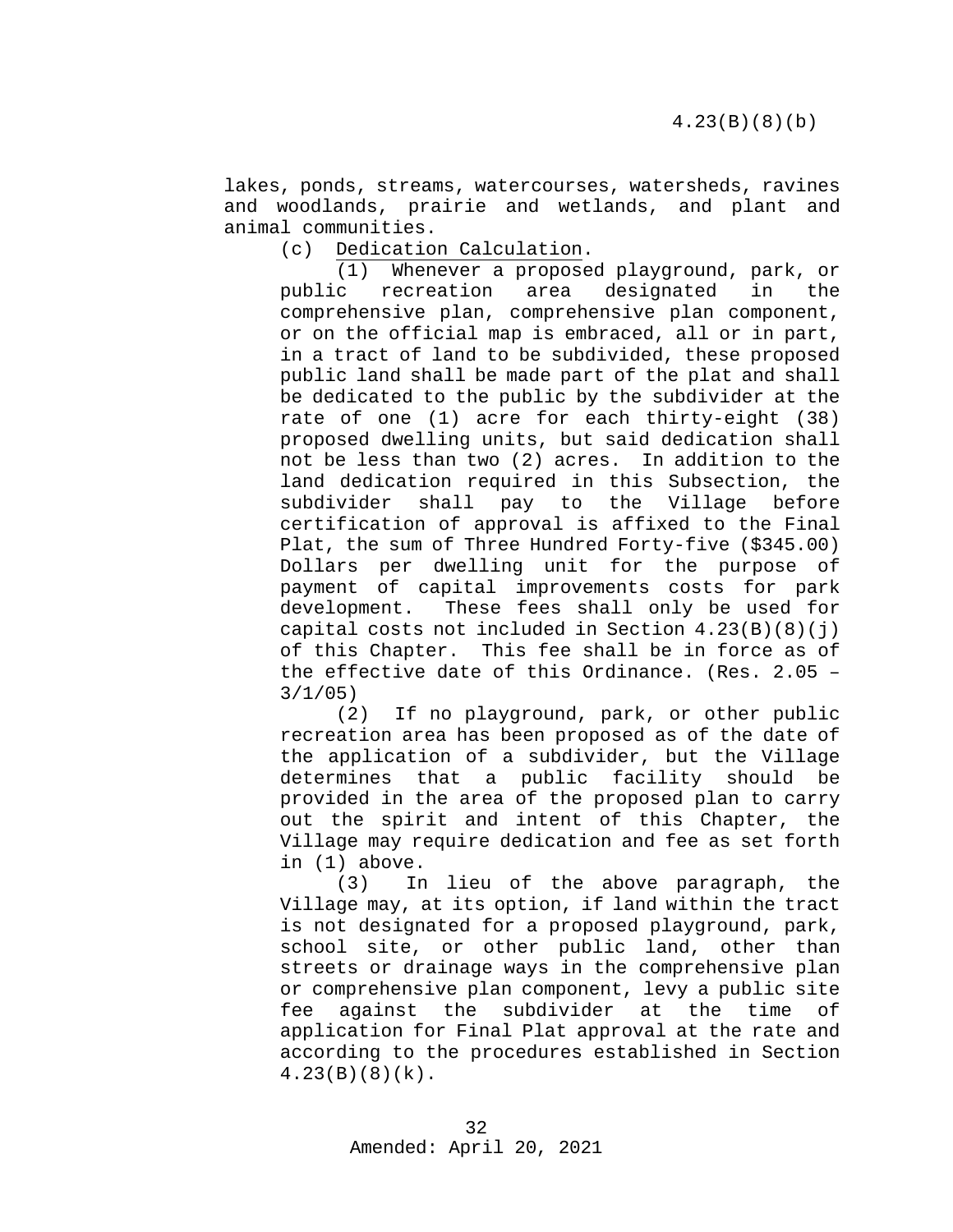lakes, ponds, streams, watercourses, watersheds, ravines and woodlands, prairie and wetlands, and plant and animal communities.

(c) Dedication Calculation.

(1) Whenever a proposed playground, park, or public recreation area designated in the comprehensive plan, comprehensive plan component, or on the official map is embraced, all or in part, in a tract of land to be subdivided, these proposed public land shall be made part of the plat and shall be dedicated to the public by the subdivider at the rate of one (1) acre for each thirty-eight (38) proposed dwelling units, but said dedication shall not be less than two (2) acres. In addition to the land dedication required in this Subsection, the subdivider shall pay to the Village before certification of approval is affixed to the Final Plat, the sum of Three Hundred Forty-five (\$345.00) Dollars per dwelling unit for the purpose of payment of capital improvements costs for park development. These fees shall only be used for capital costs not included in Section  $4.23(B)(8)(j)$ of this Chapter. This fee shall be in force as of the effective date of this Ordinance. (Res. 2.05 – 3/1/05)

(2) If no playground, park, or other public recreation area has been proposed as of the date of the application of a subdivider, but the Village determines that a public facility should be provided in the area of the proposed plan to carry out the spirit and intent of this Chapter, the Village may require dedication and fee as set forth in (1) above.

(3) In lieu of the above paragraph, the Village may, at its option, if land within the tract is not designated for a proposed playground, park, school site, or other public land, other than streets or drainage ways in the comprehensive plan or comprehensive plan component, levy a public site<br>fee against the subdivider at the time of fee against the subdivider at the time application for Final Plat approval at the rate and according to the procedures established in Section 4.23(B)(8)(k).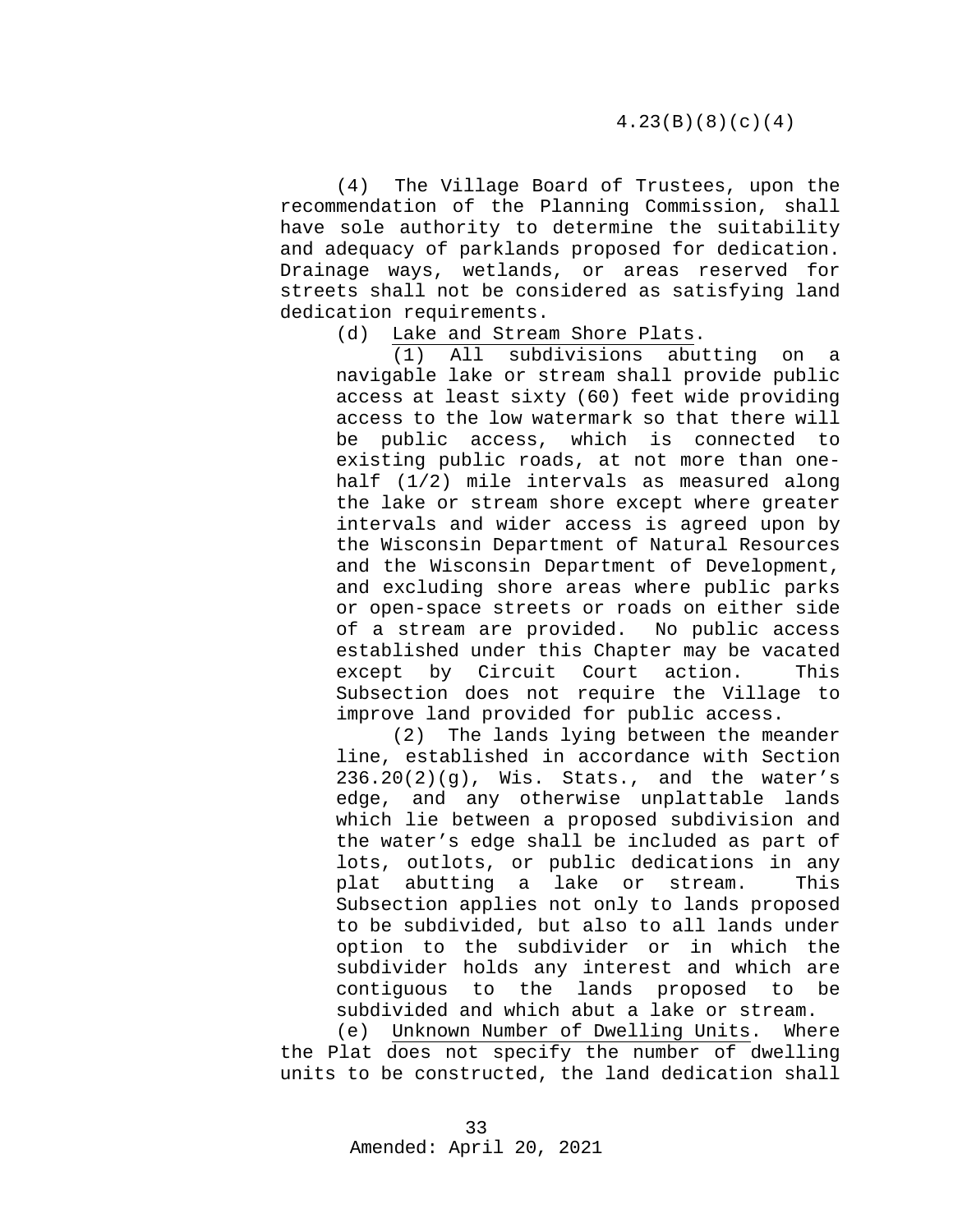(4) The Village Board of Trustees, upon the recommendation of the Planning Commission, shall have sole authority to determine the suitability and adequacy of parklands proposed for dedication. Drainage ways, wetlands, or areas reserved for streets shall not be considered as satisfying land dedication requirements.<br>(d) Lake and Strea

Lake and Stream Shore Plats.<br>(1) All subdivisions abut

All subdivisions abutting on a navigable lake or stream shall provide public access at least sixty (60) feet wide providing access to the low watermark so that there will be public access, which is connected to existing public roads, at not more than onehalf (1/2) mile intervals as measured along the lake or stream shore except where greater intervals and wider access is agreed upon by the Wisconsin Department of Natural Resources and the Wisconsin Department of Development, and excluding shore areas where public parks or open-space streets or roads on either side of a stream are provided. No public access established under this Chapter may be vacated except by Circuit Court action. This Subsection does not require the Village to improve land provided for public access.

(2) The lands lying between the meander line, established in accordance with Section  $236.20(2)(g)$ , Wis. Stats., and the water's edge, and any otherwise unplattable lands which lie between a proposed subdivision and the water's edge shall be included as part of lots, outlots, or public dedications in any plat abutting a lake or stream. This Subsection applies not only to lands proposed to be subdivided, but also to all lands under option to the subdivider or in which the subdivider holds any interest and which are contiguous to the lands proposed to be subdivided and which abut a lake or stream.

(e) Unknown Number of Dwelling Units. Where the Plat does not specify the number of dwelling units to be constructed, the land dedication shall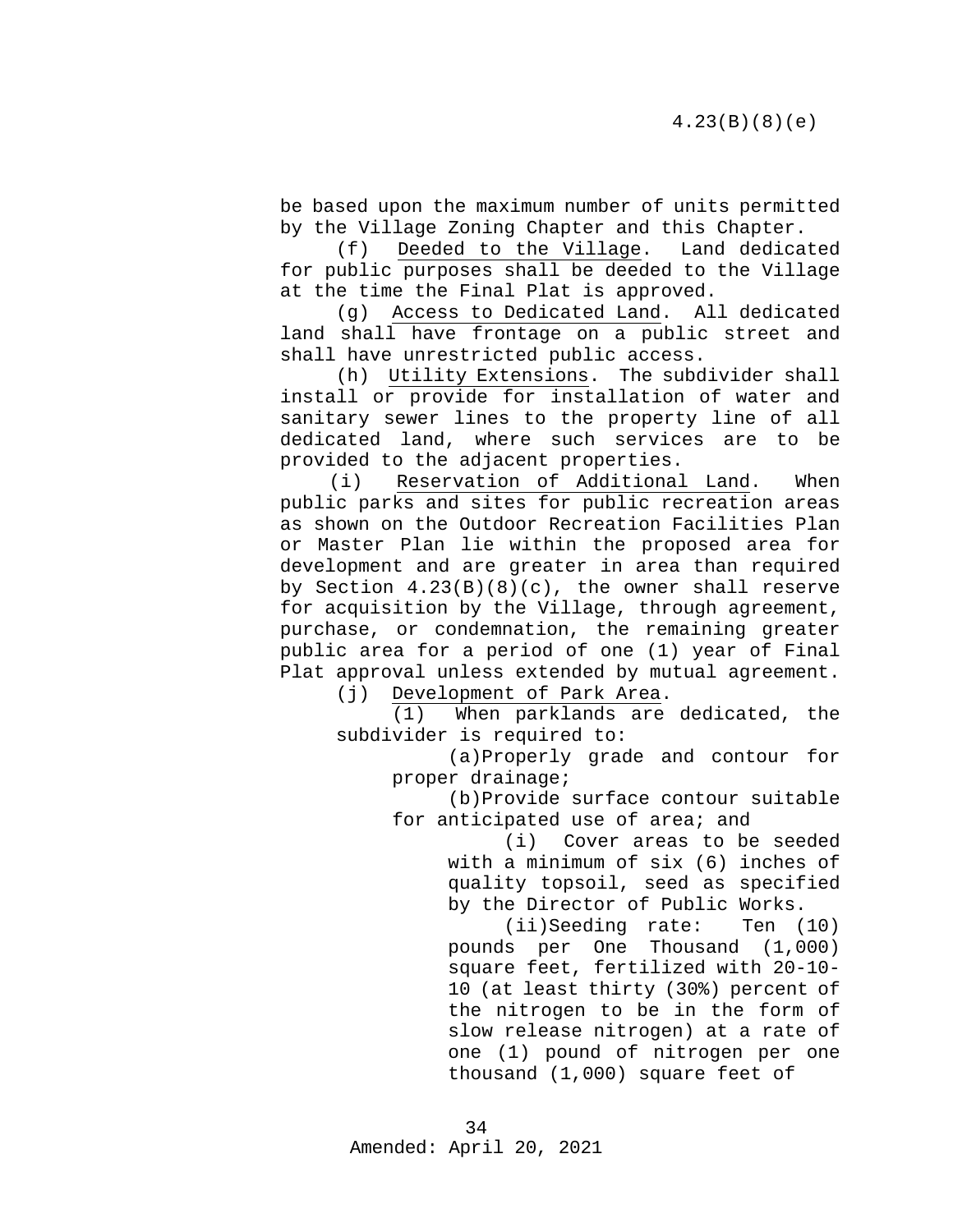be based upon the maximum number of units permitted by the Village Zoning Chapter and this Chapter.

(f) Deeded to the Village. Land dedicated for public purposes shall be deeded to the Village at the time the Final Plat is approved.

(g) Access to Dedicated Land. All dedicated land shall have frontage on a public street and shall have unrestricted public access.

(h) Utility Extensions. The subdivider shall install or provide for installation of water and sanitary sewer lines to the property line of all dedicated land, where such services are to be provided to the adjacent properties.

(i) Reservation of Additional Land. When public parks and sites for public recreation areas as shown on the Outdoor Recreation Facilities Plan or Master Plan lie within the proposed area for development and are greater in area than required by Section  $4.23(B)(8)(c)$ , the owner shall reserve for acquisition by the Village, through agreement, purchase, or condemnation, the remaining greater public area for a period of one (1) year of Final Plat approval unless extended by mutual agreement.

(j) Development of Park Area.

(1) When parklands are dedicated, the subdivider is required to:

> (a)Properly grade and contour for proper drainage;

> (b)Provide surface contour suitable for anticipated use of area; and

> > (i) Cover areas to be seeded with a minimum of six (6) inches of quality topsoil, seed as specified by the Director of Public Works.

> > (ii)Seeding rate: Ten (10) pounds per One Thousand (1,000) square feet, fertilized with 20-10- 10 (at least thirty (30%) percent of the nitrogen to be in the form of slow release nitrogen) at a rate of one (1) pound of nitrogen per one thousand (1,000) square feet of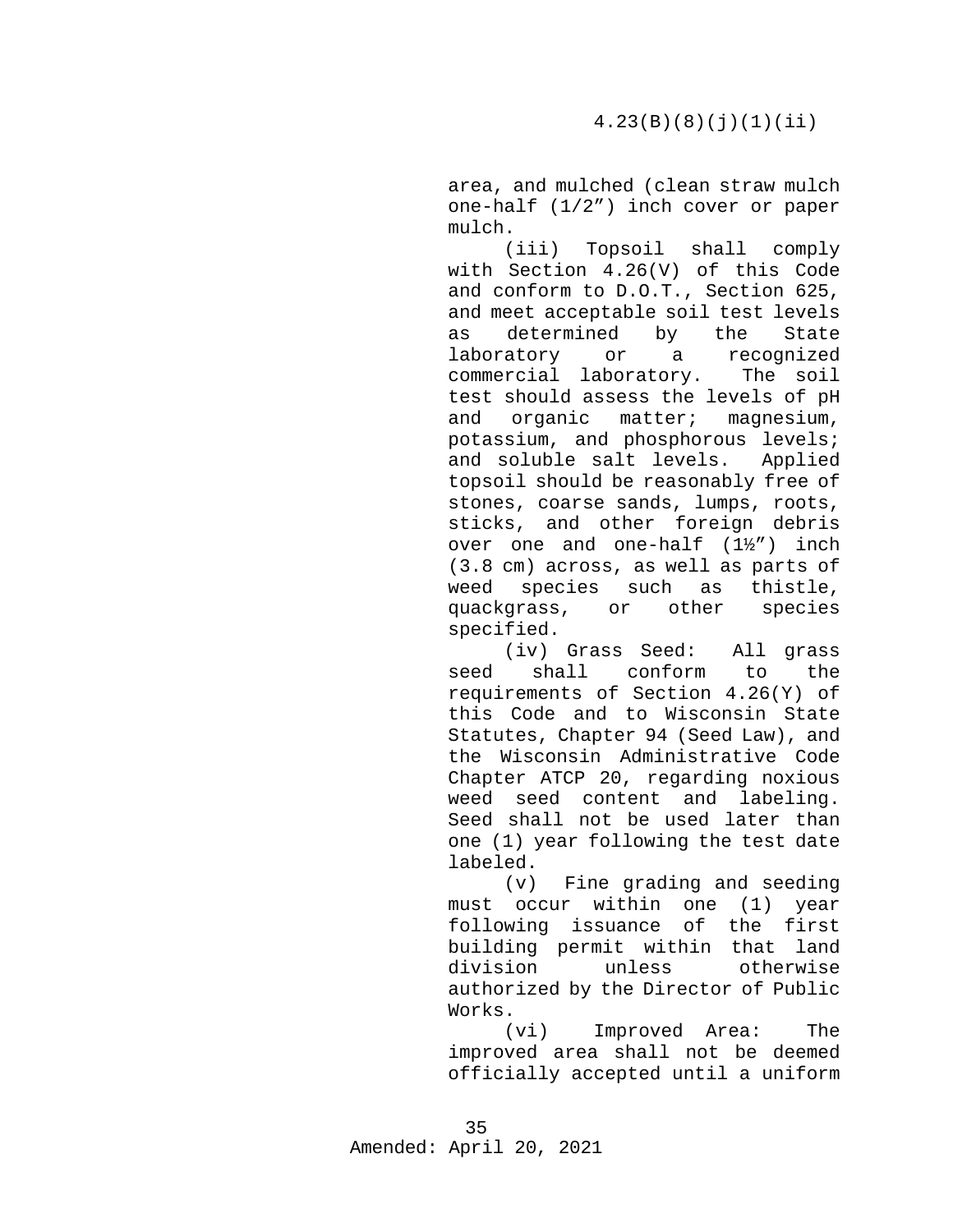area, and mulched (clean straw mulch one-half (1/2") inch cover or paper mulch.

(iii) Topsoil shall comply with Section 4.26(V) of this Code and conform to D.O.T., Section 625, and meet acceptable soil test levels<br>as determined by the State as determined<br>laboratory or or a recognized<br>boratory. The soil commercial laboratory. test should assess the levels of pH and organic matter; magnesium, potassium, and phosphorous levels; and soluble salt levels. Applied topsoil should be reasonably free of stones, coarse sands, lumps, roots, sticks, and other foreign debris over one and one-half (1½") inch (3.8 cm) across, as well as parts of weed species such as thistle, quackgrass, or other species specified.

(iv) Grass Seed: All grass seed shall conform to requirements of Section 4.26(Y) of this Code and to Wisconsin State Statutes, Chapter 94 (Seed Law), and the Wisconsin Administrative Code Chapter ATCP 20, regarding noxious weed seed content and labeling. Seed shall not be used later than one (1) year following the test date labeled.

(v) Fine grading and seeding must occur within one (1) year following issuance of the first building permit within that land<br>division unless otherwise otherwise authorized by the Director of Public Works.

(vi) Improved Area: The improved area shall not be deemed officially accepted until a uniform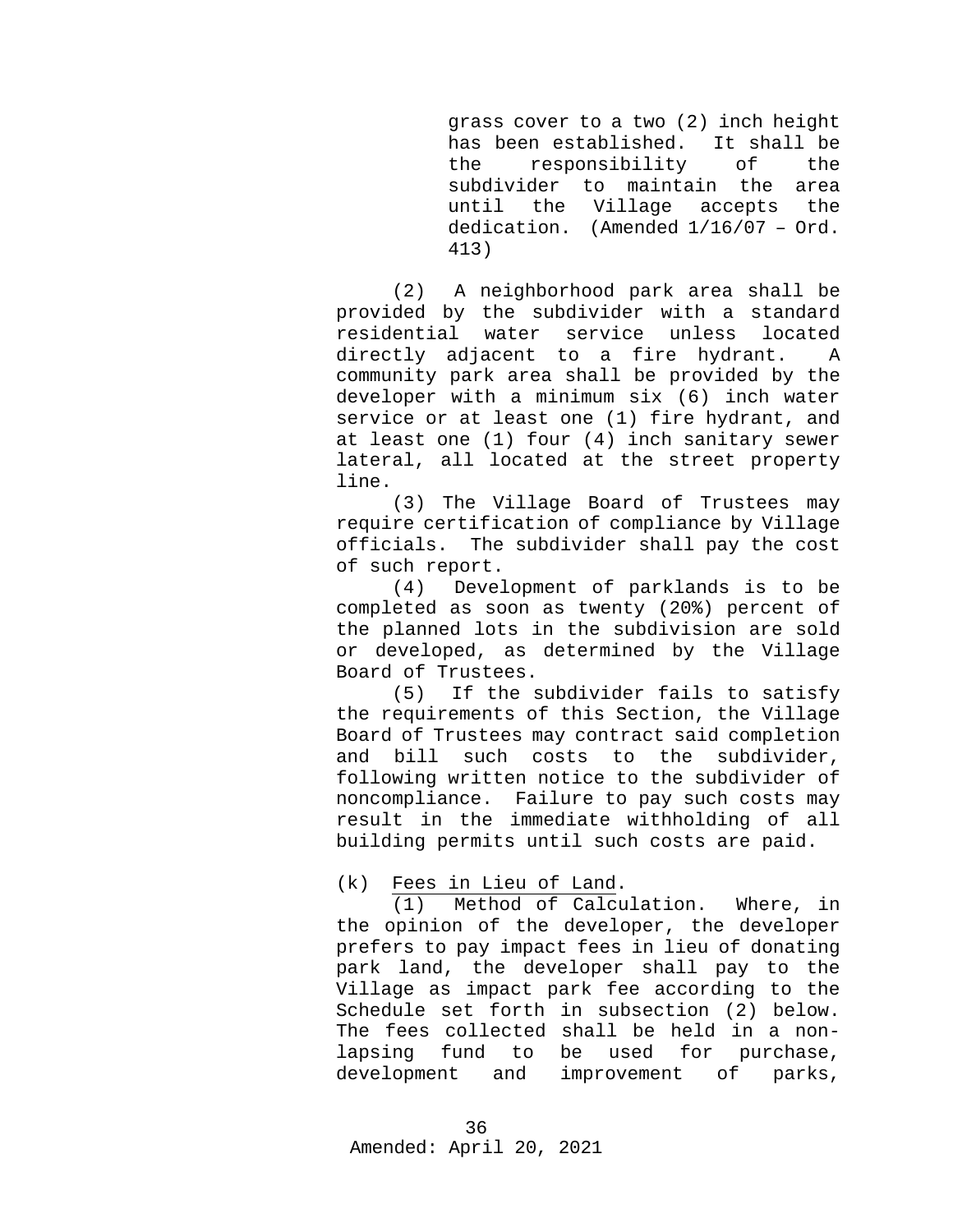grass cover to a two (2) inch height has been established. It shall be the responsibility subdivider to maintain the area<br>until the Village accepts the the Village dedication. (Amended 1/16/07 – Ord. 413)

(2) A neighborhood park area shall be provided by the subdivider with a standard<br>residential water service unless located residential water directly adjacent to a fire hydrant. A community park area shall be provided by the developer with a minimum six (6) inch water service or at least one (1) fire hydrant, and at least one (1) four (4) inch sanitary sewer lateral, all located at the street property line.

(3) The Village Board of Trustees may require certification of compliance by Village officials. The subdivider shall pay the cost of such report.

(4) Development of parklands is to be completed as soon as twenty (20%) percent of the planned lots in the subdivision are sold or developed, as determined by the Village Board of Trustees.<br>(5) If the s

If the subdivider fails to satisfy the requirements of this Section, the Village Board of Trustees may contract said completion<br>and bill such costs to the subdivider. bill such costs to following written notice to the subdivider of noncompliance. Failure to pay such costs may result in the immediate withholding of all building permits until such costs are paid.

(k) Fees in Lieu of Land.

(1) Method of Calculation. Where, in the opinion of the developer, the developer prefers to pay impact fees in lieu of donating park land, the developer shall pay to the Village as impact park fee according to the Schedule set forth in subsection (2) below. The fees collected shall be held in a non-<br>lapsing fund to be used for purchase, fund to be used for p<br>ent and improvement of development and improvement of parks,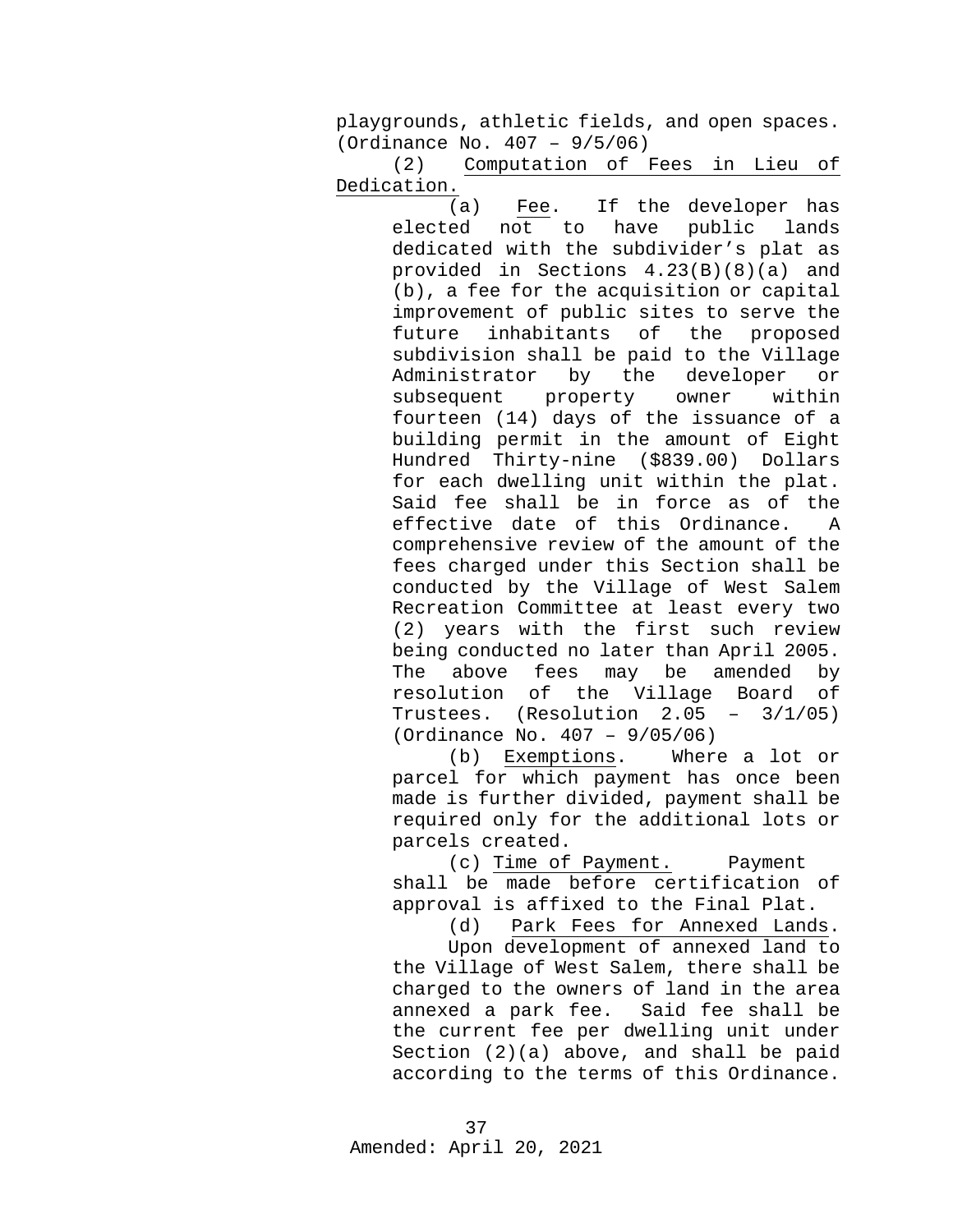playgrounds, athletic fields, and open spaces. (Ordinance No. 407 – 9/5/06)

(2) Computation of Fees in Lieu of Dedication.

> (a) Fee. If the developer has<br>ed not to have public lands elected not to have public lands dedicated with the subdivider's plat as provided in Sections 4.23(B)(8)(a) and (b), a fee for the acquisition or capital improvement of public sites to serve the<br>future inhabitants of the proposed inhabitants of subdivision shall be paid to the Village<br>Administrator by the developer or Administrator by the developer or<br>subsequent property owner within subsequent property owner within fourteen (14) days of the issuance of a building permit in the amount of Eight Hundred Thirty-nine (\$839.00) Dollars for each dwelling unit within the plat. Said fee shall be in force as of the effective date of this Ordinance. A comprehensive review of the amount of the fees charged under this Section shall be conducted by the Village of West Salem Recreation Committee at least every two (2) years with the first such review being conducted no later than April 2005. The above fees may be amended by<br>resolution of the Village Board of resolution of the Village Board of<br>Trustees. (Resolution 2.05 - 3/1/05) Trustees. (Resolution (Ordinance No. 407 – 9/05/06)

> (b) Exemptions. Where a lot or parcel for which payment has once been made is further divided, payment shall be required only for the additional lots or parcels created.

> (c) Time of Payment. Payment shall be made before certification of approval is affixed to the Final Plat.

(d) Park Fees for Annexed Lands.

Upon development of annexed land to the Village of West Salem, there shall be charged to the owners of land in the area<br>annexed a park fee. Said fee shall be annexed a park fee. the current fee per dwelling unit under Section (2)(a) above, and shall be paid according to the terms of this Ordinance.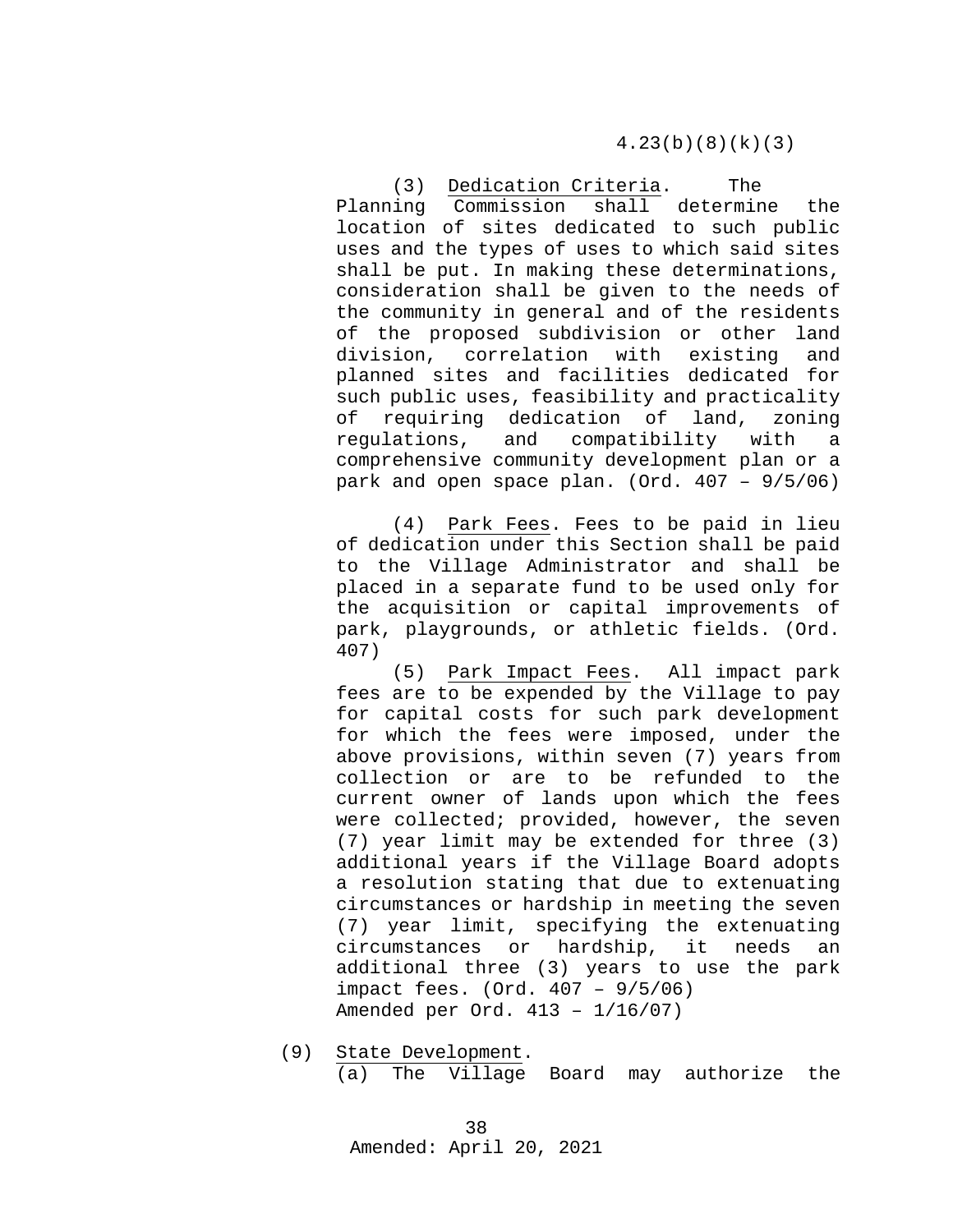4.23(b)(8)(k)(3)

(3) Dedication Criteria. The Planning Commission shall determine the location of sites dedicated to such public uses and the types of uses to which said sites shall be put. In making these determinations, consideration shall be given to the needs of the community in general and of the residents of the proposed subdivision or other land<br>division, correlation with existing and division, correlation with planned sites and facilities dedicated for such public uses, feasibility and practicality of requiring dedication of land, zoning regulations, and compatibility with a comprehensive community development plan or a park and open space plan. (Ord. 407 – 9/5/06)

(4) Park Fees. Fees to be paid in lieu of dedication under this Section shall be paid to the Village Administrator and shall be placed in a separate fund to be used only for the acquisition or capital improvements of park, playgrounds, or athletic fields. (Ord. 407)

(5) Park Impact Fees. All impact park fees are to be expended by the Village to pay for capital costs for such park development for which the fees were imposed, under the above provisions, within seven (7) years from collection or are to be refunded to the current owner of lands upon which the fees were collected; provided, however, the seven (7) year limit may be extended for three (3) additional years if the Village Board adopts a resolution stating that due to extenuating circumstances or hardship in meeting the seven (7) year limit, specifying the extenuating circumstances or hardship, it needs an additional three (3) years to use the park impact fees. (Ord. 407 – 9/5/06) Amended per Ord. 413 – 1/16/07)

(9) State Development. (a) The Village Board may authorize the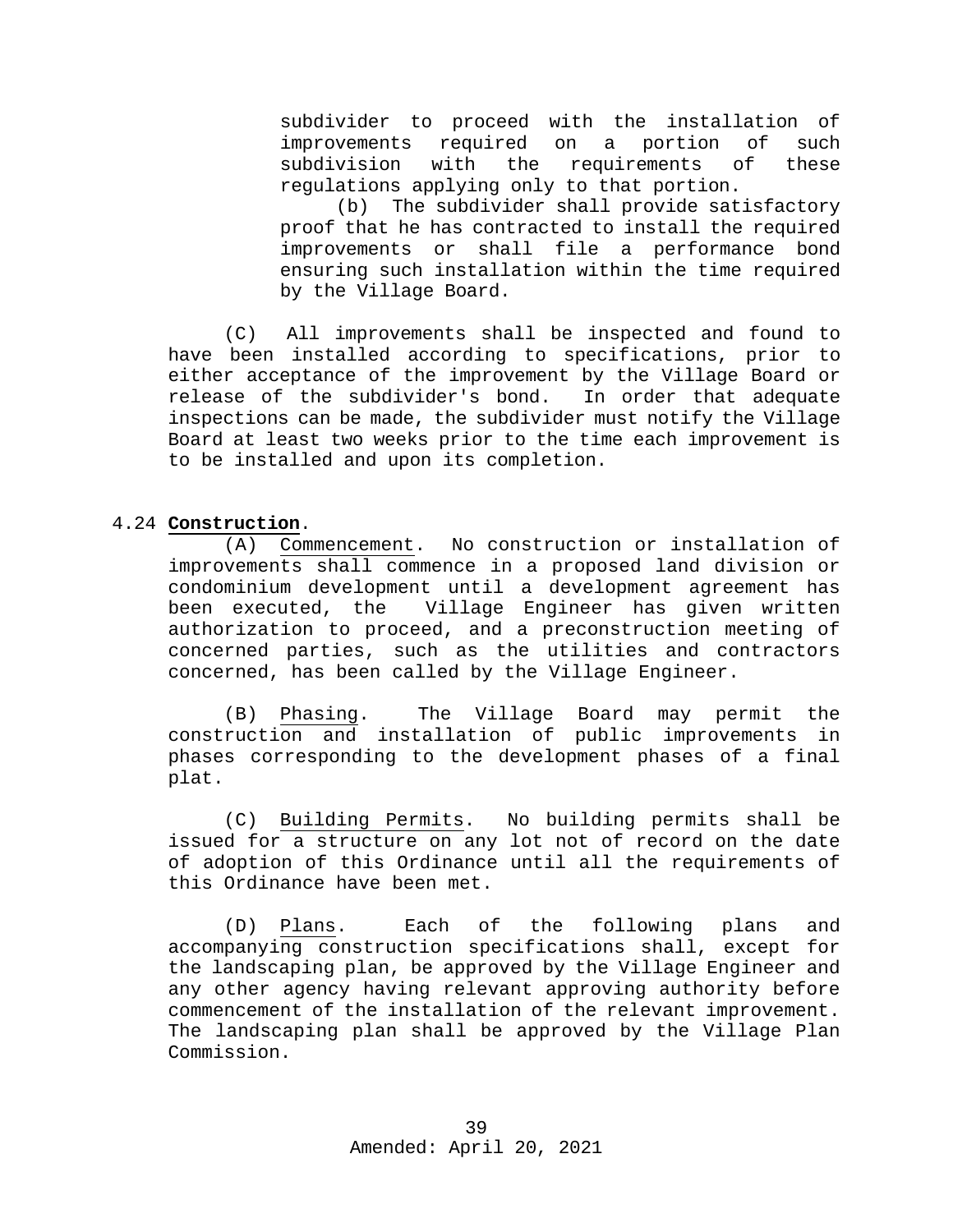subdivider to proceed with the installation of<br>improvements required on a portion of such improvements required on a portion of such requirements regulations applying only to that portion.<br>(b) The subdivider shall provide sat

The subdivider shall provide satisfactory proof that he has contracted to install the required improvements or shall file a performance bond ensuring such installation within the time required by the Village Board.

(C) All improvements shall be inspected and found to have been installed according to specifications, prior to either acceptance of the improvement by the Village Board or<br>release of the subdivider's bond. In order that adequate release of the subdivider's bond. inspections can be made, the subdivider must notify the Village Board at least two weeks prior to the time each improvement is to be installed and upon its completion.

# 4.24 **Construction**.

<span id="page-38-0"></span>(A) Commencement. No construction or installation of improvements shall commence in a proposed land division or condominium development until a development agreement has Village Engineer has given written authorization to proceed, and a preconstruction meeting of concerned parties, such as the utilities and contractors concerned, has been called by the Village Engineer.

(B) Phasing. The Village Board may permit the<br>ruction and installation of public improvements in construction and installation of public improvements phases corresponding to the development phases of a final plat.

(C) Building Permits. No building permits shall be issued for a structure on any lot not of record on the date of adoption of this Ordinance until all the requirements of this Ordinance have been met.

(D) Plans. Each of the following plans and accompanying construction specifications shall, except for the landscaping plan, be approved by the Village Engineer and any other agency having relevant approving authority before commencement of the installation of the relevant improvement. The landscaping plan shall be approved by the Village Plan Commission.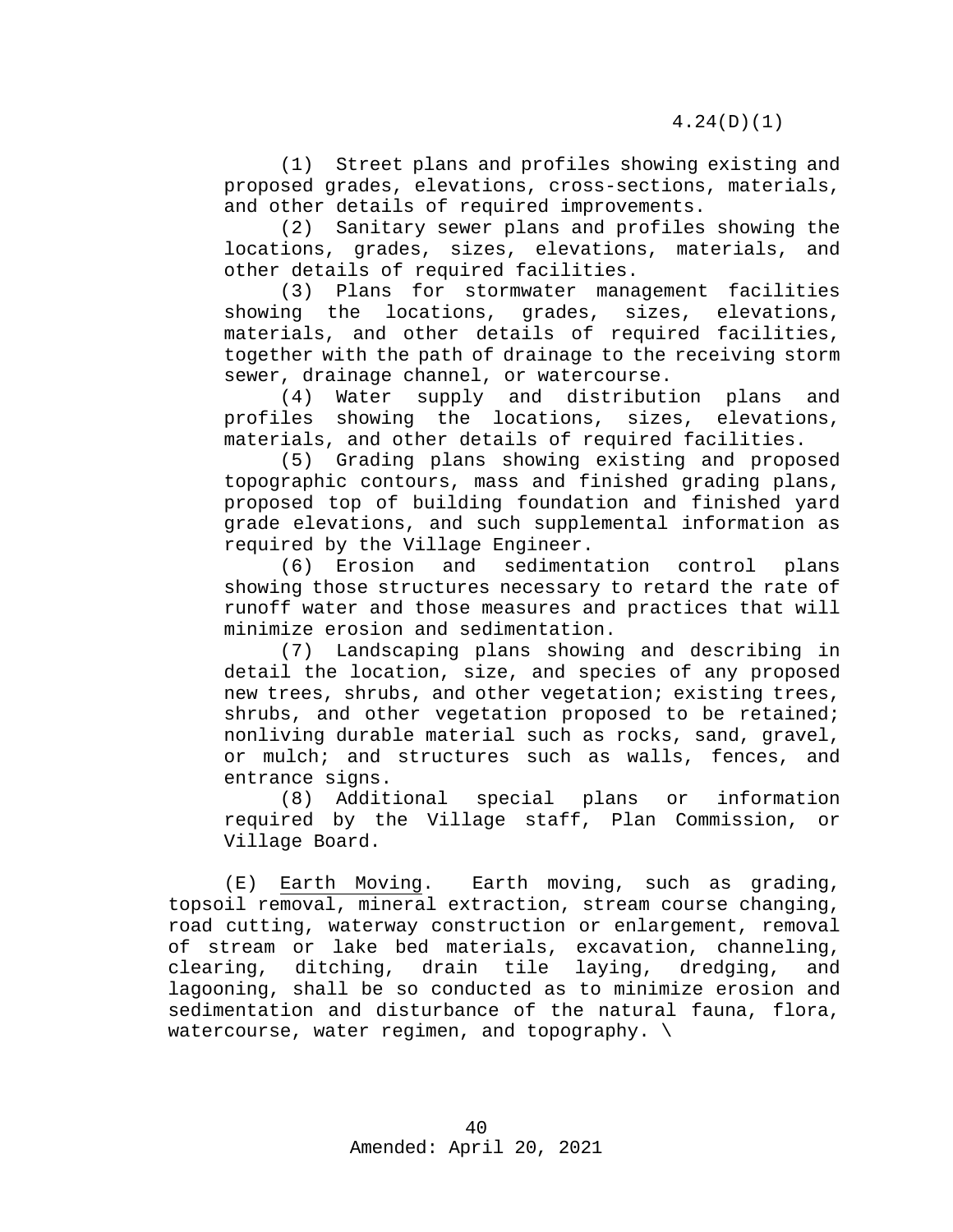(1) Street plans and profiles showing existing and proposed grades, elevations, cross-sections, materials, and other details of required improvements.

(2) Sanitary sewer plans and profiles showing the locations, grades, sizes, elevations, materials, and other details of required facilities.

(3) Plans for stormwater management facilities showing the locations, grades, sizes, elevations, materials, and other details of required facilities, together with the path of drainage to the receiving storm sewer, drainage channel, or watercourse.<br>(4) Water supply and distribut:

Water supply and distribution plans and<br>showing the locations, sizes, elevations, profiles showing the locations, materials, and other details of required facilities.

(5) Grading plans showing existing and proposed topographic contours, mass and finished grading plans, proposed top of building foundation and finished yard grade elevations, and such supplemental information as required by the Village Engineer.

(6) Erosion and sedimentation control plans showing those structures necessary to retard the rate of runoff water and those measures and practices that will minimize erosion and sedimentation.

(7) Landscaping plans showing and describing in detail the location, size, and species of any proposed new trees, shrubs, and other vegetation; existing trees, shrubs, and other vegetation proposed to be retained; nonliving durable material such as rocks, sand, gravel, or mulch; and structures such as walls, fences, and entrance signs.

(8) Additional special plans or information required by the Village staff, Plan Commission, or Village Board.

(E) Earth Moving. Earth moving, such as grading, topsoil removal, mineral extraction, stream course changing, road cutting, waterway construction or enlargement, removal of stream or lake bed materials, excavation, channeling, clearing, ditching, drain tile laying, dredging, and lagooning, shall be so conducted as to minimize erosion and sedimentation and disturbance of the natural fauna, flora, watercourse, water regimen, and topography.  $\setminus$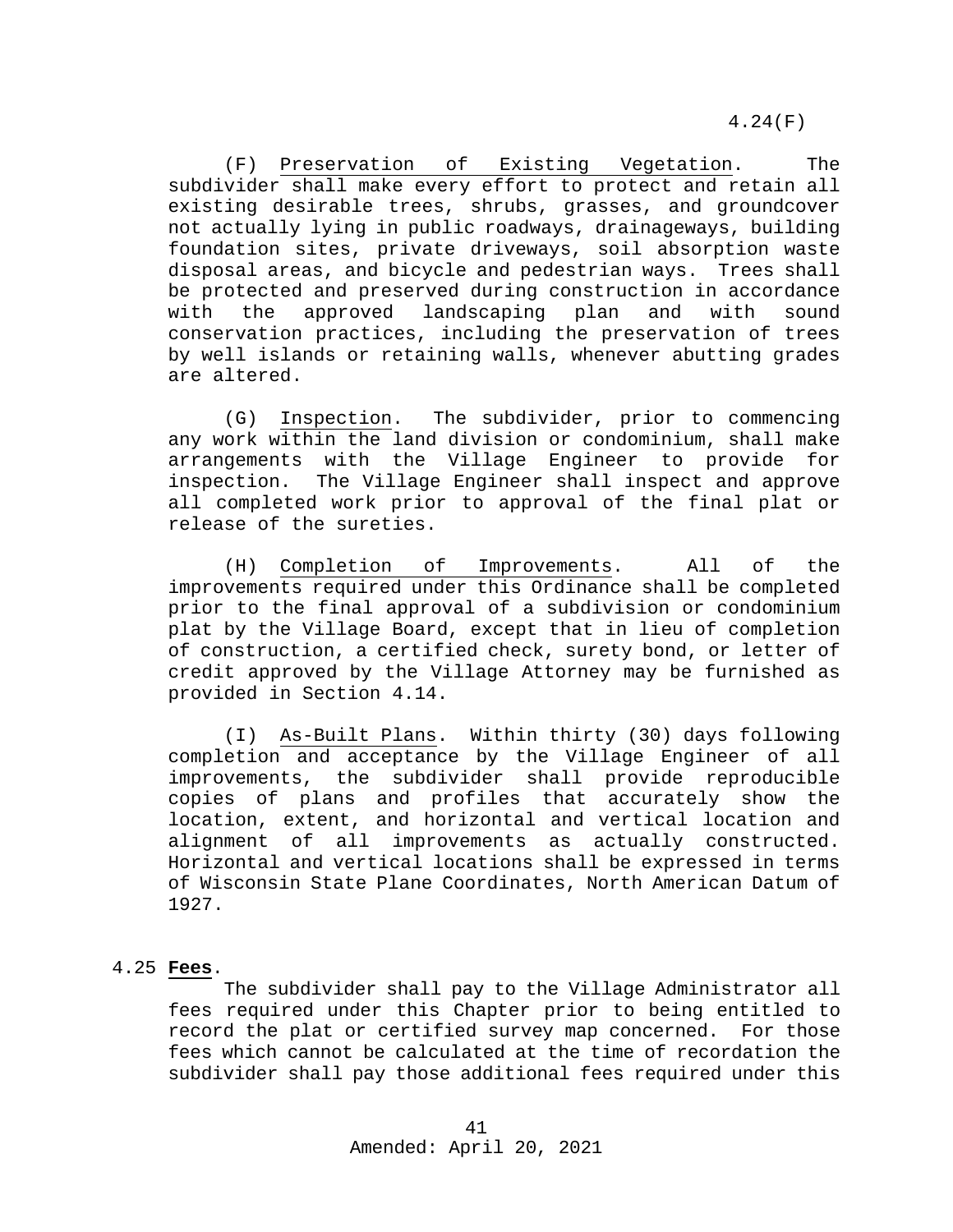(F) Preservation of Existing Vegetation. The subdivider shall make every effort to protect and retain all existing desirable trees, shrubs, grasses, and groundcover not actually lying in public roadways, drainageways, building foundation sites, private driveways, soil absorption waste disposal areas, and bicycle and pedestrian ways. Trees shall be protected and preserved during construction in accordance<br>with the approved landscaping plan and with sound with the approved landscaping plan and with sound conservation practices, including the preservation of trees by well islands or retaining walls, whenever abutting grades are altered.

(G) Inspection. The subdivider, prior to commencing any work within the land division or condominium, shall make arrangements with the Village Engineer to provide for inspection. The Village Engineer shall inspect and approve all completed work prior to approval of the final plat or release of the sureties.

(H) Completion of Improvements. All of the improvements required under this Ordinance shall be completed prior to the final approval of a subdivision or condominium plat by the Village Board, except that in lieu of completion of construction, a certified check, surety bond, or letter of credit approved by the Village Attorney may be furnished as provided in Section 4.14.

(I) As-Built Plans. Within thirty (30) days following completion and acceptance by the Village Engineer of all improvements, the subdivider shall provide reproducible copies of plans and profiles that accurately show the location, extent, and horizontal and vertical location and alignment of all improvements as actually constructed. Horizontal and vertical locations shall be expressed in terms of Wisconsin State Plane Coordinates, North American Datum of 1927.

#### 4.25 **Fees**.

<span id="page-40-0"></span>The subdivider shall pay to the Village Administrator all fees required under this Chapter prior to being entitled to record the plat or certified survey map concerned. For those fees which cannot be calculated at the time of recordation the subdivider shall pay those additional fees required under this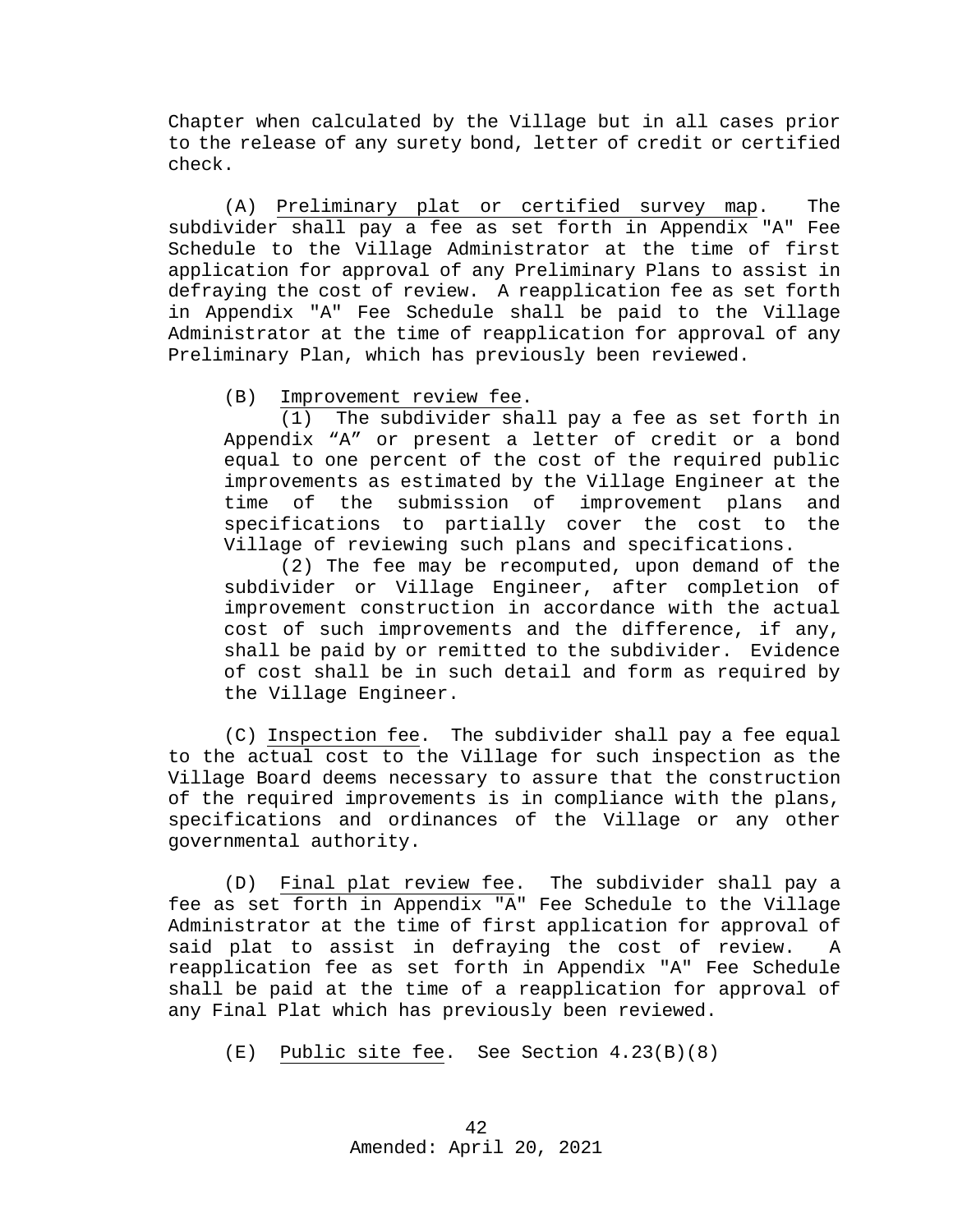Chapter when calculated by the Village but in all cases prior to the release of any surety bond, letter of credit or certified check.

(A) Preliminary plat or certified survey map. The subdivider shall pay a fee as set forth in Appendix "A" Fee Schedule to the Village Administrator at the time of first application for approval of any Preliminary Plans to assist in defraying the cost of review. A reapplication fee as set forth in Appendix "A" Fee Schedule shall be paid to the Village Administrator at the time of reapplication for approval of any Preliminary Plan, which has previously been reviewed.

(B) Improvement review fee.

(1) The subdivider shall pay a fee as set forth in Appendix "A" or present a letter of credit or a bond equal to one percent of the cost of the required public improvements as estimated by the Village Engineer at the of the submission of improvement plans and<br>ications to partially cover the cost to the specifications to partially cover the cost to Village of reviewing such plans and specifications.

(2) The fee may be recomputed, upon demand of the subdivider or Village Engineer, after completion of improvement construction in accordance with the actual cost of such improvements and the difference, if any, shall be paid by or remitted to the subdivider. Evidence of cost shall be in such detail and form as required by the Village Engineer.

(C) Inspection fee. The subdivider shall pay a fee equal to the actual cost to the Village for such inspection as the Village Board deems necessary to assure that the construction of the required improvements is in compliance with the plans, specifications and ordinances of the Village or any other governmental authority.

(D) Final plat review fee. The subdivider shall pay a fee as set forth in Appendix "A" Fee Schedule to the Village Administrator at the time of first application for approval of said plat to assist in defraying the cost of review. A reapplication fee as set forth in Appendix "A" Fee Schedule shall be paid at the time of a reapplication for approval of any Final Plat which has previously been reviewed.

(E) Public site fee. See Section 4.23(B)(8)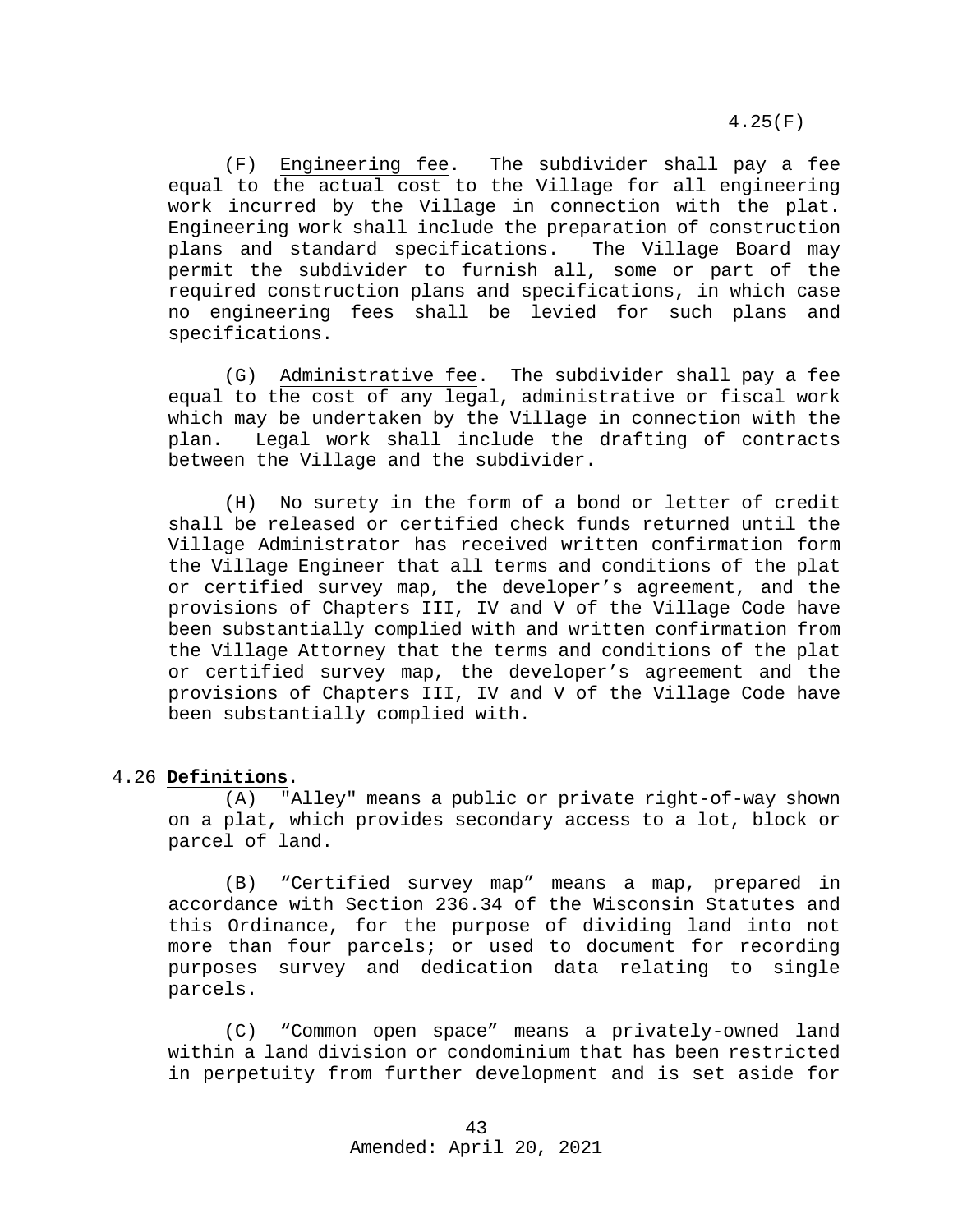4.25(F)

(F) Engineering fee. The subdivider shall pay a fee equal to the actual cost to the Village for all engineering work incurred by the Village in connection with the plat. Engineering work shall include the preparation of construction plans and standard specifications. The Village Board may permit the subdivider to furnish all, some or part of the required construction plans and specifications, in which case no engineering fees shall be levied for such plans and specifications.

(G) Administrative fee. The subdivider shall pay a fee equal to the cost of any legal, administrative or fiscal work which may be undertaken by the Village in connection with the plan. Legal work shall include the drafting of contracts between the Village and the subdivider.

(H) No surety in the form of a bond or letter of credit shall be released or certified check funds returned until the Village Administrator has received written confirmation form the Village Engineer that all terms and conditions of the plat or certified survey map, the developer's agreement, and the provisions of Chapters III, IV and V of the Village Code have been substantially complied with and written confirmation from the Village Attorney that the terms and conditions of the plat or certified survey map, the developer's agreement and the provisions of Chapters III, IV and V of the Village Code have been substantially complied with.

#### 4.26 **Definitions**.

<span id="page-42-0"></span>(A) "Alley" means a public or private right-of-way shown on a plat, which provides secondary access to a lot, block or parcel of land.

(B) "Certified survey map" means a map, prepared in accordance with Section 236.34 of the Wisconsin Statutes and this Ordinance, for the purpose of dividing land into not more than four parcels; or used to document for recording purposes survey and dedication data relating to single parcels.

(C) "Common open space" means a privately-owned land within a land division or condominium that has been restricted in perpetuity from further development and is set aside for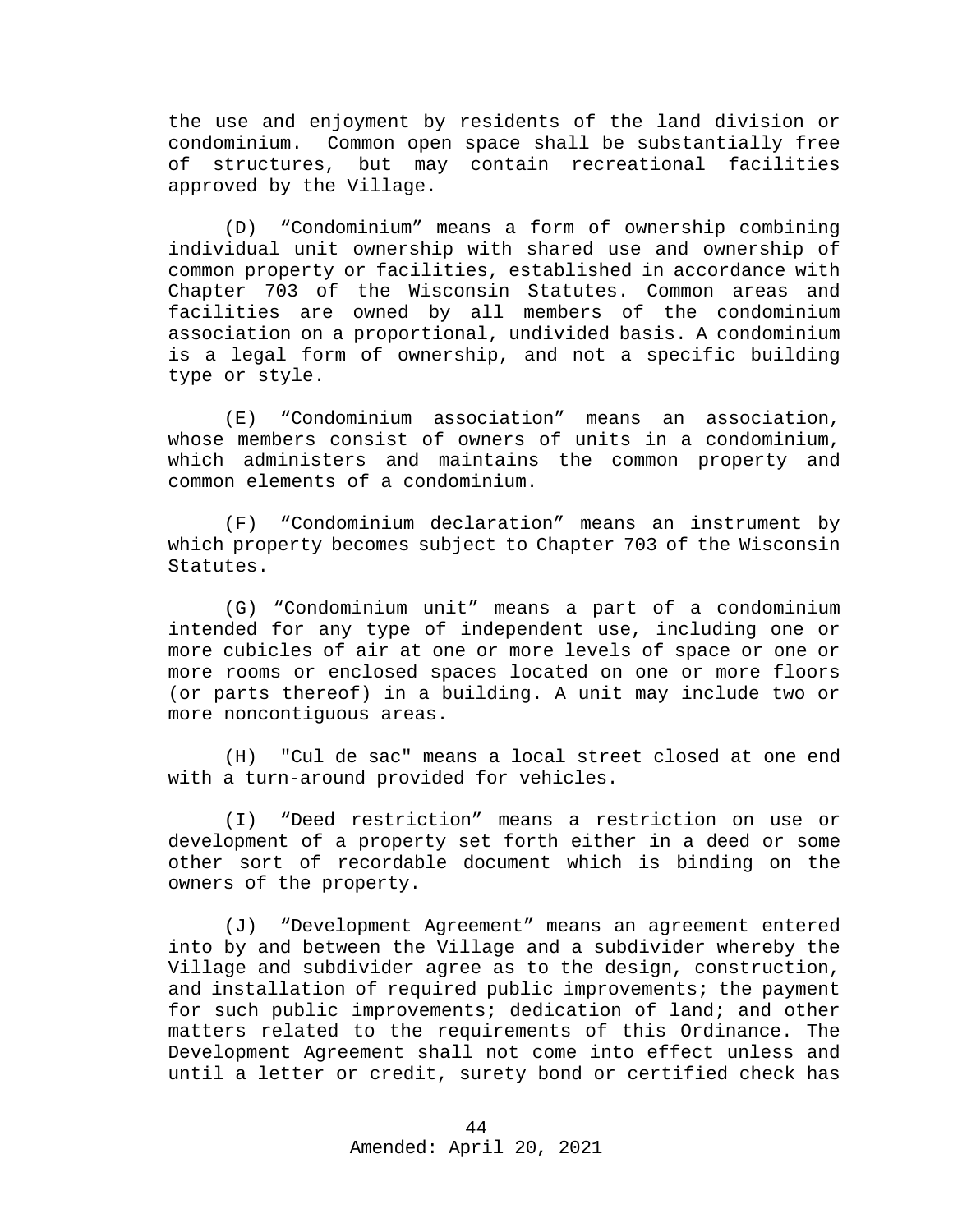the use and enjoyment by residents of the land division or condominium. Common open space shall be substantially free of structures, but may contain recreational facilities approved by the Village.

(D) "Condominium" means a form of ownership combining individual unit ownership with shared use and ownership of common property or facilities, established in accordance with Chapter 703 of the Wisconsin Statutes. Common areas and facilities are owned by all members of the condominium association on a proportional, undivided basis. A condominium is a legal form of ownership, and not a specific building type or style.

(E) "Condominium association" means an association, whose members consist of owners of units in a condominium, which administers and maintains the common property and common elements of a condominium.

(F) "Condominium declaration" means an instrument by which property becomes subject to Chapter 703 of the Wisconsin Statutes.

(G) "Condominium unit" means a part of a condominium intended for any type of independent use, including one or more cubicles of air at one or more levels of space or one or more rooms or enclosed spaces located on one or more floors (or parts thereof) in a building. A unit may include two or more noncontiguous areas.

(H) "Cul de sac" means a local street closed at one end with a turn-around provided for vehicles.

(I) "Deed restriction" means a restriction on use or development of a property set forth either in a deed or some other sort of recordable document which is binding on the owners of the property.

(J) "Development Agreement" means an agreement entered into by and between the Village and a subdivider whereby the Village and subdivider agree as to the design, construction, and installation of required public improvements; the payment for such public improvements; dedication of land; and other matters related to the requirements of this Ordinance. The Development Agreement shall not come into effect unless and until a letter or credit, surety bond or certified check has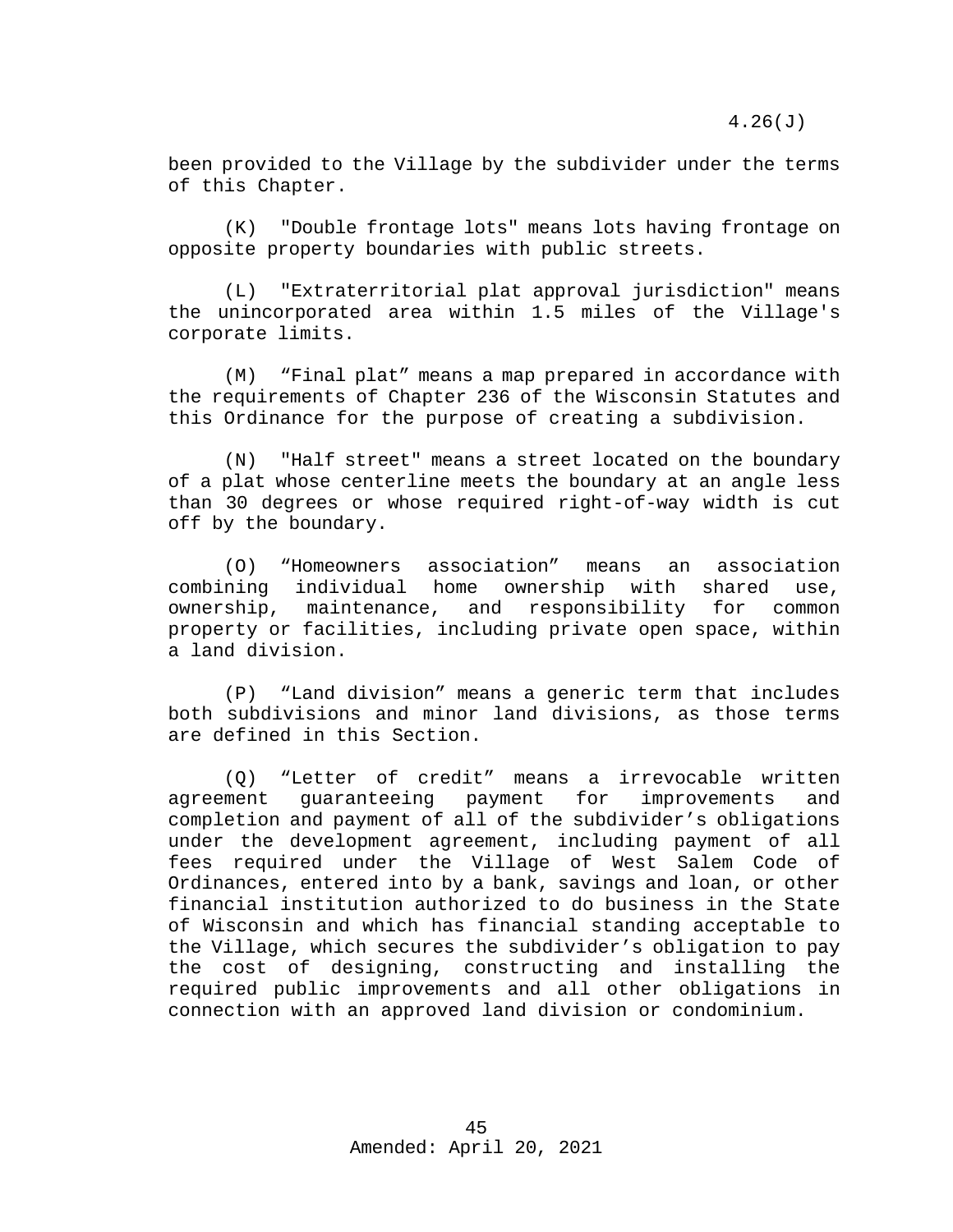been provided to the Village by the subdivider under the terms of this Chapter.

(K) "Double frontage lots" means lots having frontage on opposite property boundaries with public streets.

(L) "Extraterritorial plat approval jurisdiction" means the unincorporated area within 1.5 miles of the Village's corporate limits.

(M) "Final plat" means a map prepared in accordance with the requirements of Chapter 236 of the Wisconsin Statutes and this Ordinance for the purpose of creating a subdivision.

(N) "Half street" means a street located on the boundary of a plat whose centerline meets the boundary at an angle less than 30 degrees or whose required right-of-way width is cut off by the boundary.

(O) "Homeowners association" means an association<br>combining individual home ownership with shared use, ownership with shared use,<br>I responsibility for common ownership, maintenance, and responsibility for common property or facilities, including private open space, within a land division.

(P) "Land division" means a generic term that includes both subdivisions and minor land divisions, as those terms are defined in this Section.

(Q) "Letter of credit" means a irrevocable written<br>ment quaranteeing payment for improvements and agreement guaranteeing payment for improvements completion and payment of all of the subdivider's obligations under the development agreement, including payment of all fees required under the Village of West Salem Code of Ordinances, entered into by a bank, savings and loan, or other financial institution authorized to do business in the State of Wisconsin and which has financial standing acceptable to the Village, which secures the subdivider's obligation to pay the cost of designing, constructing and installing the required public improvements and all other obligations in connection with an approved land division or condominium.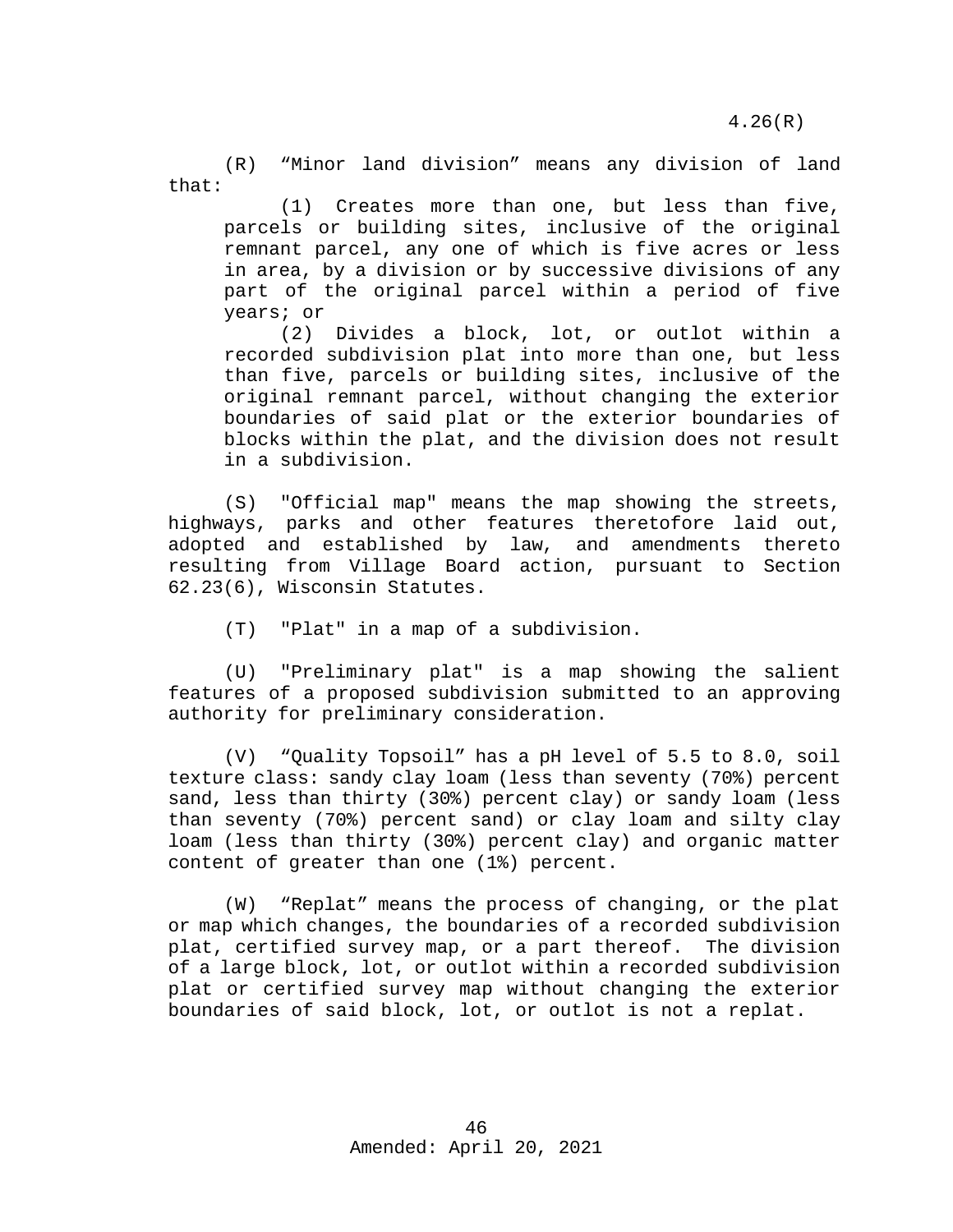4.26(R)

(R) "Minor land division" means any division of land that:

(1) Creates more than one, but less than five, parcels or building sites, inclusive of the original remnant parcel, any one of which is five acres or less in area, by a division or by successive divisions of any part of the original parcel within a period of five years; or

(2) Divides a block, lot, or outlot within a recorded subdivision plat into more than one, but less than five, parcels or building sites, inclusive of the original remnant parcel, without changing the exterior boundaries of said plat or the exterior boundaries of blocks within the plat, and the division does not result in a subdivision.

(S) "Official map" means the map showing the streets, highways, parks and other features theretofore laid out, adopted and established by law, and amendments thereto resulting from Village Board action, pursuant to Section 62.23(6), Wisconsin Statutes.

(T) "Plat" in a map of a subdivision.

(U) "Preliminary plat" is a map showing the salient features of a proposed subdivision submitted to an approving authority for preliminary consideration.

(V) "Quality Topsoil" has a pH level of 5.5 to 8.0, soil texture class: sandy clay loam (less than seventy (70%) percent sand, less than thirty (30%) percent clay) or sandy loam (less than seventy (70%) percent sand) or clay loam and silty clay loam (less than thirty (30%) percent clay) and organic matter content of greater than one (1%) percent.

(W) "Replat" means the process of changing, or the plat or map which changes, the boundaries of a recorded subdivision plat, certified survey map, or a part thereof. The division of a large block, lot, or outlot within a recorded subdivision plat or certified survey map without changing the exterior boundaries of said block, lot, or outlot is not a replat.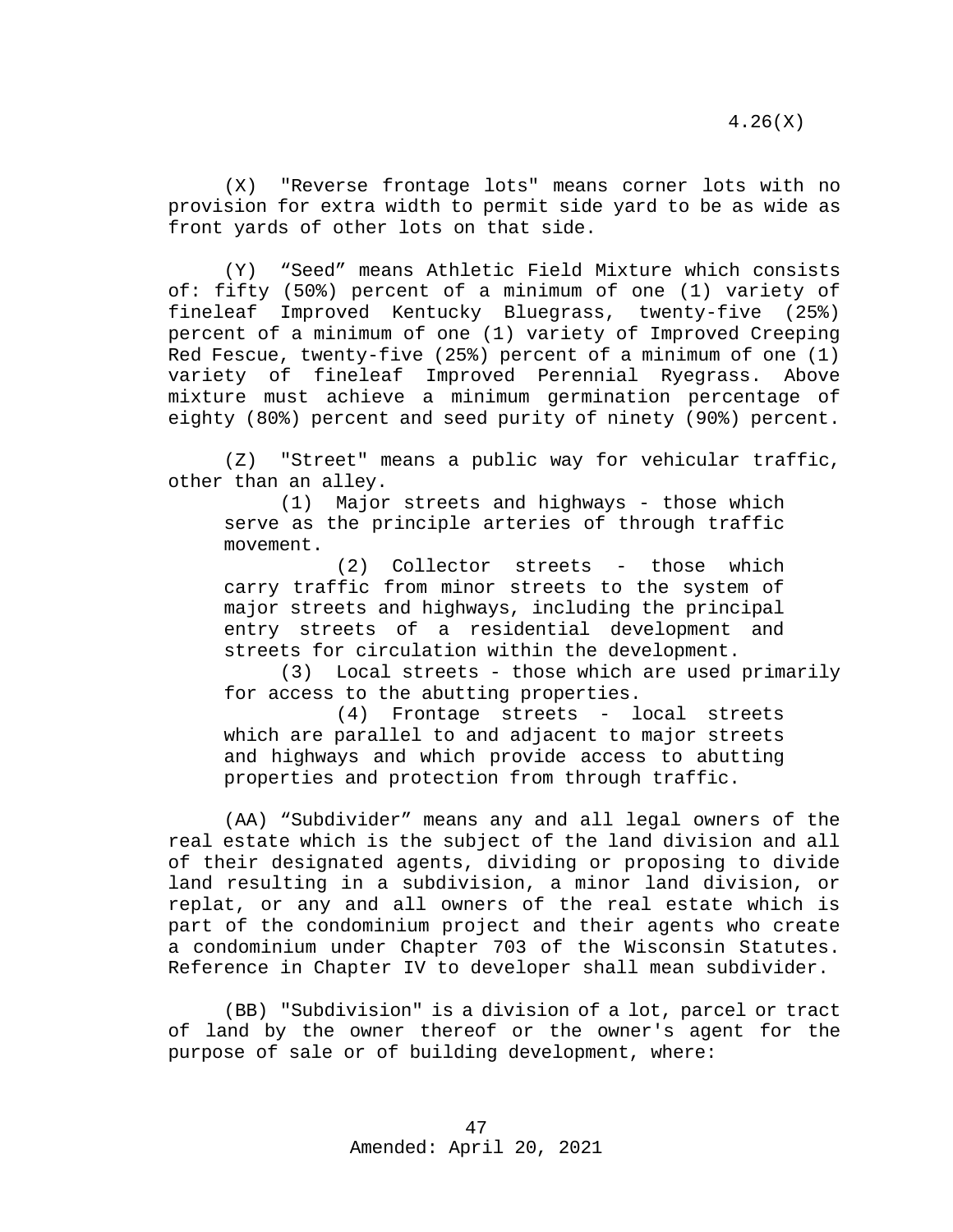(X) "Reverse frontage lots" means corner lots with no provision for extra width to permit side yard to be as wide as front yards of other lots on that side.

(Y) "Seed" means Athletic Field Mixture which consists of: fifty (50%) percent of a minimum of one (1) variety of fineleaf Improved Kentucky Bluegrass, twenty-five (25%) percent of a minimum of one (1) variety of Improved Creeping Red Fescue, twenty-five (25%) percent of a minimum of one (1)<br>variety of fineleaf Improved Perennial Ryegrass. Above variety of fineleaf Improved Perennial Ryegrass. mixture must achieve a minimum germination percentage of eighty (80%) percent and seed purity of ninety (90%) percent.

(Z) "Street" means a public way for vehicular traffic, other than an alley.<br>(1) Major

Major streets and highways - those which serve as the principle arteries of through traffic movement.

(2) Collector streets - those which carry traffic from minor streets to the system of major streets and highways, including the principal entry streets of a residential development and streets for circulation within the development.

(3) Local streets - those which are used primarily for access to the abutting properties.<br>(4) Frontage streets -  $1$ 

(4) Frontage streets - local streets which are parallel to and adjacent to major streets and highways and which provide access to abutting properties and protection from through traffic.

(AA) "Subdivider" means any and all legal owners of the real estate which is the subject of the land division and all of their designated agents, dividing or proposing to divide land resulting in a subdivision, a minor land division, or replat, or any and all owners of the real estate which is part of the condominium project and their agents who create a condominium under Chapter 703 of the Wisconsin Statutes. Reference in Chapter IV to developer shall mean subdivider.

(BB) "Subdivision" is a division of a lot, parcel or tract of land by the owner thereof or the owner's agent for the purpose of sale or of building development, where: